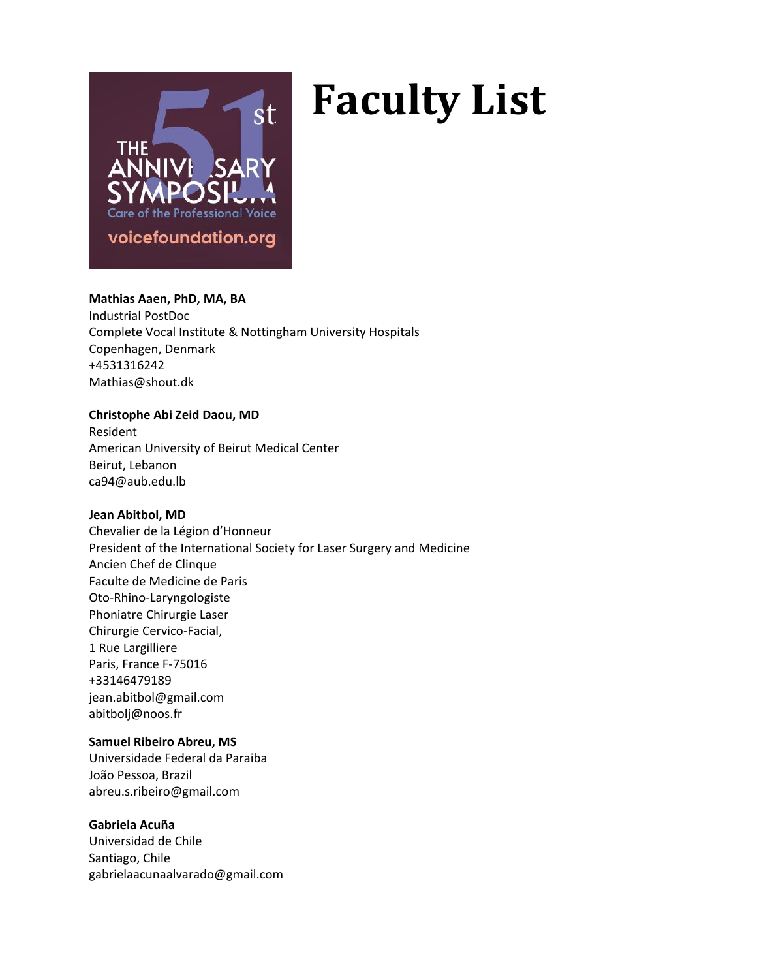

# **Faculty List**

## **Mathias Aaen, PhD, MA, BA**

Industrial PostDoc Complete Vocal Institute & Nottingham University Hospitals Copenhagen, Denmark +4531316242 Mathias@shout.dk

## **Christophe Abi Zeid Daou, MD**

Resident American University of Beirut Medical Center Beirut, Lebanon ca94@aub.edu.lb

#### **Jean Abitbol, MD**

Chevalier de la Légion d'Honneur President of the International Society for Laser Surgery and Medicine Ancien Chef de Clinque Faculte de Medicine de Paris Oto-Rhino-Laryngologiste Phoniatre Chirurgie Laser Chirurgie Cervico-Facial, 1 Rue Largilliere Paris, France F-75016 +33146479189 jean.abitbol@gmail.com abitbolj@noos.fr

## **Samuel Ribeiro Abreu, MS**

Universidade Federal da Paraiba João Pessoa, Brazil abreu.s.ribeiro@gmail.com

## **Gabriela Acuña**

Universidad de Chile Santiago, Chile gabrielaacunaalvarado@gmail.com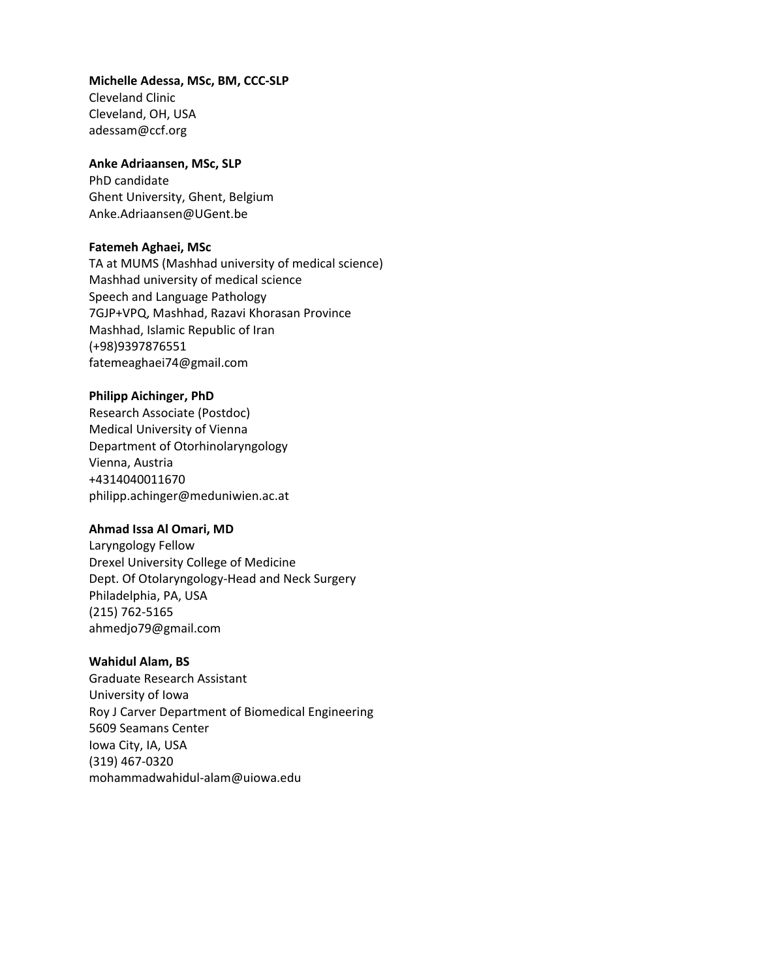## **Michelle Adessa, MSc, BM, CCC-SLP**

Cleveland Clinic Cleveland, OH, USA adessam@ccf.org

## **Anke Adriaansen, MSc, SLP**

PhD candidate Ghent University, Ghent, Belgium Anke.Adriaansen@UGent.be

## **Fatemeh Aghaei, MSc**

TA at MUMS (Mashhad university of medical science) Mashhad university of medical science Speech and Language Pathology 7GJP+VPQ, Mashhad, Razavi Khorasan Province Mashhad, Islamic Republic of Iran (+98)9397876551 fatemeaghaei74@gmail.com

#### **Philipp Aichinger, PhD**

Research Associate (Postdoc) Medical University of Vienna Department of Otorhinolaryngology Vienna, Austria +4314040011670 philipp.achinger@meduniwien.ac.at

## **Ahmad Issa Al Omari, MD**

Laryngology Fellow Drexel University College of Medicine Dept. Of Otolaryngology-Head and Neck Surgery Philadelphia, PA, USA (215) 762-5165 ahmedjo79@gmail.com

## **Wahidul Alam, BS**

Graduate Research Assistant University of Iowa Roy J Carver Department of Biomedical Engineering 5609 Seamans Center Iowa City, IA, USA (319) 467-0320 mohammadwahidul-alam@uiowa.edu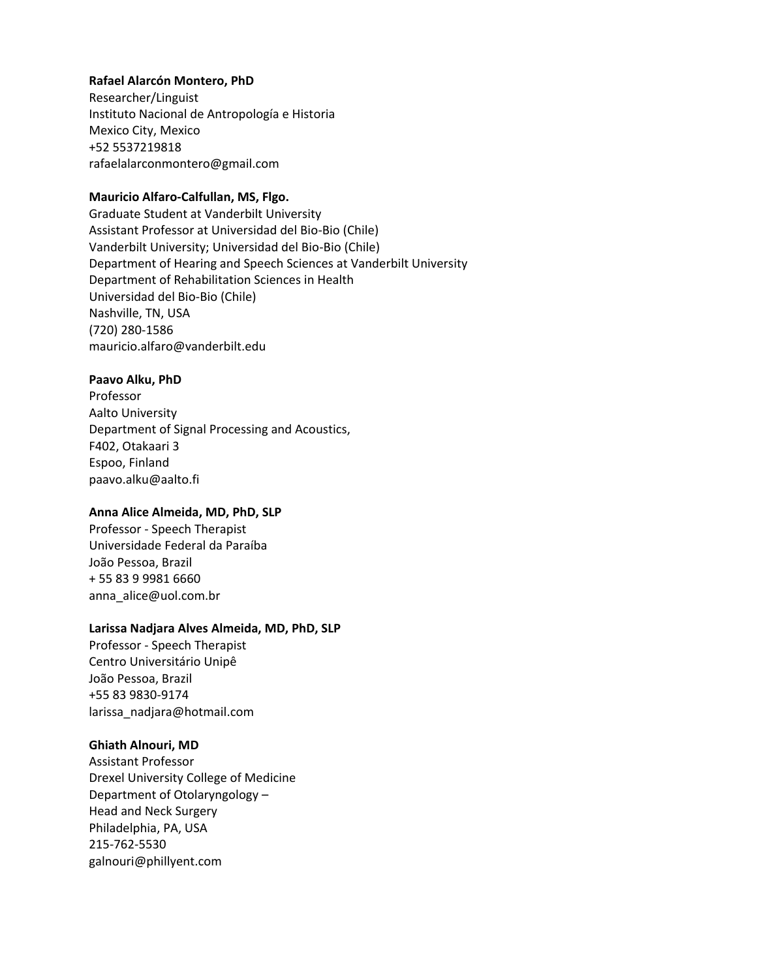## **Rafael Alarcón Montero, PhD**

Researcher/Linguist Instituto Nacional de Antropología e Historia Mexico City, Mexico +52 5537219818 rafaelalarconmontero@gmail.com

## **Mauricio Alfaro-Calfullan, MS, Flgo.**

Graduate Student at Vanderbilt University Assistant Professor at Universidad del Bio-Bio (Chile) Vanderbilt University; Universidad del Bio-Bio (Chile) Department of Hearing and Speech Sciences at Vanderbilt University Department of Rehabilitation Sciences in Health Universidad del Bio-Bio (Chile) Nashville, TN, USA (720) 280-1586 mauricio.alfaro@vanderbilt.edu

#### **Paavo Alku, PhD**

Professor Aalto University Department of Signal Processing and Acoustics, F402, Otakaari 3 Espoo, Finland paavo.alku@aalto.fi

## **Anna Alice Almeida, MD, PhD, SLP**

Professor - Speech Therapist Universidade Federal da Paraíba João Pessoa, Brazil + 55 83 9 9981 6660 anna\_alice@uol.com.br

#### **Larissa Nadjara Alves Almeida, MD, PhD, SLP**

Professor - Speech Therapist Centro Universitário Unipê João Pessoa, Brazil +55 83 9830-9174 larissa\_nadjara@hotmail.com

## **Ghiath Alnouri, MD**

Assistant Professor Drexel University College of Medicine Department of Otolaryngology – Head and Neck Surgery Philadelphia, PA, USA 215-762-5530 galnouri@phillyent.com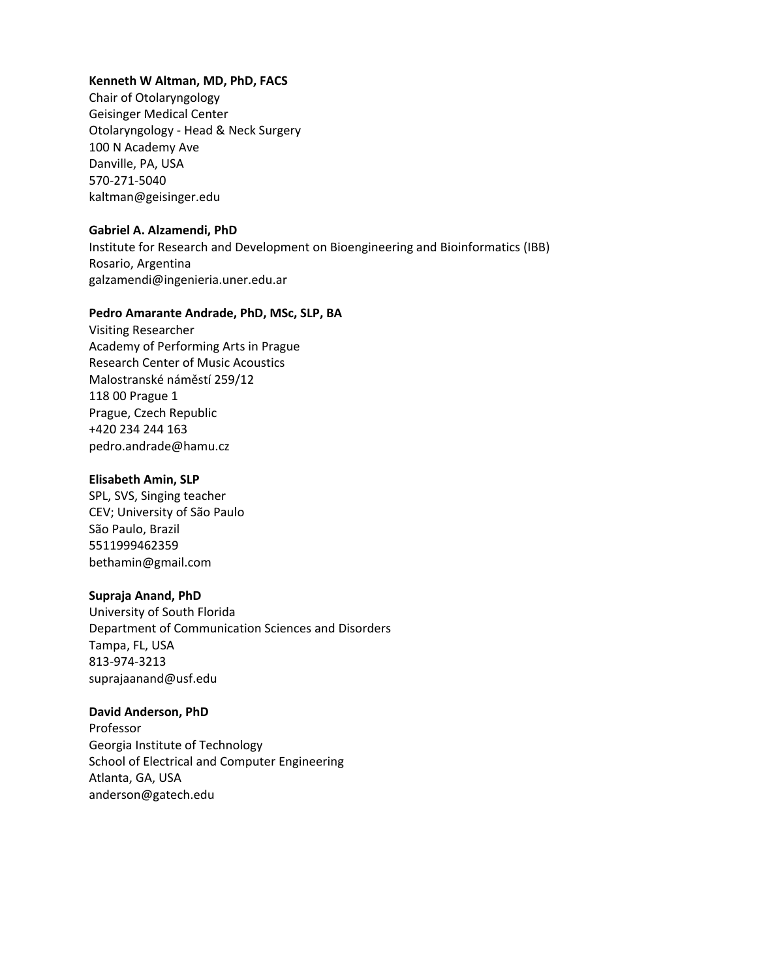## **Kenneth W Altman, MD, PhD, FACS**

Chair of Otolaryngology Geisinger Medical Center Otolaryngology - Head & Neck Surgery 100 N Academy Ave Danville, PA, USA 570-271-5040 kaltman@geisinger.edu

#### **Gabriel A. Alzamendi, PhD**

Institute for Research and Development on Bioengineering and Bioinformatics (IBB) Rosario, Argentina galzamendi@ingenieria.uner.edu.ar

#### **Pedro Amarante Andrade, PhD, MSc, SLP, BA**

Visiting Researcher Academy of Performing Arts in Prague Research Center of Music Acoustics Malostranské náměstí 259/12 118 00 Prague 1 Prague, Czech Republic +420 234 244 163 pedro.andrade@hamu.cz

#### **Elisabeth Amin, SLP**

SPL, SVS, Singing teacher CEV; University of São Paulo São Paulo, Brazil 5511999462359 bethamin@gmail.com

## **Supraja Anand, PhD**

University of South Florida Department of Communication Sciences and Disorders Tampa, FL, USA 813-974-3213 suprajaanand@usf.edu

## **David Anderson, PhD**

Professor Georgia Institute of Technology School of Electrical and Computer Engineering Atlanta, GA, USA anderson@gatech.edu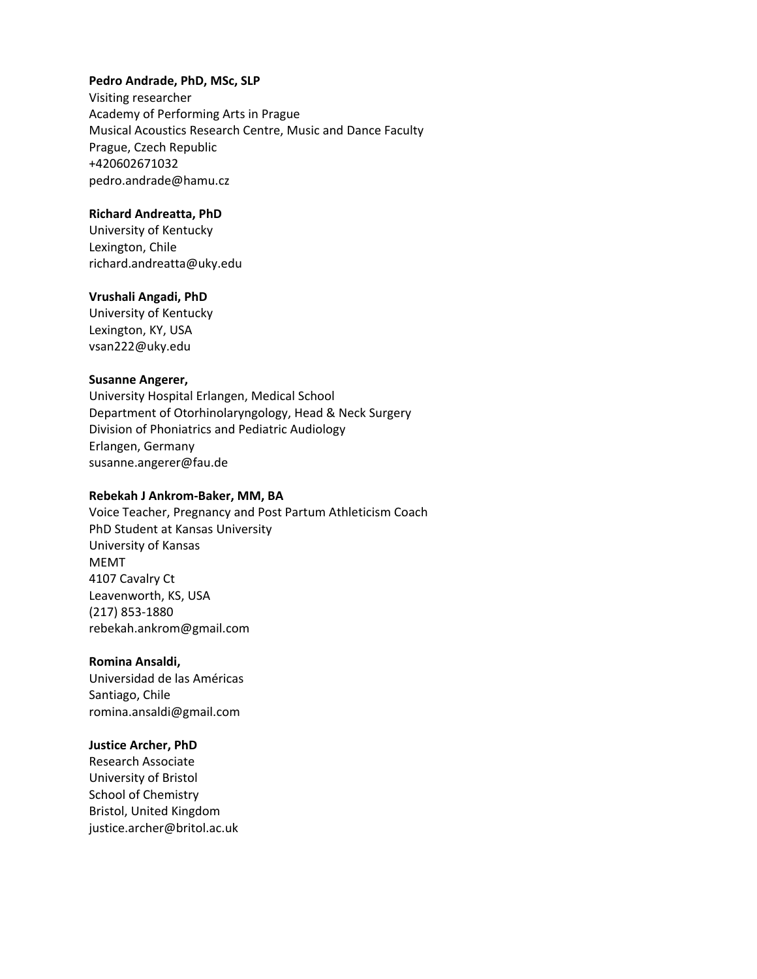#### **Pedro Andrade, PhD, MSc, SLP**

Visiting researcher Academy of Performing Arts in Prague Musical Acoustics Research Centre, Music and Dance Faculty Prague, Czech Republic +420602671032 pedro.andrade@hamu.cz

## **Richard Andreatta, PhD**

University of Kentucky Lexington, Chile richard.andreatta@uky.edu

#### **Vrushali Angadi, PhD**

University of Kentucky Lexington, KY, USA vsan222@uky.edu

#### **Susanne Angerer,**

University Hospital Erlangen, Medical School Department of Otorhinolaryngology, Head & Neck Surgery Division of Phoniatrics and Pediatric Audiology Erlangen, Germany susanne.angerer@fau.de

#### **Rebekah J Ankrom-Baker, MM, BA**

Voice Teacher, Pregnancy and Post Partum Athleticism Coach PhD Student at Kansas University University of Kansas MEMT 4107 Cavalry Ct Leavenworth, KS, USA (217) 853-1880 rebekah.ankrom@gmail.com

#### **Romina Ansaldi,**

Universidad de las Américas Santiago, Chile romina.ansaldi@gmail.com

## **Justice Archer, PhD**

Research Associate University of Bristol School of Chemistry Bristol, United Kingdom justice.archer@britol.ac.uk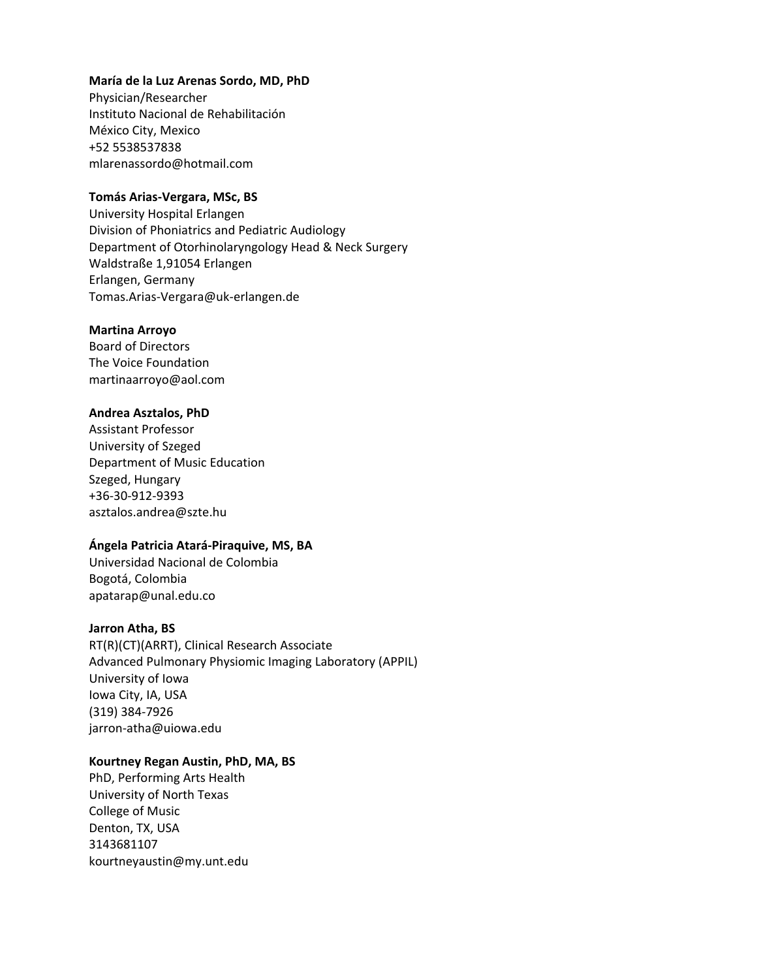## **María de la Luz Arenas Sordo, MD, PhD**

Physician/Researcher Instituto Nacional de Rehabilitación México City, Mexico +52 5538537838 mlarenassordo@hotmail.com

## **Tomás Arias-Vergara, MSc, BS**

University Hospital Erlangen Division of Phoniatrics and Pediatric Audiology Department of Otorhinolaryngology Head & Neck Surgery Waldstraße 1,91054 Erlangen Erlangen, Germany Tomas.Arias-Vergara@uk-erlangen.de

#### **Martina Arroyo**

Board of Directors The Voice Foundation martinaarroyo@aol.com

#### **Andrea Asztalos, PhD**

Assistant Professor University of Szeged Department of Music Education Szeged, Hungary +36-30-912-9393 asztalos.andrea@szte.hu

## **Ángela Patricia Atará-Piraquive, MS, BA**

Universidad Nacional de Colombia Bogotá, Colombia apatarap@unal.edu.co

#### **Jarron Atha, BS**

RT(R)(CT)(ARRT), Clinical Research Associate Advanced Pulmonary Physiomic Imaging Laboratory (APPIL) University of Iowa Iowa City, IA, USA (319) 384-7926 jarron-atha@uiowa.edu

#### **Kourtney Regan Austin, PhD, MA, BS**

PhD, Performing Arts Health University of North Texas College of Music Denton, TX, USA 3143681107 kourtneyaustin@my.unt.edu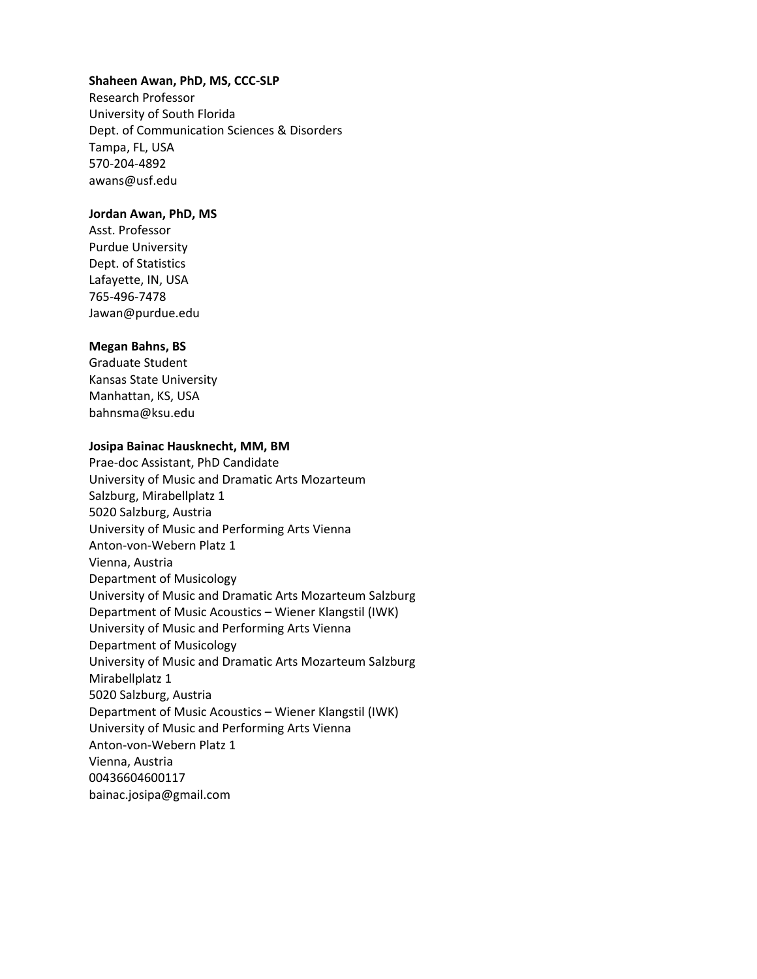#### **Shaheen Awan, PhD, MS, CCC-SLP**

Research Professor University of South Florida Dept. of Communication Sciences & Disorders Tampa, FL, USA 570-204-4892 awans@usf.edu

#### **Jordan Awan, PhD, MS**

Asst. Professor Purdue University Dept. of Statistics Lafayette, IN, USA 765-496-7478 Jawan@purdue.edu

#### **Megan Bahns, BS**

Graduate Student Kansas State University Manhattan, KS, USA bahnsma@ksu.edu

#### **Josipa Bainac Hausknecht, MM, BM**

Prae-doc Assistant, PhD Candidate University of Music and Dramatic Arts Mozarteum Salzburg, Mirabellplatz 1 5020 Salzburg, Austria University of Music and Performing Arts Vienna Anton-von-Webern Platz 1 Vienna, Austria Department of Musicology University of Music and Dramatic Arts Mozarteum Salzburg Department of Music Acoustics – Wiener Klangstil (IWK) University of Music and Performing Arts Vienna Department of Musicology University of Music and Dramatic Arts Mozarteum Salzburg Mirabellplatz 1 5020 Salzburg, Austria Department of Music Acoustics – Wiener Klangstil (IWK) University of Music and Performing Arts Vienna Anton-von-Webern Platz 1 Vienna, Austria 00436604600117 bainac.josipa@gmail.com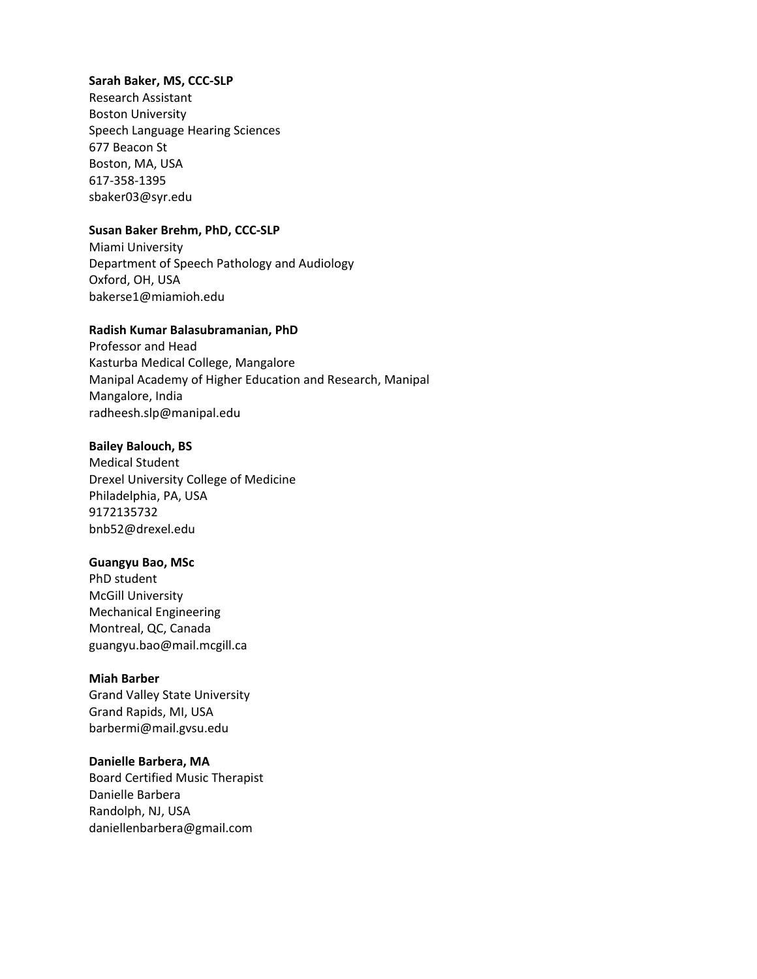#### **Sarah Baker, MS, CCC-SLP**

Research Assistant Boston University Speech Language Hearing Sciences 677 Beacon St Boston, MA, USA 617-358-1395 sbaker03@syr.edu

## **Susan Baker Brehm, PhD, CCC-SLP**

Miami University Department of Speech Pathology and Audiology Oxford, OH, USA bakerse1@miamioh.edu

#### **Radish Kumar Balasubramanian, PhD**

Professor and Head Kasturba Medical College, Mangalore Manipal Academy of Higher Education and Research, Manipal Mangalore, India radheesh.slp@manipal.edu

#### **Bailey Balouch, BS**

Medical Student Drexel University College of Medicine Philadelphia, PA, USA 9172135732 bnb52@drexel.edu

#### **Guangyu Bao, MSc**

PhD student McGill University Mechanical Engineering Montreal, QC, Canada guangyu.bao@mail.mcgill.ca

#### **Miah Barber**

Grand Valley State University Grand Rapids, MI, USA barbermi@mail.gvsu.edu

#### **Danielle Barbera, MA**

Board Certified Music Therapist Danielle Barbera Randolph, NJ, USA daniellenbarbera@gmail.com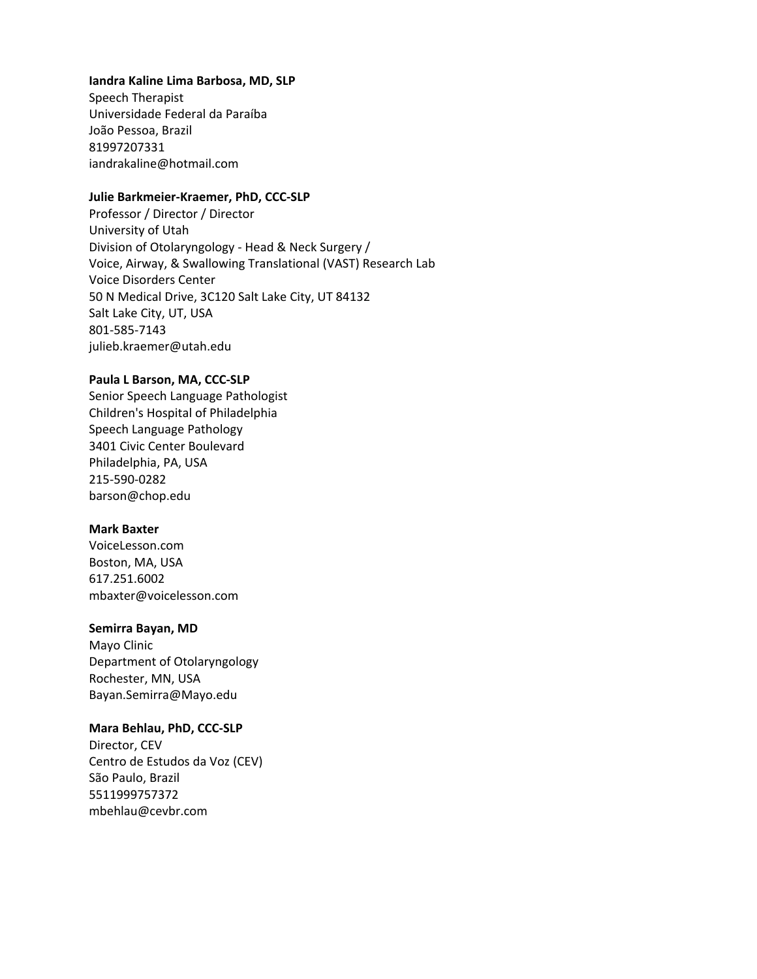#### **Iandra Kaline Lima Barbosa, MD, SLP**

Speech Therapist Universidade Federal da Paraíba João Pessoa, Brazil 81997207331 iandrakaline@hotmail.com

## **Julie Barkmeier-Kraemer, PhD, CCC-SLP**

Professor / Director / Director University of Utah Division of Otolaryngology - Head & Neck Surgery / Voice, Airway, & Swallowing Translational (VAST) Research Lab Voice Disorders Center 50 N Medical Drive, 3C120 Salt Lake City, UT 84132 Salt Lake City, UT, USA 801-585-7143 julieb.kraemer@utah.edu

#### **Paula L Barson, MA, CCC-SLP**

Senior Speech Language Pathologist Children's Hospital of Philadelphia Speech Language Pathology 3401 Civic Center Boulevard Philadelphia, PA, USA 215-590-0282 barson@chop.edu

#### **Mark Baxter**

VoiceLesson.com Boston, MA, USA 617.251.6002 mbaxter@voicelesson.com

## **Semirra Bayan, MD**

Mayo Clinic Department of Otolaryngology Rochester, MN, USA Bayan.Semirra@Mayo.edu

#### **Mara Behlau, PhD, CCC-SLP**

Director, CEV Centro de Estudos da Voz (CEV) São Paulo, Brazil 5511999757372 mbehlau@cevbr.com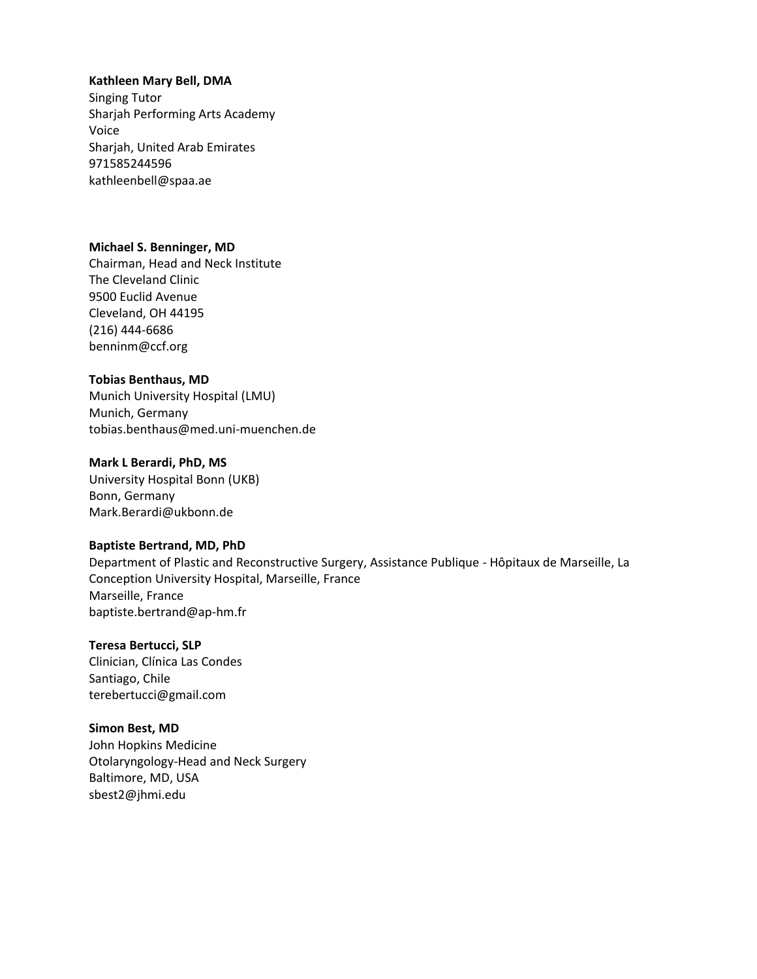#### **Kathleen Mary Bell, DMA**

Singing Tutor Sharjah Performing Arts Academy Voice Sharjah, United Arab Emirates 971585244596 kathleenbell@spaa.ae

## **Michael S. Benninger, MD**

Chairman, Head and Neck Institute The Cleveland Clinic 9500 Euclid Avenue Cleveland, OH 44195 (216) 444-6686 benninm@ccf.org

## **Tobias Benthaus, MD**

Munich University Hospital (LMU) Munich, Germany tobias.benthaus@med.uni-muenchen.de

## **Mark L Berardi, PhD, MS**

University Hospital Bonn (UKB) Bonn, Germany Mark.Berardi@ukbonn.de

## **Baptiste Bertrand, MD, PhD**

Department of Plastic and Reconstructive Surgery, Assistance Publique - Hôpitaux de Marseille, La Conception University Hospital, Marseille, France Marseille, France baptiste.bertrand@ap-hm.fr

## **Teresa Bertucci, SLP**

Clinician, Clínica Las Condes Santiago, Chile terebertucci@gmail.com

## **Simon Best, MD**

John Hopkins Medicine Otolaryngology-Head and Neck Surgery Baltimore, MD, USA sbest2@jhmi.edu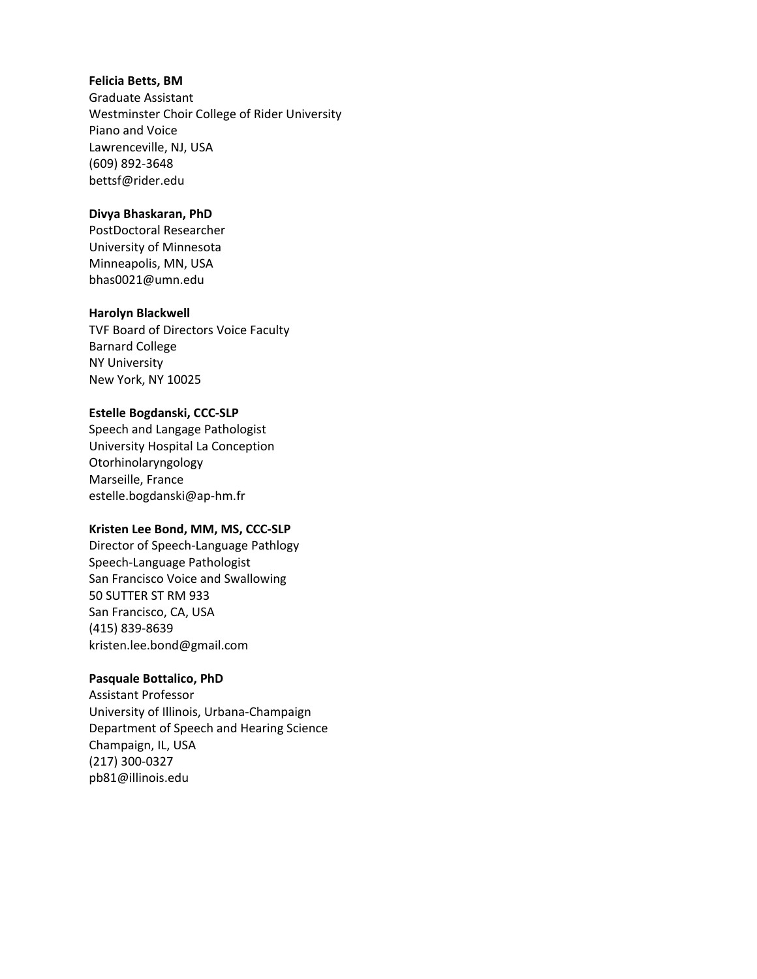#### **Felicia Betts, BM**

Graduate Assistant Westminster Choir College of Rider University Piano and Voice Lawrenceville, NJ, USA (609) 892-3648 bettsf@rider.edu

## **Divya Bhaskaran, PhD**

PostDoctoral Researcher University of Minnesota Minneapolis, MN, USA bhas0021@umn.edu

#### **Harolyn Blackwell**

TVF Board of Directors Voice Faculty Barnard College NY University New York, NY 10025

#### **Estelle Bogdanski, CCC-SLP**

Speech and Langage Pathologist University Hospital La Conception Otorhinolaryngology Marseille, France estelle.bogdanski@ap-hm.fr

## **Kristen Lee Bond, MM, MS, CCC-SLP**

Director of Speech-Language Pathlogy Speech-Language Pathologist San Francisco Voice and Swallowing 50 SUTTER ST RM 933 San Francisco, CA, USA (415) 839-8639 kristen.lee.bond@gmail.com

## **Pasquale Bottalico, PhD**

Assistant Professor University of Illinois, Urbana-Champaign Department of Speech and Hearing Science Champaign, IL, USA (217) 300-0327 pb81@illinois.edu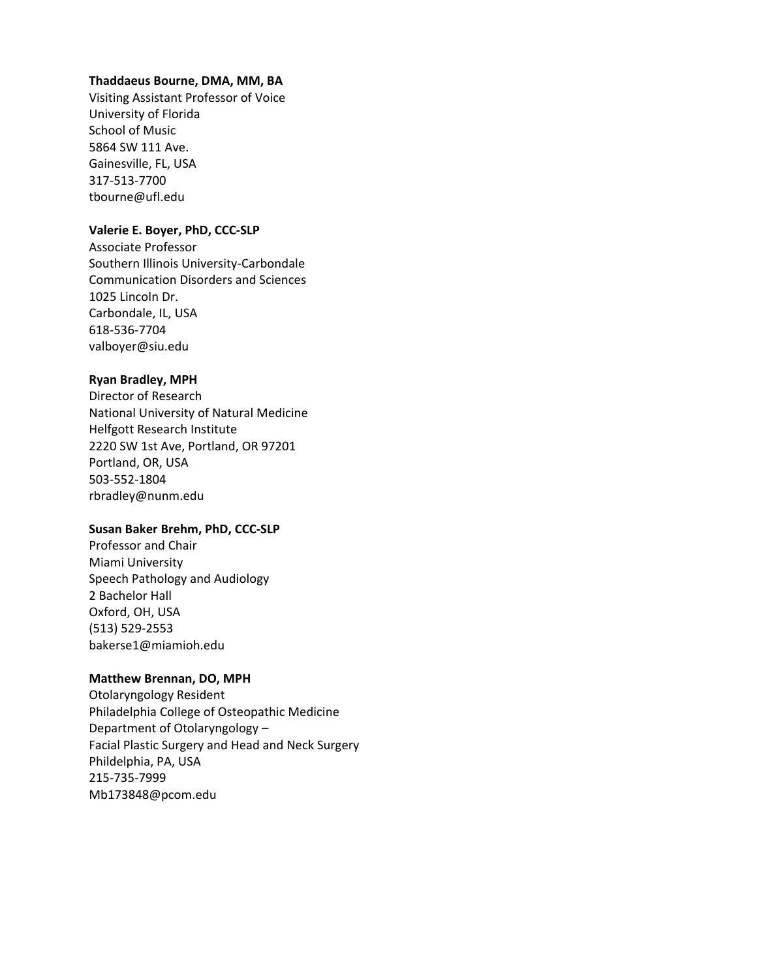#### **Thaddaeus Bourne, DMA, MM, BA**

Visiting Assistant Professor of Voice University of Florida School of Music 5864 SW 111 Ave. Gainesville, FL, USA 317-513-7700 tbourne@ufl.edu

#### **Valerie E. Boyer, PhD, CCC-SLP**

Associate Professor Southern Illinois University-Carbondale Communication Disorders and Sciences 1025 Lincoln Dr. Carbondale, IL, USA 618-536-7704 valboyer@siu.edu

#### **Ryan Bradley, MPH**

Director of Research National University of Natural Medicine Helfgott Research Institute 2220 SW 1st Ave, Portland, OR 97201 Portland, OR, USA 503-552-1804 rbradley@nunm.edu

#### **Susan Baker Brehm, PhD, CCC-SLP**

Professor and Chair Miami University Speech Pathology and Audiology 2 Bachelor Hall Oxford, OH, USA (513) 529-2553 bakerse1@miamioh.edu

## **Matthew Brennan, DO, MPH**

Otolaryngology Resident Philadelphia College of Osteopathic Medicine Department of Otolaryngology – Facial Plastic Surgery and Head and Neck Surgery Phildelphia, PA, USA 215-735-7999 Mb173848@pcom.edu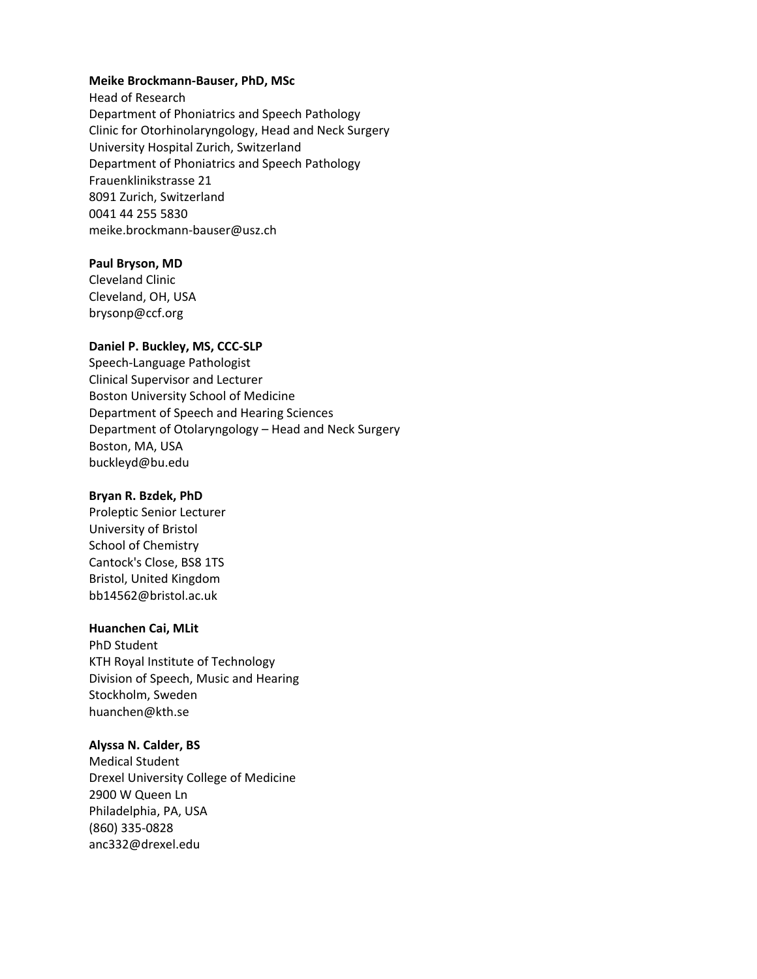#### **Meike Brockmann-Bauser, PhD, MSc**

Head of Research Department of Phoniatrics and Speech Pathology Clinic for Otorhinolaryngology, Head and Neck Surgery University Hospital Zurich, Switzerland Department of Phoniatrics and Speech Pathology Frauenklinikstrasse 21 8091 Zurich, Switzerland 0041 44 255 5830 meike.brockmann-bauser@usz.ch

#### **Paul Bryson, MD**

Cleveland Clinic Cleveland, OH, USA brysonp@ccf.org

## **Daniel P. Buckley, MS, CCC-SLP**

Speech-Language Pathologist Clinical Supervisor and Lecturer Boston University School of Medicine Department of Speech and Hearing Sciences Department of Otolaryngology – Head and Neck Surgery Boston, MA, USA buckleyd@bu.edu

#### **Bryan R. Bzdek, PhD**

Proleptic Senior Lecturer University of Bristol School of Chemistry Cantock's Close, BS8 1TS Bristol, United Kingdom bb14562@bristol.ac.uk

#### **Huanchen Cai, MLit**

PhD Student KTH Royal Institute of Technology Division of Speech, Music and Hearing Stockholm, Sweden huanchen@kth.se

#### **Alyssa N. Calder, BS**

Medical Student Drexel University College of Medicine 2900 W Queen Ln Philadelphia, PA, USA (860) 335-0828 anc332@drexel.edu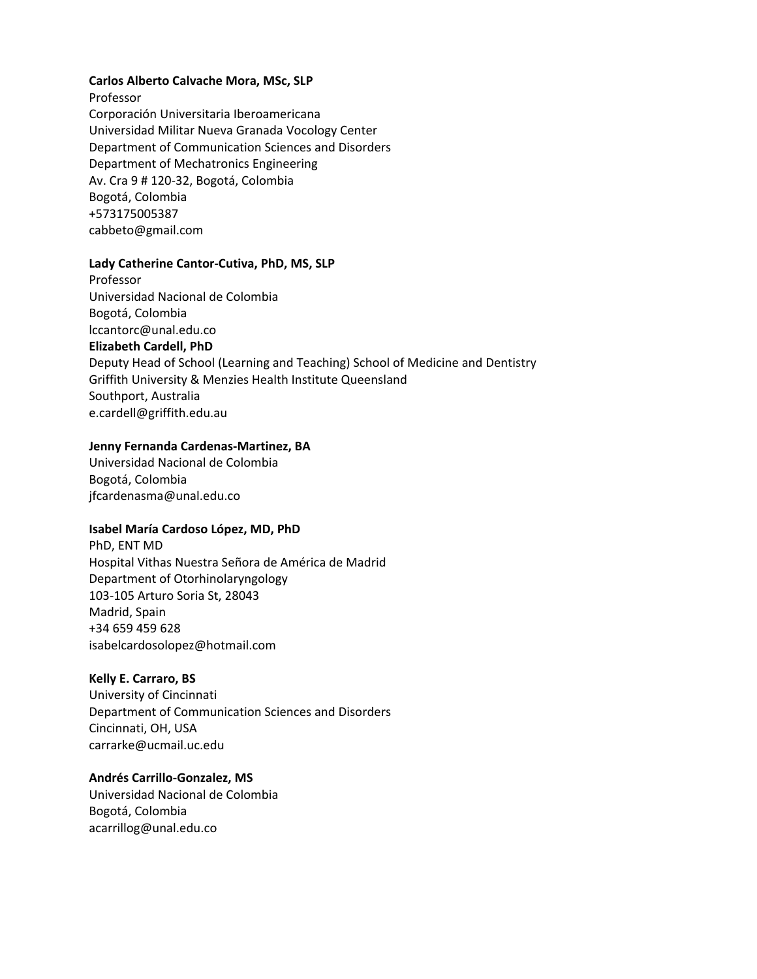#### **Carlos Alberto Calvache Mora, MSc, SLP**

Professor Corporación Universitaria Iberoamericana Universidad Militar Nueva Granada Vocology Center Department of Communication Sciences and Disorders Department of Mechatronics Engineering Av. Cra 9 # 120-32, Bogotá, Colombia Bogotá, Colombia +573175005387 cabbeto@gmail.com

#### **Lady Catherine Cantor-Cutiva, PhD, MS, SLP**

Professor Universidad Nacional de Colombia Bogotá, Colombia lccantorc@unal.edu.co **Elizabeth Cardell, PhD** Deputy Head of School (Learning and Teaching) School of Medicine and Dentistry Griffith University & Menzies Health Institute Queensland Southport, Australia e.cardell@griffith.edu.au

#### **Jenny Fernanda Cardenas-Martinez, BA**

Universidad Nacional de Colombia Bogotá, Colombia jfcardenasma@unal.edu.co

## **Isabel María Cardoso López, MD, PhD**

PhD, ENT MD Hospital Vithas Nuestra Señora de América de Madrid Department of Otorhinolaryngology 103-105 Arturo Soria St, 28043 Madrid, Spain +34 659 459 628 isabelcardosolopez@hotmail.com

## **Kelly E. Carraro, BS**

University of Cincinnati Department of Communication Sciences and Disorders Cincinnati, OH, USA carrarke@ucmail.uc.edu

## **Andrés Carrillo-Gonzalez, MS**

Universidad Nacional de Colombia Bogotá, Colombia acarrillog@unal.edu.co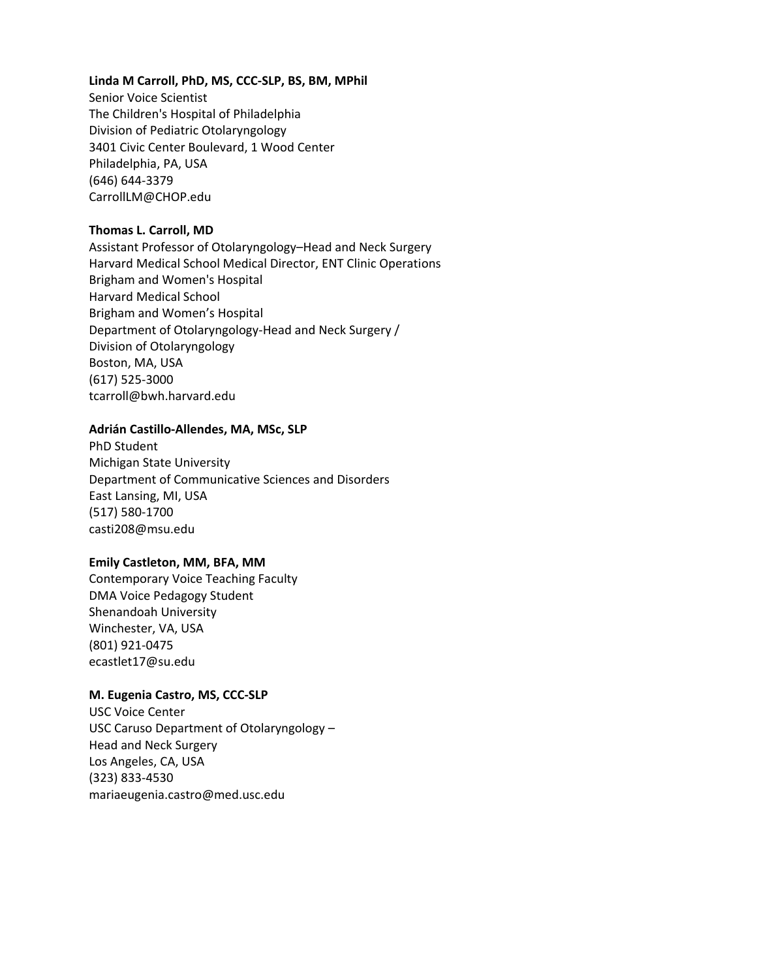#### **Linda M Carroll, PhD, MS, CCC-SLP, BS, BM, MPhil**

Senior Voice Scientist The Children's Hospital of Philadelphia Division of Pediatric Otolaryngology 3401 Civic Center Boulevard, 1 Wood Center Philadelphia, PA, USA (646) 644-3379 CarrollLM@CHOP.edu

## **Thomas L. Carroll, MD**

Assistant Professor of Otolaryngology–Head and Neck Surgery Harvard Medical School Medical Director, ENT Clinic Operations Brigham and Women's Hospital Harvard Medical School Brigham and Women's Hospital Department of Otolaryngology-Head and Neck Surgery / Division of Otolaryngology Boston, MA, USA (617) 525-3000 tcarroll@bwh.harvard.edu

#### **Adrián Castillo-Allendes, MA, MSc, SLP**

PhD Student Michigan State University Department of Communicative Sciences and Disorders East Lansing, MI, USA (517) 580-1700 casti208@msu.edu

#### **Emily Castleton, MM, BFA, MM**

Contemporary Voice Teaching Faculty DMA Voice Pedagogy Student Shenandoah University Winchester, VA, USA (801) 921-0475 ecastlet17@su.edu

## **M. Eugenia Castro, MS, CCC-SLP**

USC Voice Center USC Caruso Department of Otolaryngology – Head and Neck Surgery Los Angeles, CA, USA (323) 833-4530 mariaeugenia.castro@med.usc.edu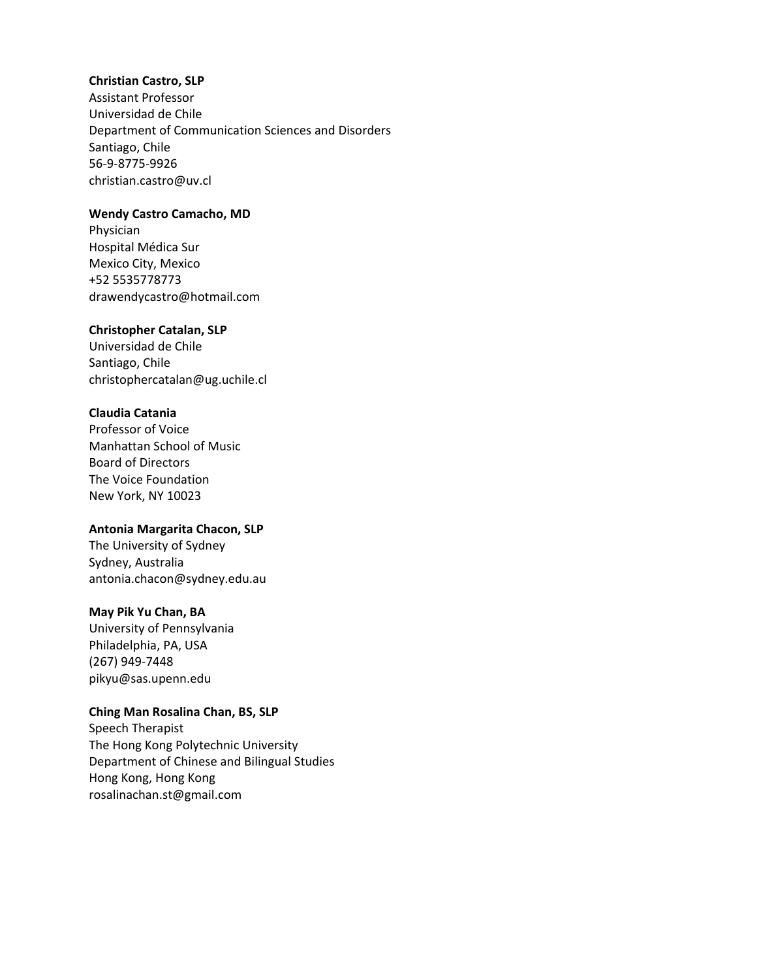#### **Christian Castro, SLP**

Assistant Professor Universidad de Chile Department of Communication Sciences and Disorders Santiago, Chile 56-9-8775-9926 christian.castro@uv.cl

## **Wendy Castro Camacho, MD**

Physician Hospital Médica Sur Mexico City, Mexico +52 5535778773 drawendycastro@hotmail.com

#### **Christopher Catalan, SLP**

Universidad de Chile Santiago, Chile christophercatalan@ug.uchile.cl

#### **Claudia Catania**

Professor of Voice Manhattan School of Music Board of Directors The Voice Foundation New York, NY 10023

## **Antonia Margarita Chacon, SLP**

The University of Sydney Sydney, Australia antonia.chacon@sydney.edu.au

## **May Pik Yu Chan, BA**

University of Pennsylvania Philadelphia, PA, USA (267) 949-7448 pikyu@sas.upenn.edu

## **Ching Man Rosalina Chan, BS, SLP**

Speech Therapist The Hong Kong Polytechnic University Department of Chinese and Bilingual Studies Hong Kong, Hong Kong rosalinachan.st@gmail.com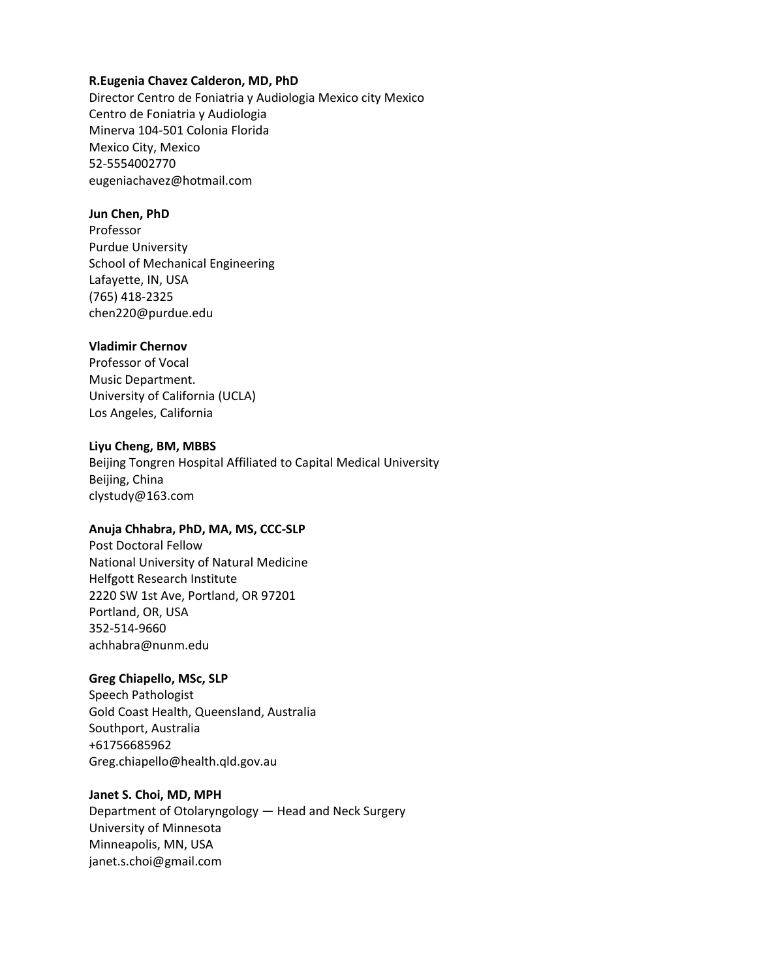#### **R.Eugenia Chavez Calderon, MD, PhD**

Director Centro de Foniatria y Audiologia Mexico city Mexico Centro de Foniatria y Audiologia Minerva 104-501 Colonia Florida Mexico City, Mexico 52-5554002770 eugeniachavez@hotmail.com

#### **Jun Chen, PhD**

Professor Purdue University School of Mechanical Engineering Lafayette, IN, USA (765) 418-2325 chen220@purdue.edu

### **Vladimir Chernov**

Professor of Vocal Music Department. University of California (UCLA) Los Angeles, California

#### **Liyu Cheng, BM, MBBS**

Beijing Tongren Hospital Affiliated to Capital Medical University Beijing, China clystudy@163.com

#### **Anuja Chhabra, PhD, MA, MS, CCC-SLP**

Post Doctoral Fellow National University of Natural Medicine Helfgott Research Institute 2220 SW 1st Ave, Portland, OR 97201 Portland, OR, USA 352-514-9660 achhabra@nunm.edu

#### **Greg Chiapello, MSc, SLP**

Speech Pathologist Gold Coast Health, Queensland, Australia Southport, Australia +61756685962 Greg.chiapello@health.qld.gov.au

## **Janet S. Choi, MD, MPH**

Department of Otolaryngology — Head and Neck Surgery University of Minnesota Minneapolis, MN, USA janet.s.choi@gmail.com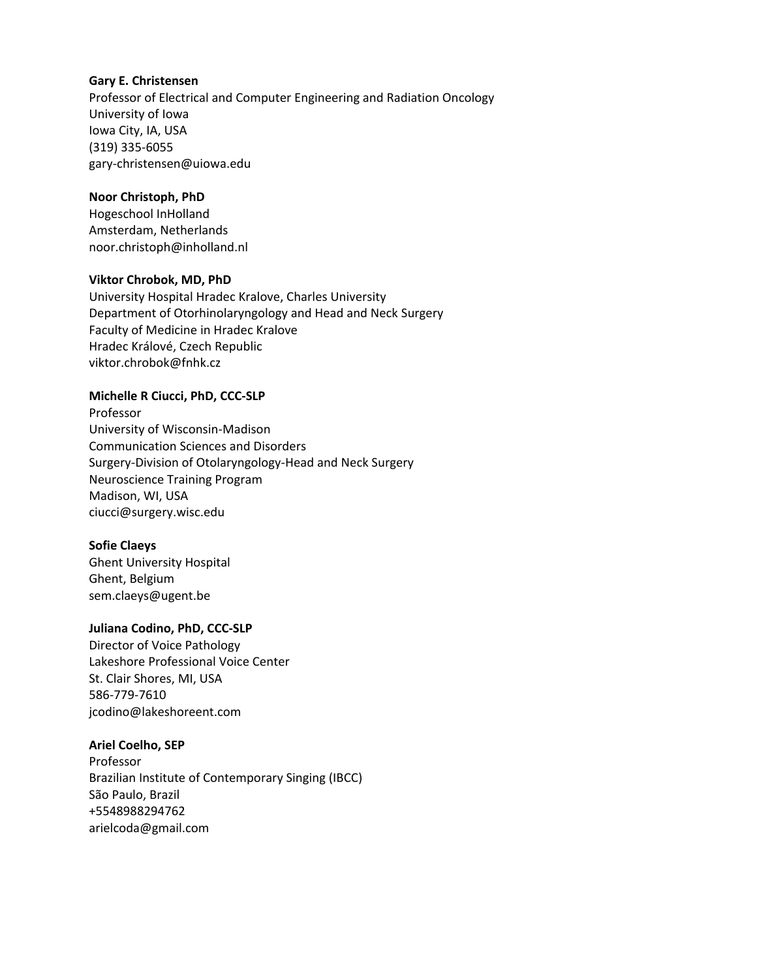#### **Gary E. Christensen**

Professor of Electrical and Computer Engineering and Radiation Oncology University of Iowa Iowa City, IA, USA (319) 335-6055 gary-christensen@uiowa.edu

## **Noor Christoph, PhD**

Hogeschool InHolland Amsterdam, Netherlands noor.christoph@inholland.nl

## **Viktor Chrobok, MD, PhD**

University Hospital Hradec Kralove, Charles University Department of Otorhinolaryngology and Head and Neck Surgery Faculty of Medicine in Hradec Kralove Hradec Králové, Czech Republic viktor.chrobok@fnhk.cz

## **Michelle R Ciucci, PhD, CCC-SLP**

Professor University of Wisconsin-Madison Communication Sciences and Disorders Surgery-Division of Otolaryngology-Head and Neck Surgery Neuroscience Training Program Madison, WI, USA ciucci@surgery.wisc.edu

## **Sofie Claeys**

Ghent University Hospital Ghent, Belgium sem.claeys@ugent.be

## **Juliana Codino, PhD, CCC-SLP**

Director of Voice Pathology Lakeshore Professional Voice Center St. Clair Shores, MI, USA 586-779-7610 jcodino@lakeshoreent.com

## **Ariel Coelho, SEP**

Professor Brazilian Institute of Contemporary Singing (IBCC) São Paulo, Brazil +5548988294762 arielcoda@gmail.com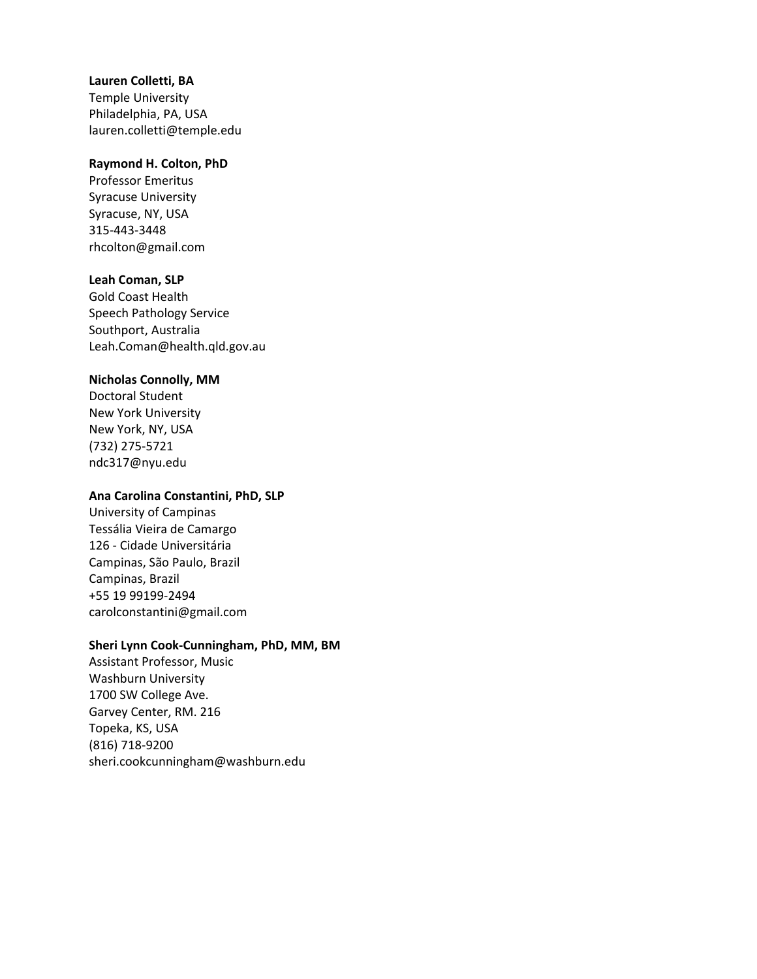#### **Lauren Colletti, BA**

Temple University Philadelphia, PA, USA lauren.colletti@temple.edu

## **Raymond H. Colton, PhD**

Professor Emeritus Syracuse University Syracuse, NY, USA 315-443-3448 rhcolton@gmail.com

## **Leah Coman, SLP**

Gold Coast Health Speech Pathology Service Southport, Australia Leah.Coman@health.qld.gov.au

## **Nicholas Connolly, MM**

Doctoral Student New York University New York, NY, USA (732) 275-5721 ndc317@nyu.edu

## **Ana Carolina Constantini, PhD, SLP**

University of Campinas Tessália Vieira de Camargo 126 - Cidade Universitária Campinas, São Paulo, Brazil Campinas, Brazil +55 19 99199-2494 carolconstantini@gmail.com

## **Sheri Lynn Cook-Cunningham, PhD, MM, BM**

Assistant Professor, Music Washburn University 1700 SW College Ave. Garvey Center, RM. 216 Topeka, KS, USA (816) 718-9200 sheri.cookcunningham@washburn.edu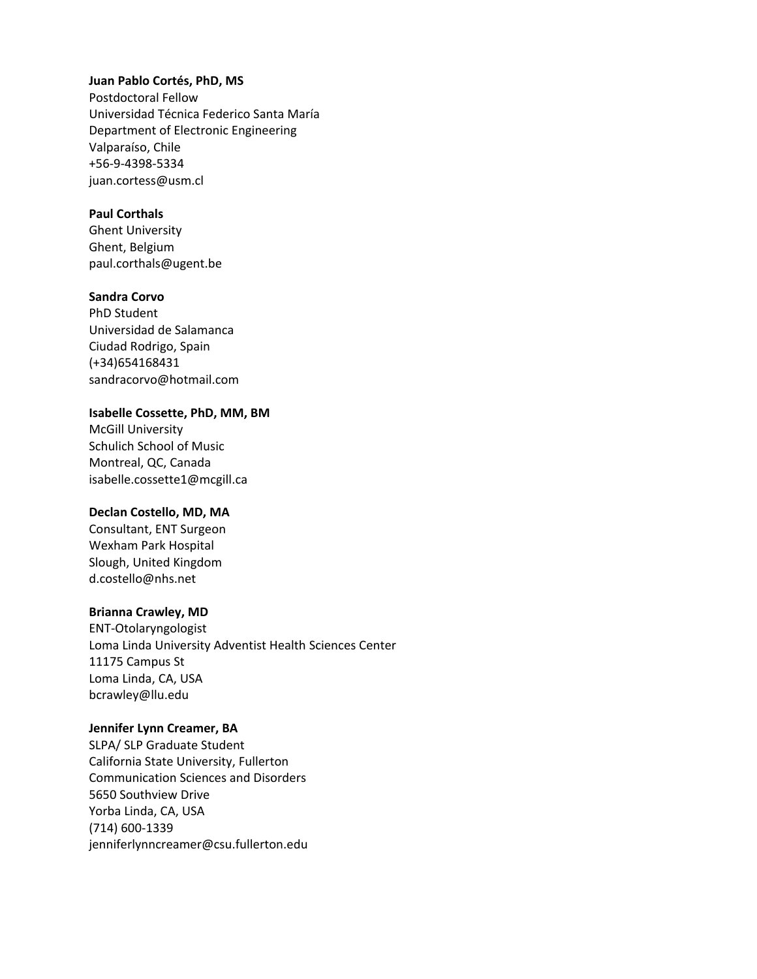#### **Juan Pablo Cortés, PhD, MS**

Postdoctoral Fellow Universidad Técnica Federico Santa María Department of Electronic Engineering Valparaíso, Chile +56-9-4398-5334 juan.cortess@usm.cl

## **Paul Corthals**

Ghent University Ghent, Belgium paul.corthals@ugent.be

#### **Sandra Corvo**

PhD Student Universidad de Salamanca Ciudad Rodrigo, Spain (+34)654168431 sandracorvo@hotmail.com

#### **Isabelle Cossette, PhD, MM, BM**

McGill University Schulich School of Music Montreal, QC, Canada isabelle.cossette1@mcgill.ca

## **Declan Costello, MD, MA**

Consultant, ENT Surgeon Wexham Park Hospital Slough, United Kingdom d.costello@nhs.net

## **Brianna Crawley, MD**

ENT-Otolaryngologist Loma Linda University Adventist Health Sciences Center 11175 Campus St Loma Linda, CA, USA bcrawley@llu.edu

#### **Jennifer Lynn Creamer, BA**

SLPA/ SLP Graduate Student California State University, Fullerton Communication Sciences and Disorders 5650 Southview Drive Yorba Linda, CA, USA (714) 600-1339 jenniferlynncreamer@csu.fullerton.edu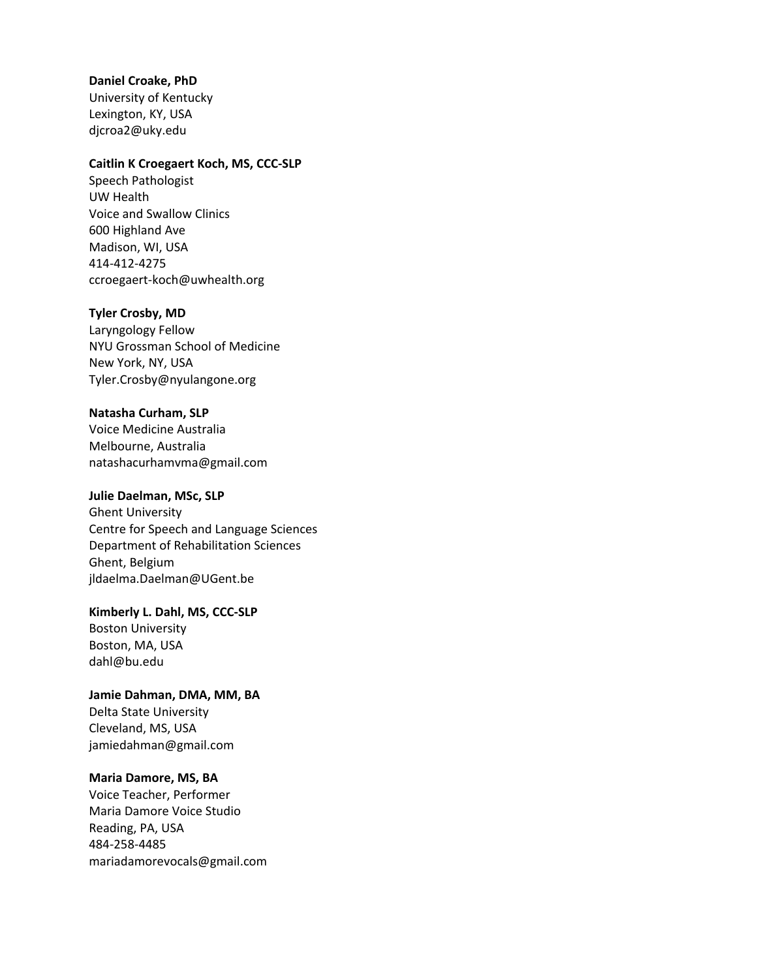#### **Daniel Croake, PhD**

University of Kentucky Lexington, KY, USA djcroa2@uky.edu

#### **Caitlin K Croegaert Koch, MS, CCC-SLP**

Speech Pathologist UW Health Voice and Swallow Clinics 600 Highland Ave Madison, WI, USA 414-412-4275 ccroegaert-koch@uwhealth.org

## **Tyler Crosby, MD**

Laryngology Fellow NYU Grossman School of Medicine New York, NY, USA Tyler.Crosby@nyulangone.org

#### **Natasha Curham, SLP**

Voice Medicine Australia Melbourne, Australia natashacurhamvma@gmail.com

## **Julie Daelman, MSc, SLP**

Ghent University Centre for Speech and Language Sciences Department of Rehabilitation Sciences Ghent, Belgium jldaelma.Daelman@UGent.be

## **Kimberly L. Dahl, MS, CCC-SLP**

Boston University Boston, MA, USA dahl@bu.edu

## **Jamie Dahman, DMA, MM, BA**

Delta State University Cleveland, MS, USA jamiedahman@gmail.com

## **Maria Damore, MS, BA**

Voice Teacher, Performer Maria Damore Voice Studio Reading, PA, USA 484-258-4485 mariadamorevocals@gmail.com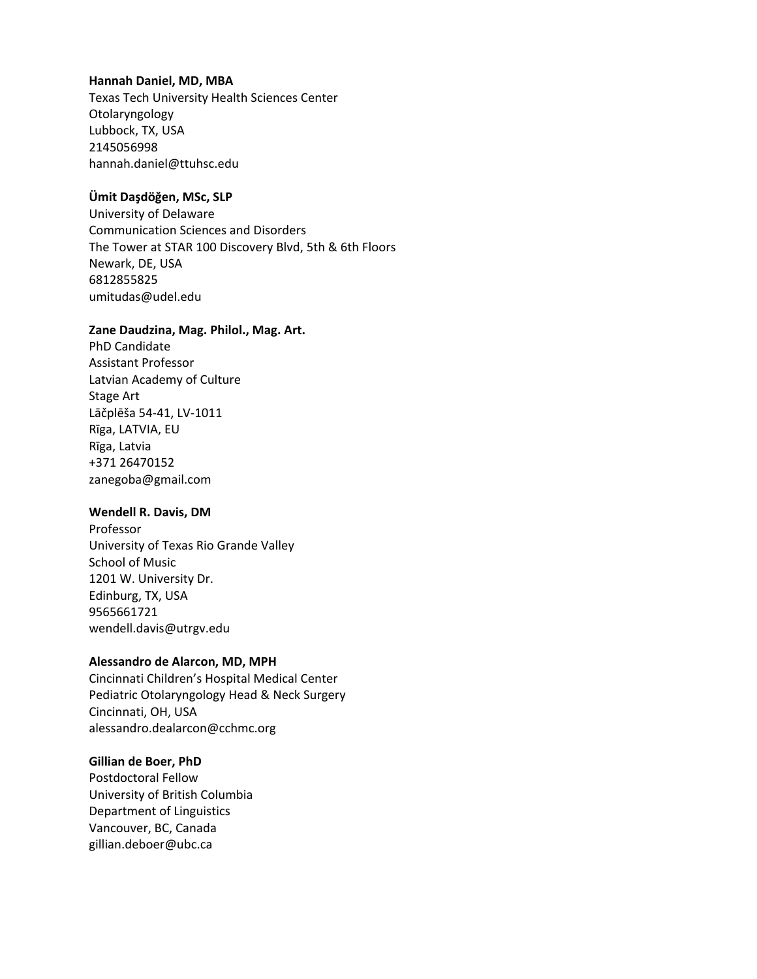#### **Hannah Daniel, MD, MBA**

Texas Tech University Health Sciences Center Otolaryngology Lubbock, TX, USA 2145056998 hannah.daniel@ttuhsc.edu

## **Ümit Daşdöğen, MSc, SLP**

University of Delaware Communication Sciences and Disorders The Tower at STAR 100 Discovery Blvd, 5th & 6th Floors Newark, DE, USA 6812855825 umitudas@udel.edu

#### **Zane Daudzina, Mag. Philol., Mag. Art.**

PhD Candidate Assistant Professor Latvian Academy of Culture Stage Art Lāčplēša 54-41, LV-1011 Rīga, LATVIA, EU Rīga, Latvia +371 26470152 zanegoba@gmail.com

## **Wendell R. Davis, DM**

Professor University of Texas Rio Grande Valley School of Music 1201 W. University Dr. Edinburg, TX, USA 9565661721 wendell.davis@utrgv.edu

## **Alessandro de Alarcon, MD, MPH**

Cincinnati Children's Hospital Medical Center Pediatric Otolaryngology Head & Neck Surgery Cincinnati, OH, USA alessandro.dealarcon@cchmc.org

## **Gillian de Boer, PhD**

Postdoctoral Fellow University of British Columbia Department of Linguistics Vancouver, BC, Canada gillian.deboer@ubc.ca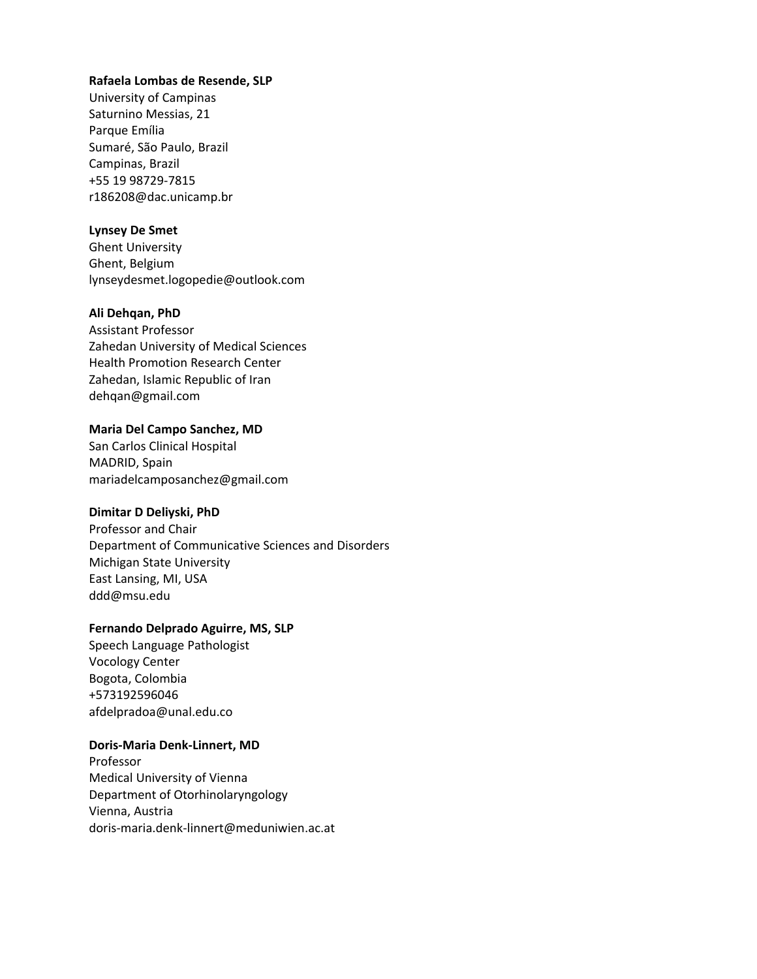#### **Rafaela Lombas de Resende, SLP**

University of Campinas Saturnino Messias, 21 Parque Emília Sumaré, São Paulo, Brazil Campinas, Brazil +55 19 98729-7815 r186208@dac.unicamp.br

## **Lynsey De Smet**

Ghent University Ghent, Belgium lynseydesmet.logopedie@outlook.com

## **Ali Dehqan, PhD**

Assistant Professor Zahedan University of Medical Sciences Health Promotion Research Center Zahedan, Islamic Republic of Iran dehqan@gmail.com

## **Maria Del Campo Sanchez, MD**

San Carlos Clinical Hospital MADRID, Spain mariadelcamposanchez@gmail.com

## **Dimitar D Deliyski, PhD**

Professor and Chair Department of Communicative Sciences and Disorders Michigan State University East Lansing, MI, USA ddd@msu.edu

## **Fernando Delprado Aguirre, MS, SLP**

Speech Language Pathologist Vocology Center Bogota, Colombia +573192596046 afdelpradoa@unal.edu.co

## **Doris-Maria Denk-Linnert, MD**

Professor Medical University of Vienna Department of Otorhinolaryngology Vienna, Austria doris-maria.denk-linnert@meduniwien.ac.at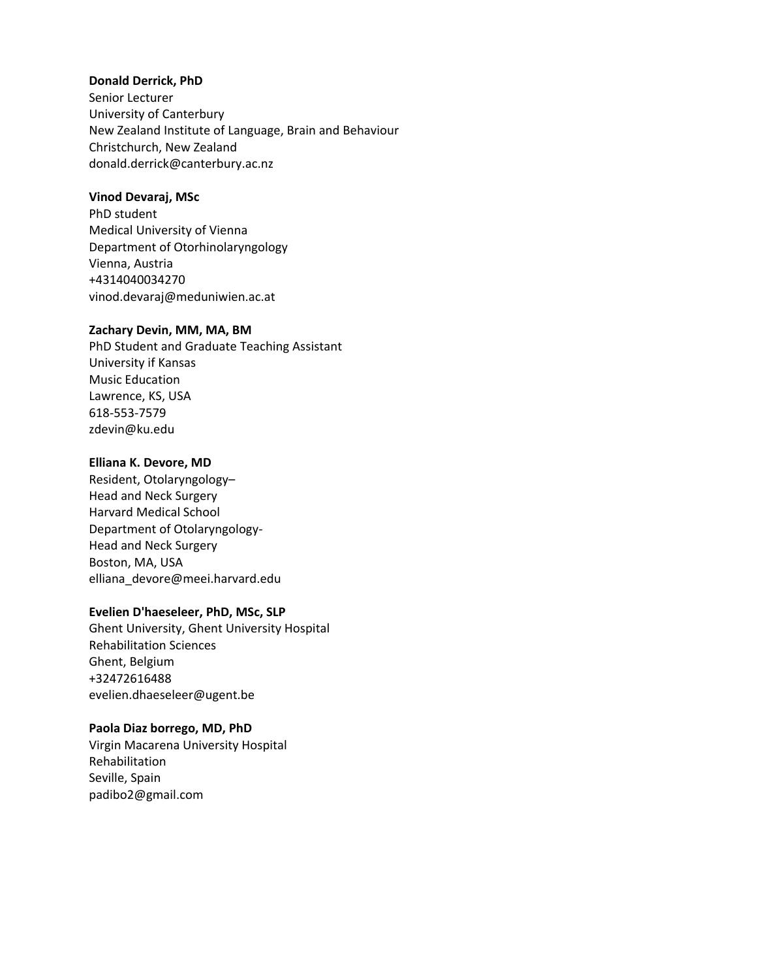#### **Donald Derrick, PhD**

Senior Lecturer University of Canterbury New Zealand Institute of Language, Brain and Behaviour Christchurch, New Zealand donald.derrick@canterbury.ac.nz

## **Vinod Devaraj, MSc**

PhD student Medical University of Vienna Department of Otorhinolaryngology Vienna, Austria +4314040034270 vinod.devaraj@meduniwien.ac.at

#### **Zachary Devin, MM, MA, BM**

PhD Student and Graduate Teaching Assistant University if Kansas Music Education Lawrence, KS, USA 618-553-7579 zdevin@ku.edu

#### **Elliana K. Devore, MD**

Resident, Otolaryngology– Head and Neck Surgery Harvard Medical School Department of Otolaryngology-Head and Neck Surgery Boston, MA, USA elliana\_devore@meei.harvard.edu

## **Evelien D'haeseleer, PhD, MSc, SLP**

Ghent University, Ghent University Hospital Rehabilitation Sciences Ghent, Belgium +32472616488 evelien.dhaeseleer@ugent.be

#### **Paola Diaz borrego, MD, PhD**

Virgin Macarena University Hospital Rehabilitation Seville, Spain padibo2@gmail.com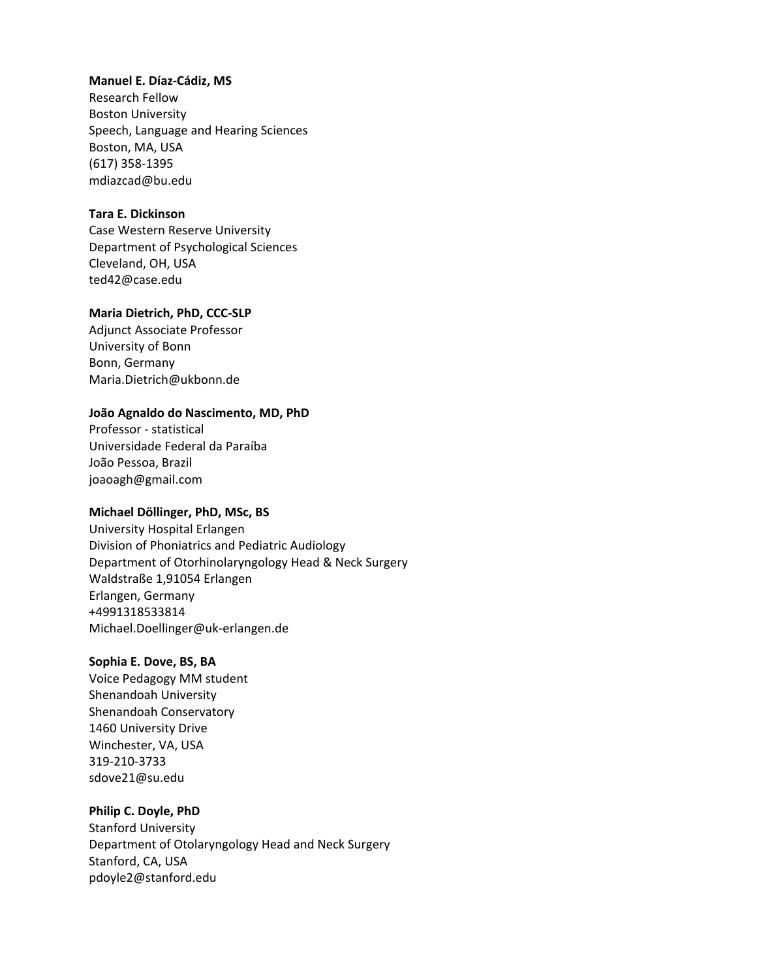#### **Manuel E. Díaz-Cádiz, MS**

Research Fellow Boston University Speech, Language and Hearing Sciences Boston, MA, USA (617) 358-1395 mdiazcad@bu.edu

## **Tara E. Dickinson**

Case Western Reserve University Department of Psychological Sciences Cleveland, OH, USA ted42@case.edu

#### **Maria Dietrich, PhD, CCC-SLP**

Adjunct Associate Professor University of Bonn Bonn, Germany Maria.Dietrich@ukbonn.de

## **João Agnaldo do Nascimento, MD, PhD**

Professor - statistical Universidade Federal da Paraíba João Pessoa, Brazil joaoagh@gmail.com

## **Michael Döllinger, PhD, MSc, BS**

University Hospital Erlangen Division of Phoniatrics and Pediatric Audiology Department of Otorhinolaryngology Head & Neck Surgery Waldstraße 1,91054 Erlangen Erlangen, Germany +4991318533814 Michael.Doellinger@uk-erlangen.de

## **Sophia E. Dove, BS, BA**

Voice Pedagogy MM student Shenandoah University Shenandoah Conservatory 1460 University Drive Winchester, VA, USA 319-210-3733 sdove21@su.edu

## **Philip C. Doyle, PhD**

Stanford University Department of Otolaryngology Head and Neck Surgery Stanford, CA, USA pdoyle2@stanford.edu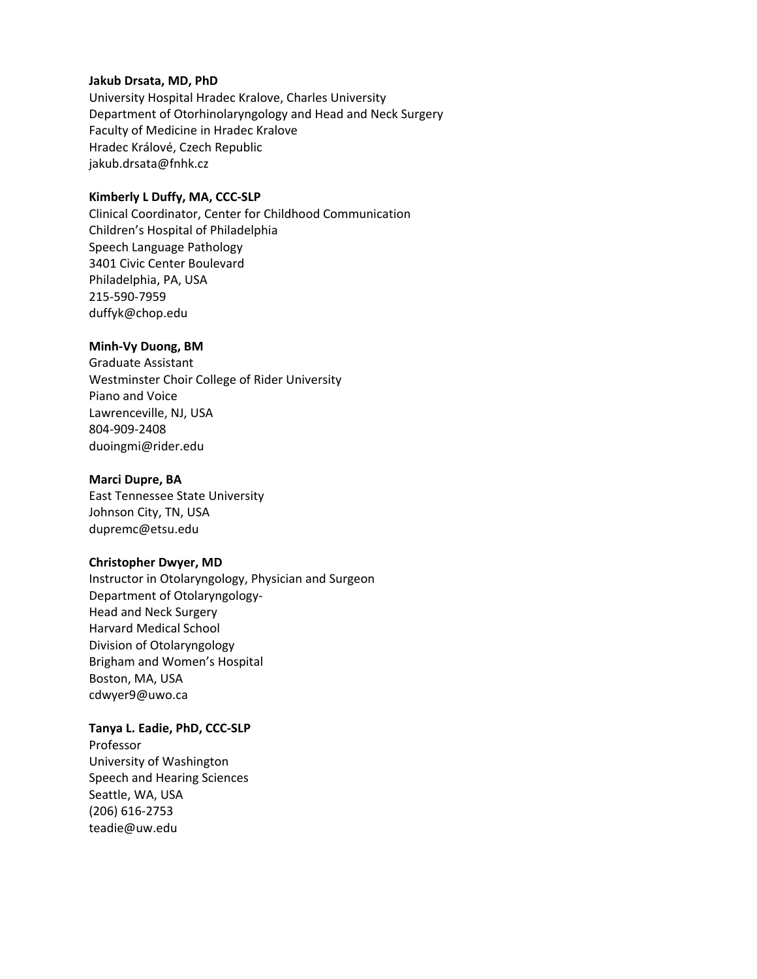#### **Jakub Drsata, MD, PhD**

University Hospital Hradec Kralove, Charles University Department of Otorhinolaryngology and Head and Neck Surgery Faculty of Medicine in Hradec Kralove Hradec Králové, Czech Republic jakub.drsata@fnhk.cz

## **Kimberly L Duffy, MA, CCC-SLP**

Clinical Coordinator, Center for Childhood Communication Children's Hospital of Philadelphia Speech Language Pathology 3401 Civic Center Boulevard Philadelphia, PA, USA 215-590-7959 duffyk@chop.edu

## **Minh-Vy Duong, BM**

Graduate Assistant Westminster Choir College of Rider University Piano and Voice Lawrenceville, NJ, USA 804-909-2408 duoingmi@rider.edu

#### **Marci Dupre, BA**

East Tennessee State University Johnson City, TN, USA dupremc@etsu.edu

#### **Christopher Dwyer, MD**

Instructor in Otolaryngology, Physician and Surgeon Department of Otolaryngology-Head and Neck Surgery Harvard Medical School Division of Otolaryngology Brigham and Women's Hospital Boston, MA, USA cdwyer9@uwo.ca

## **Tanya L. Eadie, PhD, CCC-SLP**

Professor University of Washington Speech and Hearing Sciences Seattle, WA, USA (206) 616-2753 teadie@uw.edu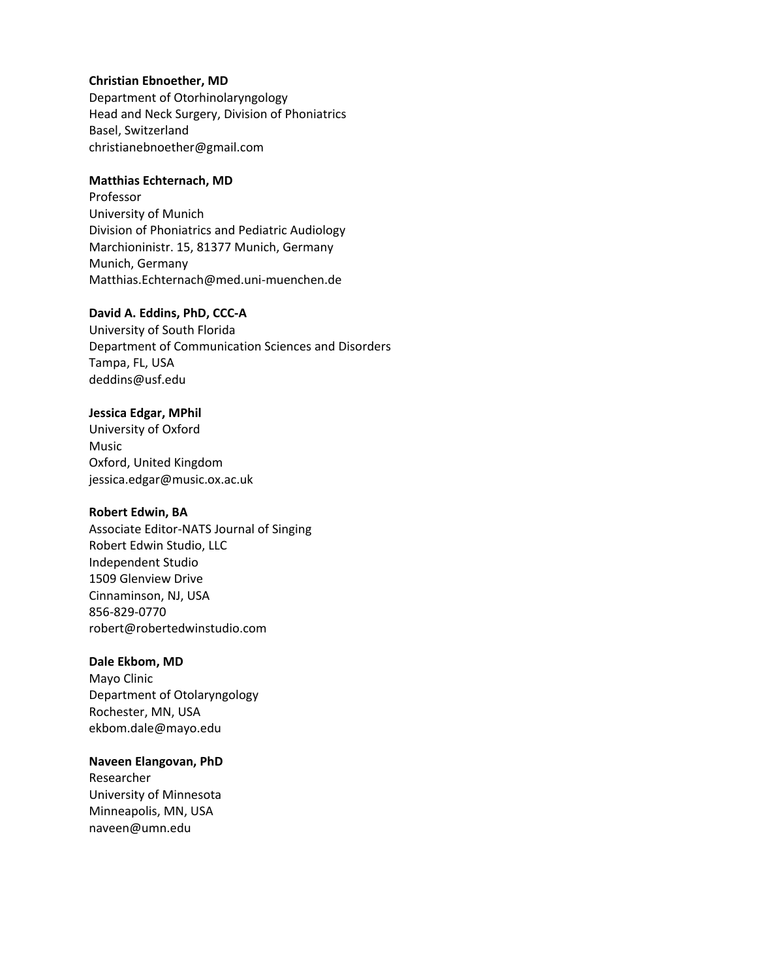## **Christian Ebnoether, MD**

Department of Otorhinolaryngology Head and Neck Surgery, Division of Phoniatrics Basel, Switzerland christianebnoether@gmail.com

## **Matthias Echternach, MD**

Professor University of Munich Division of Phoniatrics and Pediatric Audiology Marchioninistr. 15, 81377 Munich, Germany Munich, Germany Matthias.Echternach@med.uni-muenchen.de

## **David A. Eddins, PhD, CCC-A**

University of South Florida Department of Communication Sciences and Disorders Tampa, FL, USA deddins@usf.edu

## **Jessica Edgar, MPhil**

University of Oxford Music Oxford, United Kingdom jessica.edgar@music.ox.ac.uk

## **Robert Edwin, BA**

Associate Editor-NATS Journal of Singing Robert Edwin Studio, LLC Independent Studio 1509 Glenview Drive Cinnaminson, NJ, USA 856-829-0770 robert@robertedwinstudio.com

## **Dale Ekbom, MD**

Mayo Clinic Department of Otolaryngology Rochester, MN, USA ekbom.dale@mayo.edu

#### **Naveen Elangovan, PhD**

Researcher University of Minnesota Minneapolis, MN, USA naveen@umn.edu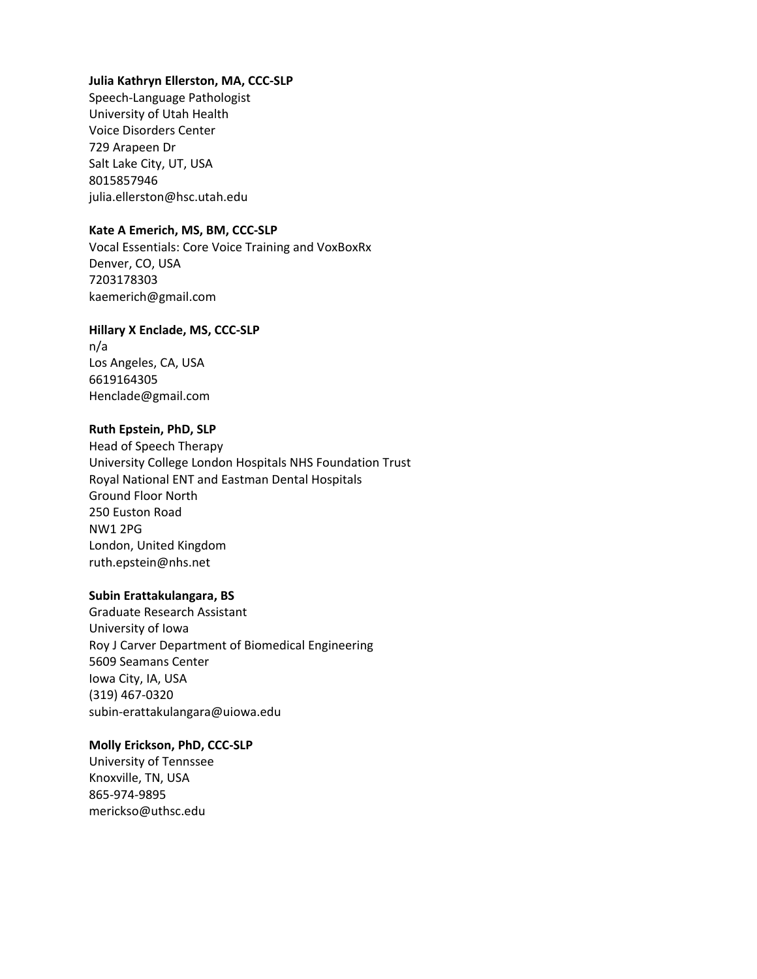## **Julia Kathryn Ellerston, MA, CCC-SLP**

Speech-Language Pathologist University of Utah Health Voice Disorders Center 729 Arapeen Dr Salt Lake City, UT, USA 8015857946 julia.ellerston@hsc.utah.edu

## **Kate A Emerich, MS, BM, CCC-SLP**

Vocal Essentials: Core Voice Training and VoxBoxRx Denver, CO, USA 7203178303 kaemerich@gmail.com

#### **Hillary X Enclade, MS, CCC-SLP**

n/a Los Angeles, CA, USA 6619164305 Henclade@gmail.com

#### **Ruth Epstein, PhD, SLP**

Head of Speech Therapy University College London Hospitals NHS Foundation Trust Royal National ENT and Eastman Dental Hospitals Ground Floor North 250 Euston Road NW1 2PG London, United Kingdom ruth.epstein@nhs.net

#### **Subin Erattakulangara, BS**

Graduate Research Assistant University of Iowa Roy J Carver Department of Biomedical Engineering 5609 Seamans Center Iowa City, IA, USA (319) 467-0320 subin-erattakulangara@uiowa.edu

#### **Molly Erickson, PhD, CCC-SLP**

University of Tennssee Knoxville, TN, USA 865-974-9895 merickso@uthsc.edu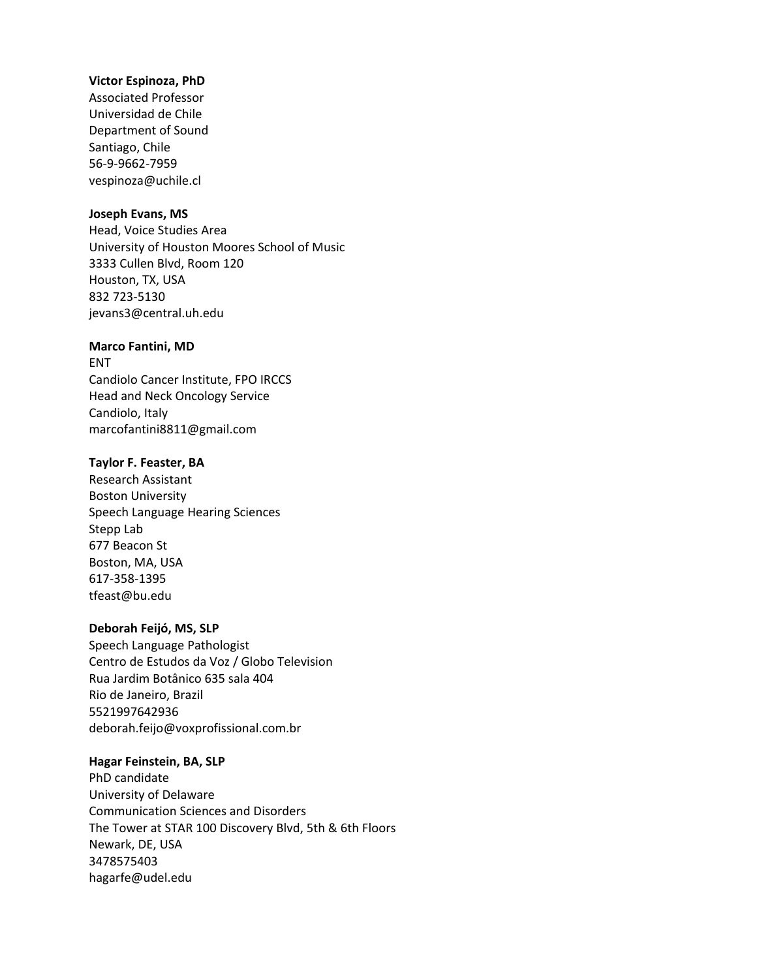#### **Victor Espinoza, PhD**

Associated Professor Universidad de Chile Department of Sound Santiago, Chile 56-9-9662-7959 vespinoza@uchile.cl

## **Joseph Evans, MS**

Head, Voice Studies Area University of Houston Moores School of Music 3333 Cullen Blvd, Room 120 Houston, TX, USA 832 723-5130 jevans3@central.uh.edu

#### **Marco Fantini, MD**

ENT Candiolo Cancer Institute, FPO IRCCS Head and Neck Oncology Service Candiolo, Italy marcofantini8811@gmail.com

#### **Taylor F. Feaster, BA**

Research Assistant Boston University Speech Language Hearing Sciences Stepp Lab 677 Beacon St Boston, MA, USA 617-358-1395 tfeast@bu.edu

## **Deborah Feijó, MS, SLP**

Speech Language Pathologist Centro de Estudos da Voz / Globo Television Rua Jardim Botânico 635 sala 404 Rio de Janeiro, Brazil 5521997642936 deborah.feijo@voxprofissional.com.br

#### **Hagar Feinstein, BA, SLP**

PhD candidate University of Delaware Communication Sciences and Disorders The Tower at STAR 100 Discovery Blvd, 5th & 6th Floors Newark, DE, USA 3478575403 hagarfe@udel.edu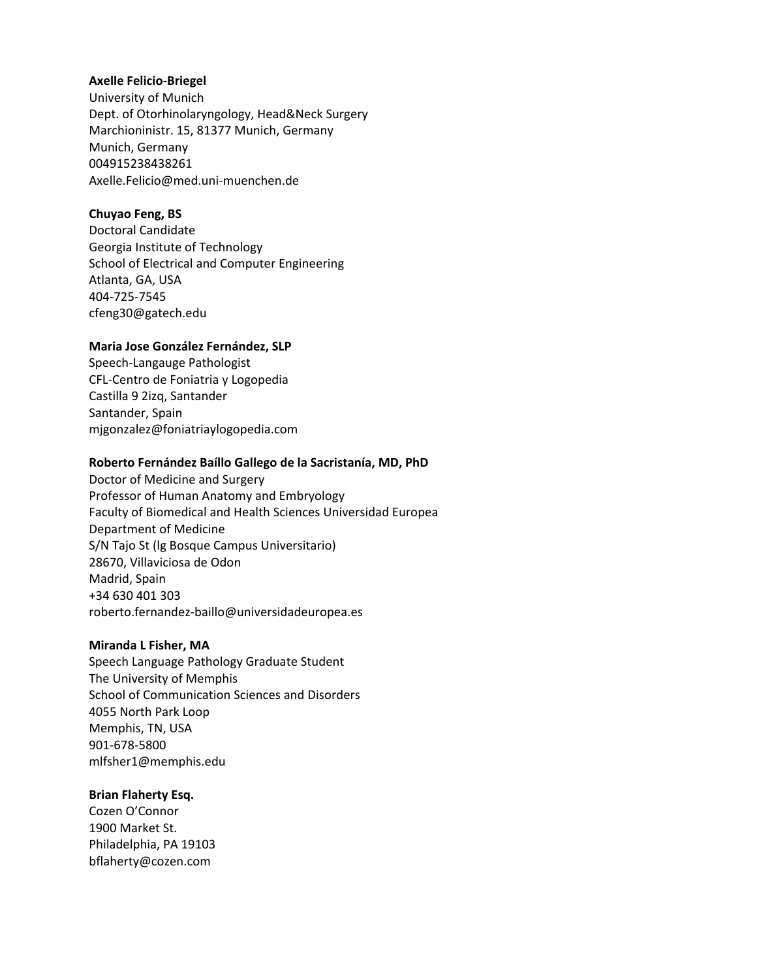## **Axelle Felicio-Briegel**

University of Munich Dept. of Otorhinolaryngology, Head&Neck Surgery Marchioninistr. 15, 81377 Munich, Germany Munich, Germany 004915238438261 Axelle.Felicio@med.uni-muenchen.de

## **Chuyao Feng, BS**

Doctoral Candidate Georgia Institute of Technology School of Electrical and Computer Engineering Atlanta, GA, USA 404-725-7545 cfeng30@gatech.edu

## **Maria Jose González Fernández, SLP**

Speech-Langauge Pathologist CFL-Centro de Foniatria y Logopedia Castilla 9 2izq, Santander Santander, Spain mjgonzalez@foniatriaylogopedia.com

## **Roberto Fernández Baíllo Gallego de la Sacristanía, MD, PhD**

Doctor of Medicine and Surgery Professor of Human Anatomy and Embryology Faculty of Biomedical and Health Sciences Universidad Europea Department of Medicine S/N Tajo St (lg Bosque Campus Universitario) 28670, Villaviciosa de Odon Madrid, Spain +34 630 401 303 roberto.fernandez-baillo@universidadeuropea.es

## **Miranda L Fisher, MA**

Speech Language Pathology Graduate Student The University of Memphis School of Communication Sciences and Disorders 4055 North Park Loop Memphis, TN, USA 901-678-5800 mlfsher1@memphis.edu

## **Brian Flaherty Esq.**

Cozen O'Connor 1900 Market St. Philadelphia, PA 19103 bflaherty@cozen.com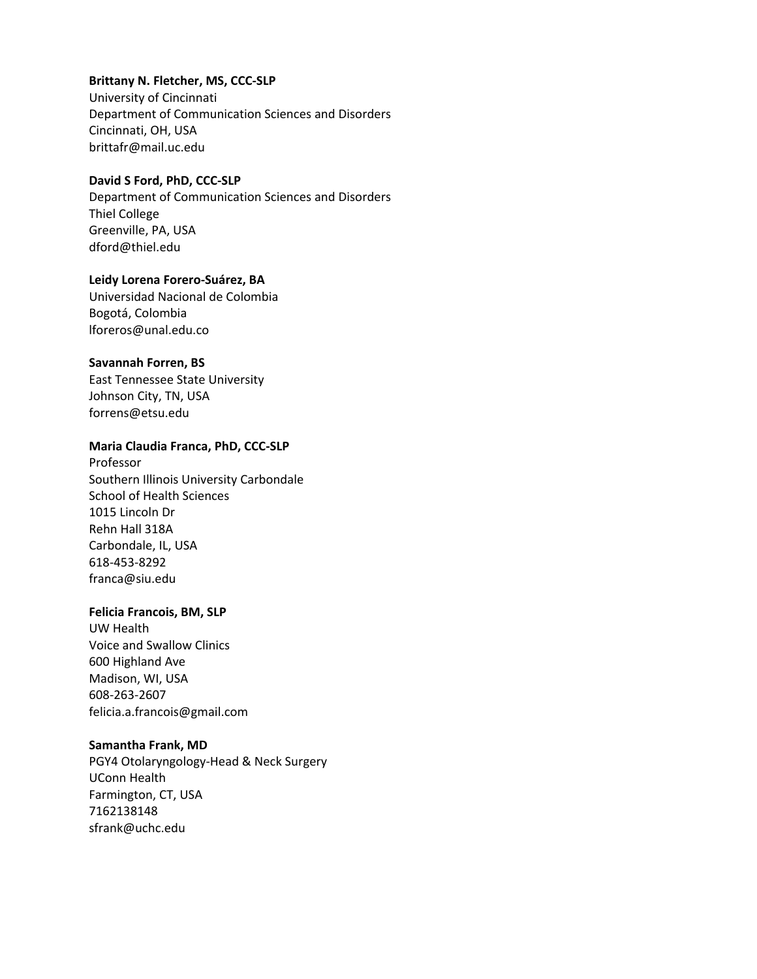## **Brittany N. Fletcher, MS, CCC-SLP**

University of Cincinnati Department of Communication Sciences and Disorders Cincinnati, OH, USA brittafr@mail.uc.edu

## **David S Ford, PhD, CCC-SLP**

Department of Communication Sciences and Disorders Thiel College Greenville, PA, USA dford@thiel.edu

#### **Leidy Lorena Forero-Suárez, BA**

Universidad Nacional de Colombia Bogotá, Colombia lforeros@unal.edu.co

#### **Savannah Forren, BS**

East Tennessee State University Johnson City, TN, USA forrens@etsu.edu

#### **Maria Claudia Franca, PhD, CCC-SLP**

Professor Southern Illinois University Carbondale School of Health Sciences 1015 Lincoln Dr Rehn Hall 318A Carbondale, IL, USA 618-453-8292 franca@siu.edu

## **Felicia Francois, BM, SLP**

UW Health Voice and Swallow Clinics 600 Highland Ave Madison, WI, USA 608-263-2607 felicia.a.francois@gmail.com

## **Samantha Frank, MD**

PGY4 Otolaryngology-Head & Neck Surgery UConn Health Farmington, CT, USA 7162138148 sfrank@uchc.edu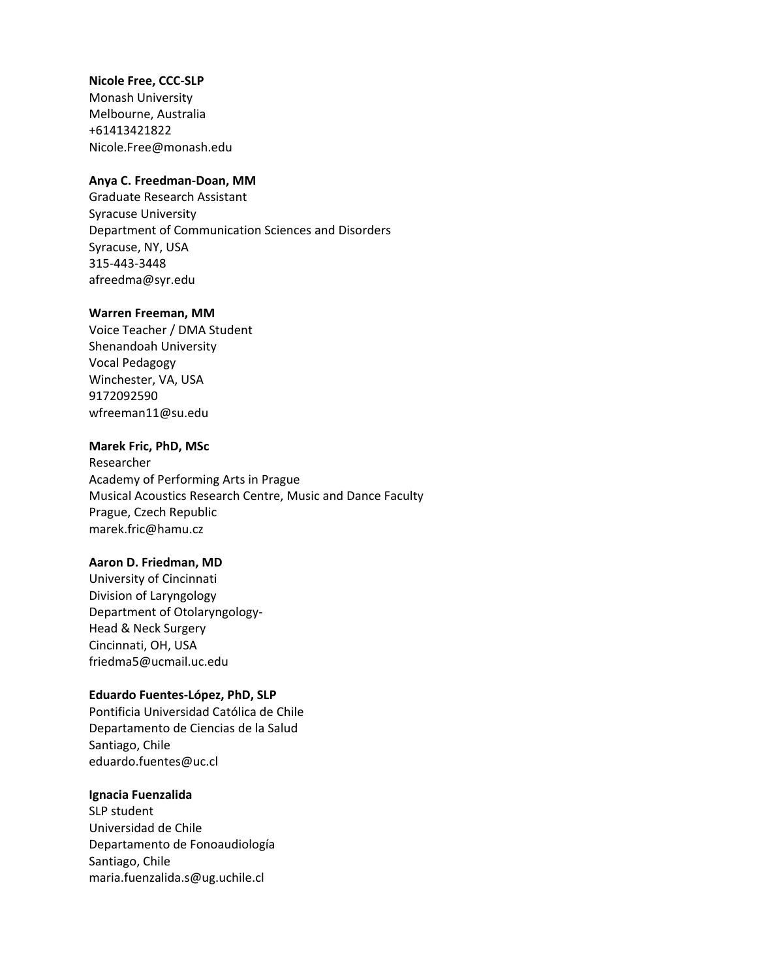#### **Nicole Free, CCC-SLP**

Monash University Melbourne, Australia +61413421822 Nicole.Free@monash.edu

## **Anya C. Freedman-Doan, MM**

Graduate Research Assistant Syracuse University Department of Communication Sciences and Disorders Syracuse, NY, USA 315-443-3448 afreedma@syr.edu

#### **Warren Freeman, MM**

Voice Teacher / DMA Student Shenandoah University Vocal Pedagogy Winchester, VA, USA 9172092590 wfreeman11@su.edu

#### **Marek Fric, PhD, MSc**

Researcher Academy of Performing Arts in Prague Musical Acoustics Research Centre, Music and Dance Faculty Prague, Czech Republic marek.fric@hamu.cz

#### **Aaron D. Friedman, MD**

University of Cincinnati Division of Laryngology Department of Otolaryngology-Head & Neck Surgery Cincinnati, OH, USA friedma5@ucmail.uc.edu

## **Eduardo Fuentes-López, PhD, SLP**

Pontificia Universidad Católica de Chile Departamento de Ciencias de la Salud Santiago, Chile eduardo.fuentes@uc.cl

## **Ignacia Fuenzalida**

SLP student Universidad de Chile Departamento de Fonoaudiología Santiago, Chile maria.fuenzalida.s@ug.uchile.cl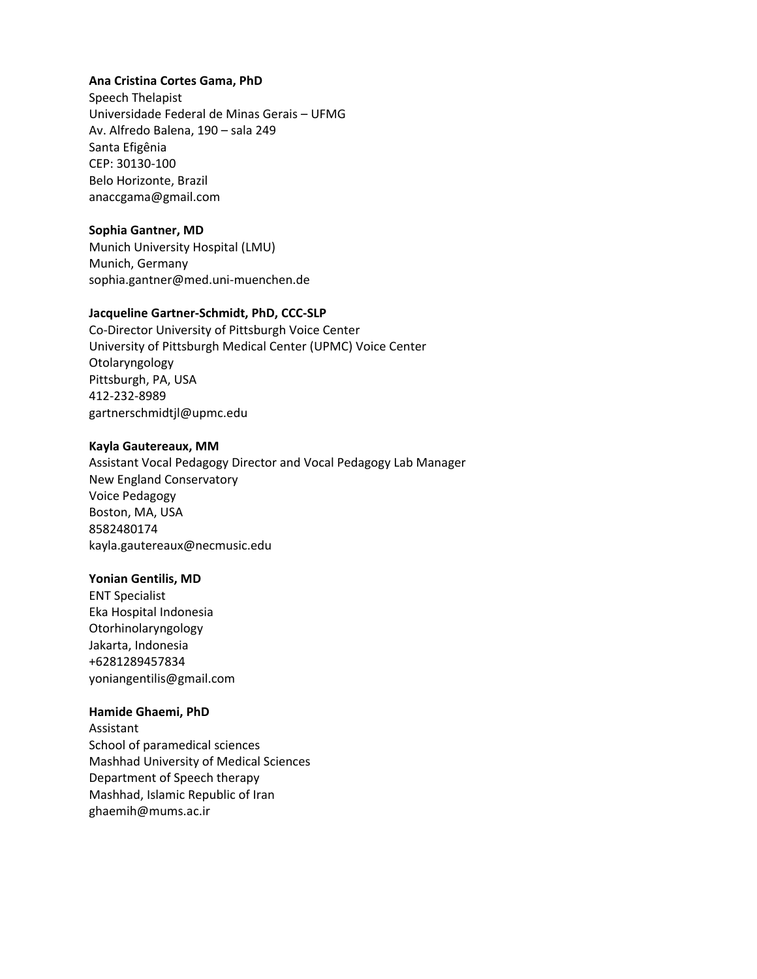## **Ana Cristina Cortes Gama, PhD**

Speech Thelapist Universidade Federal de Minas Gerais – UFMG Av. Alfredo Balena, 190 – sala 249 Santa Efigênia CEP: 30130-100 Belo Horizonte, Brazil anaccgama@gmail.com

#### **Sophia Gantner, MD**

Munich University Hospital (LMU) Munich, Germany sophia.gantner@med.uni-muenchen.de

#### **Jacqueline Gartner-Schmidt, PhD, CCC-SLP**

Co-Director University of Pittsburgh Voice Center University of Pittsburgh Medical Center (UPMC) Voice Center Otolaryngology Pittsburgh, PA, USA 412-232-8989 gartnerschmidtjl@upmc.edu

#### **Kayla Gautereaux, MM**

Assistant Vocal Pedagogy Director and Vocal Pedagogy Lab Manager New England Conservatory Voice Pedagogy Boston, MA, USA 8582480174 kayla.gautereaux@necmusic.edu

#### **Yonian Gentilis, MD**

ENT Specialist Eka Hospital Indonesia Otorhinolaryngology Jakarta, Indonesia +6281289457834 yoniangentilis@gmail.com

#### **Hamide Ghaemi, PhD**

Assistant School of paramedical sciences Mashhad University of Medical Sciences Department of Speech therapy Mashhad, Islamic Republic of Iran ghaemih@mums.ac.ir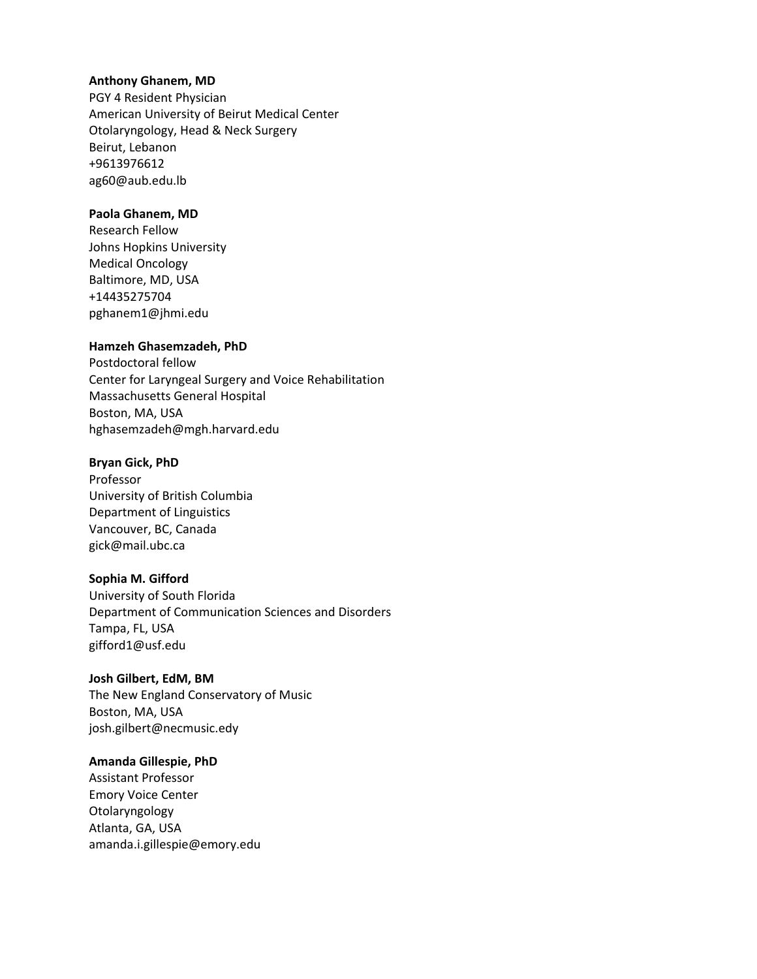## **Anthony Ghanem, MD**

PGY 4 Resident Physician American University of Beirut Medical Center Otolaryngology, Head & Neck Surgery Beirut, Lebanon +9613976612 ag60@aub.edu.lb

## **Paola Ghanem, MD**

Research Fellow Johns Hopkins University Medical Oncology Baltimore, MD, USA +14435275704 pghanem1@jhmi.edu

## **Hamzeh Ghasemzadeh, PhD**

Postdoctoral fellow Center for Laryngeal Surgery and Voice Rehabilitation Massachusetts General Hospital Boston, MA, USA hghasemzadeh@mgh.harvard.edu

## **Bryan Gick, PhD**

Professor University of British Columbia Department of Linguistics Vancouver, BC, Canada gick@mail.ubc.ca

## **Sophia M. Gifford**

University of South Florida Department of Communication Sciences and Disorders Tampa, FL, USA gifford1@usf.edu

## **Josh Gilbert, EdM, BM**

The New England Conservatory of Music Boston, MA, USA josh.gilbert@necmusic.edy

## **Amanda Gillespie, PhD**

Assistant Professor Emory Voice Center Otolaryngology Atlanta, GA, USA amanda.i.gillespie@emory.edu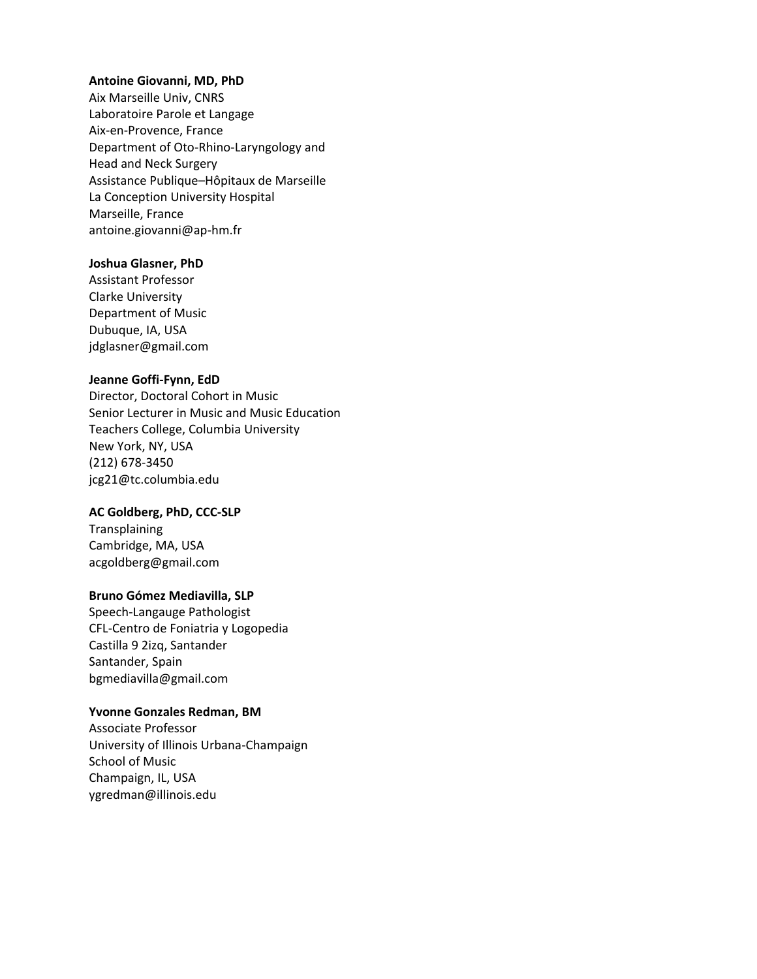#### **Antoine Giovanni, MD, PhD**

Aix Marseille Univ, CNRS Laboratoire Parole et Langage Aix-en-Provence, France Department of Oto-Rhino-Laryngology and Head and Neck Surgery Assistance Publique–Hôpitaux de Marseille La Conception University Hospital Marseille, France antoine.giovanni@ap-hm.fr

## **Joshua Glasner, PhD**

Assistant Professor Clarke University Department of Music Dubuque, IA, USA jdglasner@gmail.com

#### **Jeanne Goffi-Fynn, EdD**

Director, Doctoral Cohort in Music Senior Lecturer in Music and Music Education Teachers College, Columbia University New York, NY, USA (212) 678-3450 jcg21@tc.columbia.edu

## **AC Goldberg, PhD, CCC-SLP**

Transplaining Cambridge, MA, USA acgoldberg@gmail.com

#### **Bruno Gómez Mediavilla, SLP**

Speech-Langauge Pathologist CFL-Centro de Foniatria y Logopedia Castilla 9 2izq, Santander Santander, Spain bgmediavilla@gmail.com

## **Yvonne Gonzales Redman, BM**

Associate Professor University of Illinois Urbana-Champaign School of Music Champaign, IL, USA ygredman@illinois.edu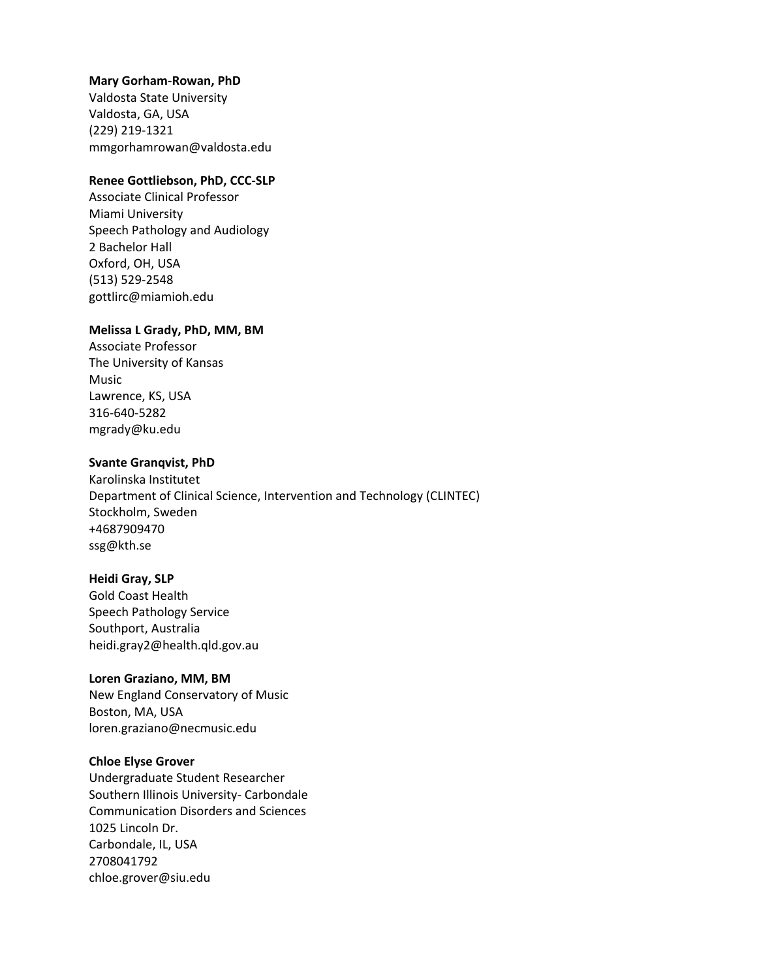#### **Mary Gorham-Rowan, PhD**

Valdosta State University Valdosta, GA, USA (229) 219-1321 mmgorhamrowan@valdosta.edu

## **Renee Gottliebson, PhD, CCC-SLP**

Associate Clinical Professor Miami University Speech Pathology and Audiology 2 Bachelor Hall Oxford, OH, USA (513) 529-2548 gottlirc@miamioh.edu

#### **Melissa L Grady, PhD, MM, BM**

Associate Professor The University of Kansas Music Lawrence, KS, USA 316-640-5282 mgrady@ku.edu

#### **Svante Granqvist, PhD**

Karolinska Institutet Department of Clinical Science, Intervention and Technology (CLINTEC) Stockholm, Sweden +4687909470 ssg@kth.se

# **Heidi Gray, SLP**

Gold Coast Health Speech Pathology Service Southport, Australia heidi.gray2@health.qld.gov.au

# **Loren Graziano, MM, BM**

New England Conservatory of Music Boston, MA, USA loren.graziano@necmusic.edu

## **Chloe Elyse Grover**

Undergraduate Student Researcher Southern Illinois University- Carbondale Communication Disorders and Sciences 1025 Lincoln Dr. Carbondale, IL, USA 2708041792 chloe.grover@siu.edu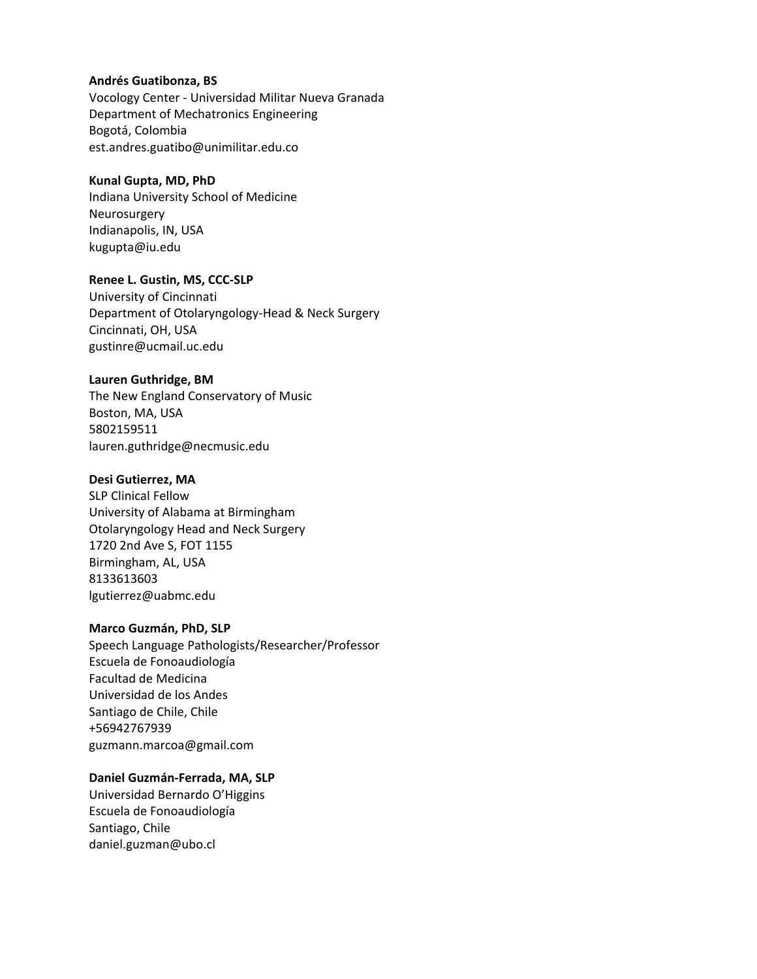# **Andrés Guatibonza, BS**

Vocology Center - Universidad Militar Nueva Granada Department of Mechatronics Engineering Bogotá, Colombia est.andres.guatibo@unimilitar.edu.co

# **Kunal Gupta, MD, PhD**

Indiana University School of Medicine Neurosurgery Indianapolis, IN, USA kugupta@iu.edu

# **Renee L. Gustin, MS, CCC-SLP**

University of Cincinnati Department of Otolaryngology-Head & Neck Surgery Cincinnati, OH, USA gustinre@ucmail.uc.edu

# **Lauren Guthridge, BM**

The New England Conservatory of Music Boston, MA, USA 5802159511 lauren.guthridge@necmusic.edu

# **Desi Gutierrez, MA**

SLP Clinical Fellow University of Alabama at Birmingham Otolaryngology Head and Neck Surgery 1720 2nd Ave S, FOT 1155 Birmingham, AL, USA 8133613603 lgutierrez@uabmc.edu

# **Marco Guzmán, PhD, SLP**

Speech Language Pathologists/Researcher/Professor Escuela de Fonoaudiología Facultad de Medicina Universidad de los Andes Santiago de Chile, Chile +56942767939 guzmann.marcoa@gmail.com

# **Daniel Guzmán-Ferrada, MA, SLP**

Universidad Bernardo O'Higgins Escuela de Fonoaudiología Santiago, Chile daniel.guzman@ubo.cl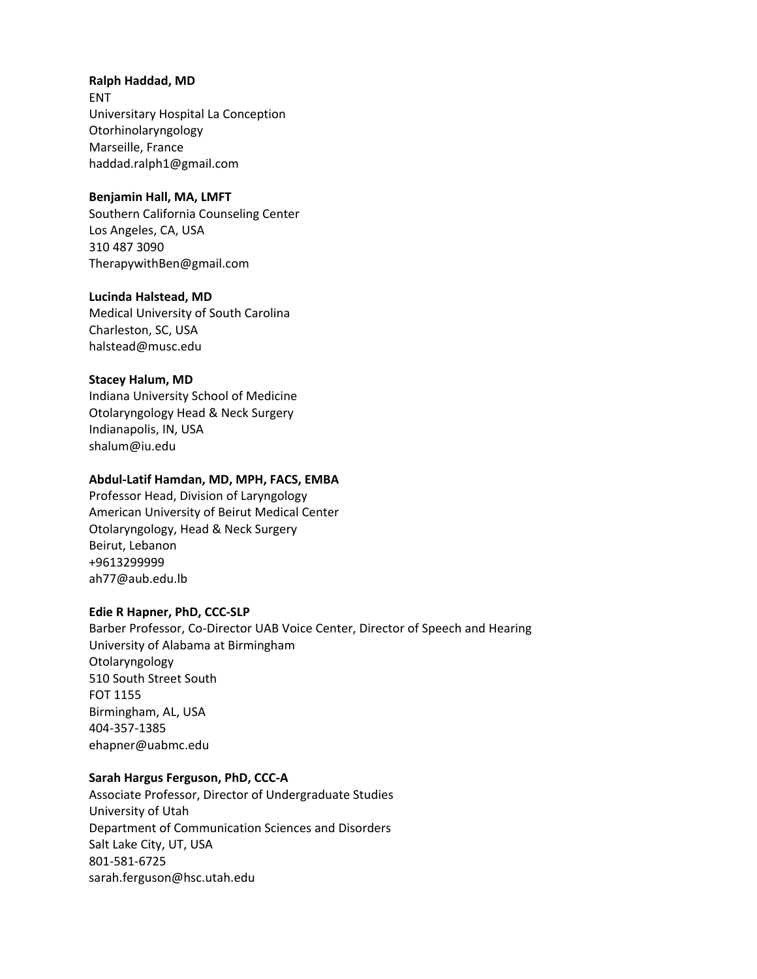# **Ralph Haddad, MD**

ENT Universitary Hospital La Conception Otorhinolaryngology Marseille, France haddad.ralph1@gmail.com

# **Benjamin Hall, MA, LMFT**

Southern California Counseling Center Los Angeles, CA, USA 310 487 3090 TherapywithBen@gmail.com

# **Lucinda Halstead, MD**

Medical University of South Carolina Charleston, SC, USA halstead@musc.edu

# **Stacey Halum, MD**

Indiana University School of Medicine Otolaryngology Head & Neck Surgery Indianapolis, IN, USA shalum@iu.edu

# **Abdul-Latif Hamdan, MD, MPH, FACS, EMBA**

Professor Head, Division of Laryngology American University of Beirut Medical Center Otolaryngology, Head & Neck Surgery Beirut, Lebanon +9613299999 ah77@aub.edu.lb

# **Edie R Hapner, PhD, CCC-SLP**

Barber Professor, Co-Director UAB Voice Center, Director of Speech and Hearing University of Alabama at Birmingham Otolaryngology 510 South Street South FOT 1155 Birmingham, AL, USA 404-357-1385 ehapner@uabmc.edu

# **Sarah Hargus Ferguson, PhD, CCC-A**

Associate Professor, Director of Undergraduate Studies University of Utah Department of Communication Sciences and Disorders Salt Lake City, UT, USA 801-581-6725 sarah.ferguson@hsc.utah.edu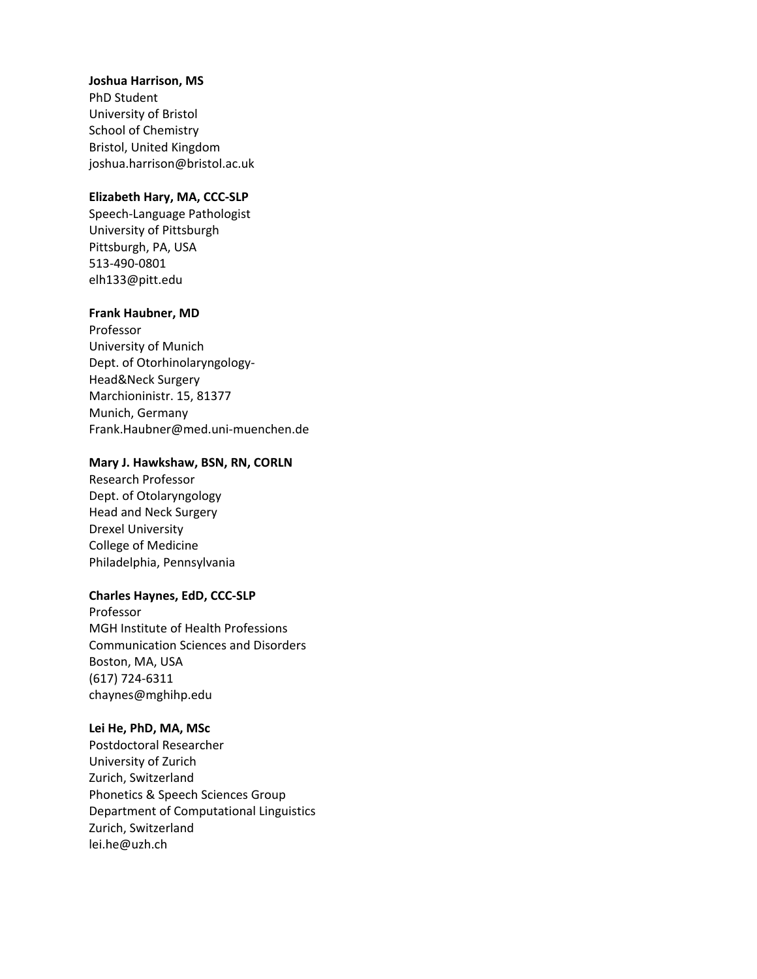### **Joshua Harrison, MS**

PhD Student University of Bristol School of Chemistry Bristol, United Kingdom joshua.harrison@bristol.ac.uk

# **Elizabeth Hary, MA, CCC-SLP**

Speech-Language Pathologist University of Pittsburgh Pittsburgh, PA, USA 513-490-0801 elh133@pitt.edu

# **Frank Haubner, MD**

Professor University of Munich Dept. of Otorhinolaryngology-Head&Neck Surgery Marchioninistr. 15, 81377 Munich, Germany Frank.Haubner@med.uni-muenchen.de

# **Mary J. Hawkshaw, BSN, RN, CORLN**

Research Professor Dept. of Otolaryngology Head and Neck Surgery Drexel University College of Medicine Philadelphia, Pennsylvania

# **Charles Haynes, EdD, CCC-SLP**

Professor MGH Institute of Health Professions Communication Sciences and Disorders Boston, MA, USA (617) 724-6311 chaynes@mghihp.edu

# **Lei He, PhD, MA, MSc**

Postdoctoral Researcher University of Zurich Zurich, Switzerland Phonetics & Speech Sciences Group Department of Computational Linguistics Zurich, Switzerland lei.he@uzh.ch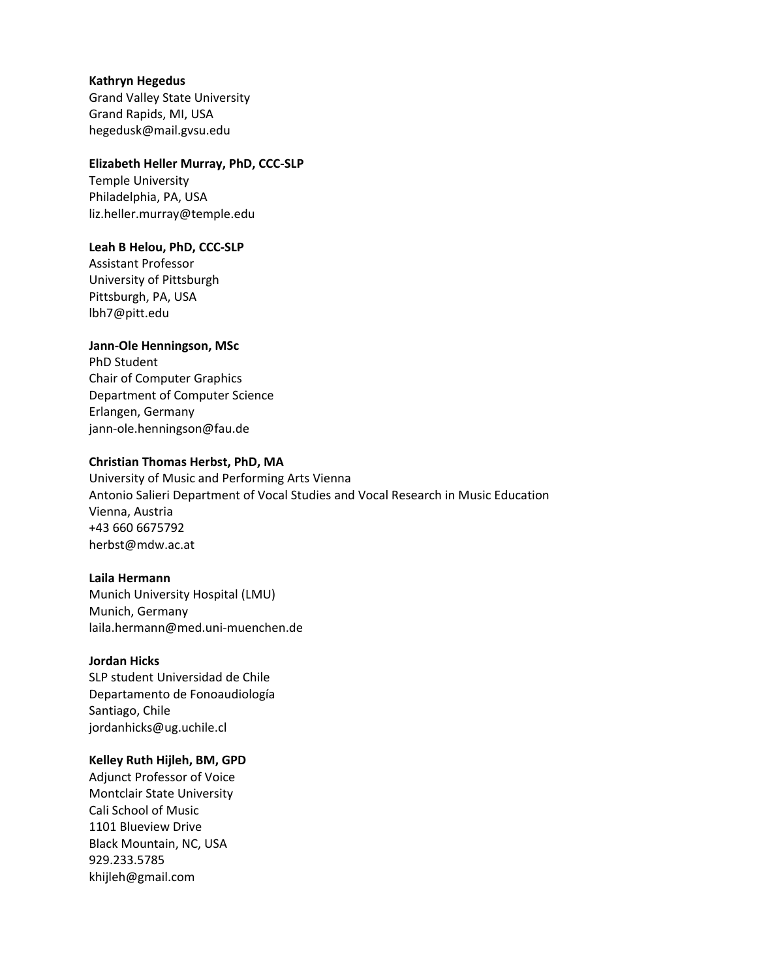# **Kathryn Hegedus**

Grand Valley State University Grand Rapids, MI, USA hegedusk@mail.gvsu.edu

# **Elizabeth Heller Murray, PhD, CCC-SLP**

Temple University Philadelphia, PA, USA liz.heller.murray@temple.edu

# **Leah B Helou, PhD, CCC-SLP**

Assistant Professor University of Pittsburgh Pittsburgh, PA, USA lbh7@pitt.edu

# **Jann-Ole Henningson, MSc**

PhD Student Chair of Computer Graphics Department of Computer Science Erlangen, Germany jann-ole.henningson@fau.de

# **Christian Thomas Herbst, PhD, MA**

University of Music and Performing Arts Vienna Antonio Salieri Department of Vocal Studies and Vocal Research in Music Education Vienna, Austria +43 660 6675792 herbst@mdw.ac.at

### **Laila Hermann**

Munich University Hospital (LMU) Munich, Germany laila.hermann@med.uni-muenchen.de

# **Jordan Hicks**

SLP student Universidad de Chile Departamento de Fonoaudiología Santiago, Chile jordanhicks@ug.uchile.cl

# **Kelley Ruth Hijleh, BM, GPD**

Adjunct Professor of Voice Montclair State University Cali School of Music 1101 Blueview Drive Black Mountain, NC, USA 929.233.5785 khijleh@gmail.com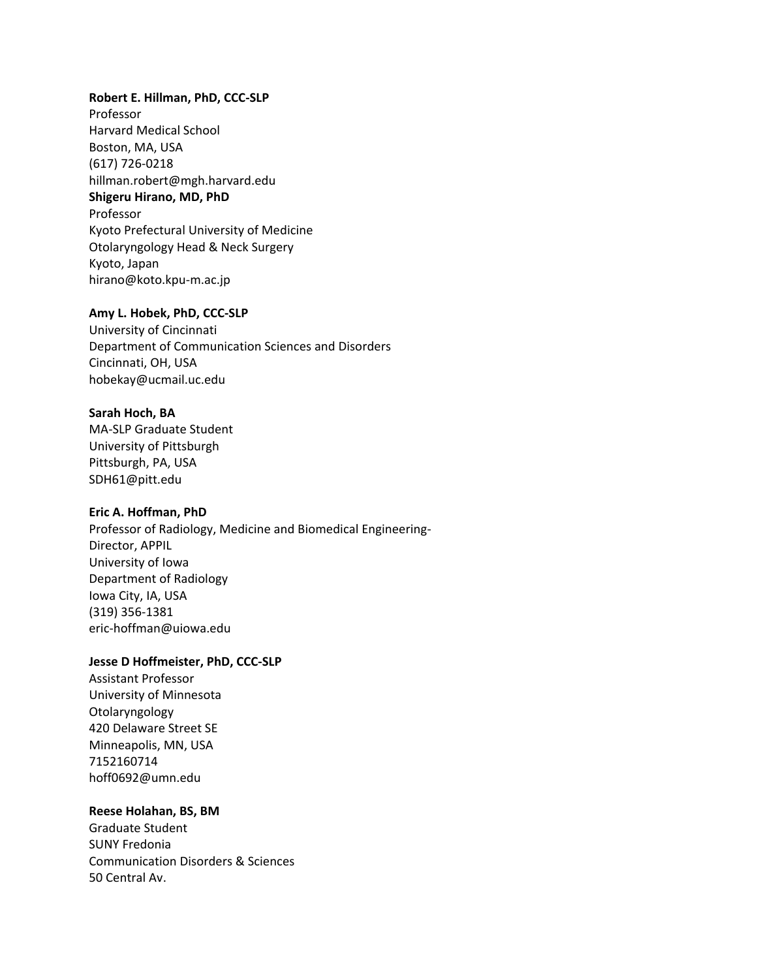# **Robert E. Hillman, PhD, CCC-SLP**

Professor Harvard Medical School Boston, MA, USA (617) 726-0218 hillman.robert@mgh.harvard.edu **Shigeru Hirano, MD, PhD** Professor

Kyoto Prefectural University of Medicine Otolaryngology Head & Neck Surgery Kyoto, Japan hirano@koto.kpu-m.ac.jp

## **Amy L. Hobek, PhD, CCC-SLP**

University of Cincinnati Department of Communication Sciences and Disorders Cincinnati, OH, USA hobekay@ucmail.uc.edu

#### **Sarah Hoch, BA**

MA-SLP Graduate Student University of Pittsburgh Pittsburgh, PA, USA SDH61@pitt.edu

### **Eric A. Hoffman, PhD**

Professor of Radiology, Medicine and Biomedical Engineering-Director, APPIL University of Iowa Department of Radiology Iowa City, IA, USA (319) 356-1381 eric-hoffman@uiowa.edu

### **Jesse D Hoffmeister, PhD, CCC-SLP**

Assistant Professor University of Minnesota Otolaryngology 420 Delaware Street SE Minneapolis, MN, USA 7152160714 hoff0692@umn.edu

## **Reese Holahan, BS, BM**

Graduate Student SUNY Fredonia Communication Disorders & Sciences 50 Central Av.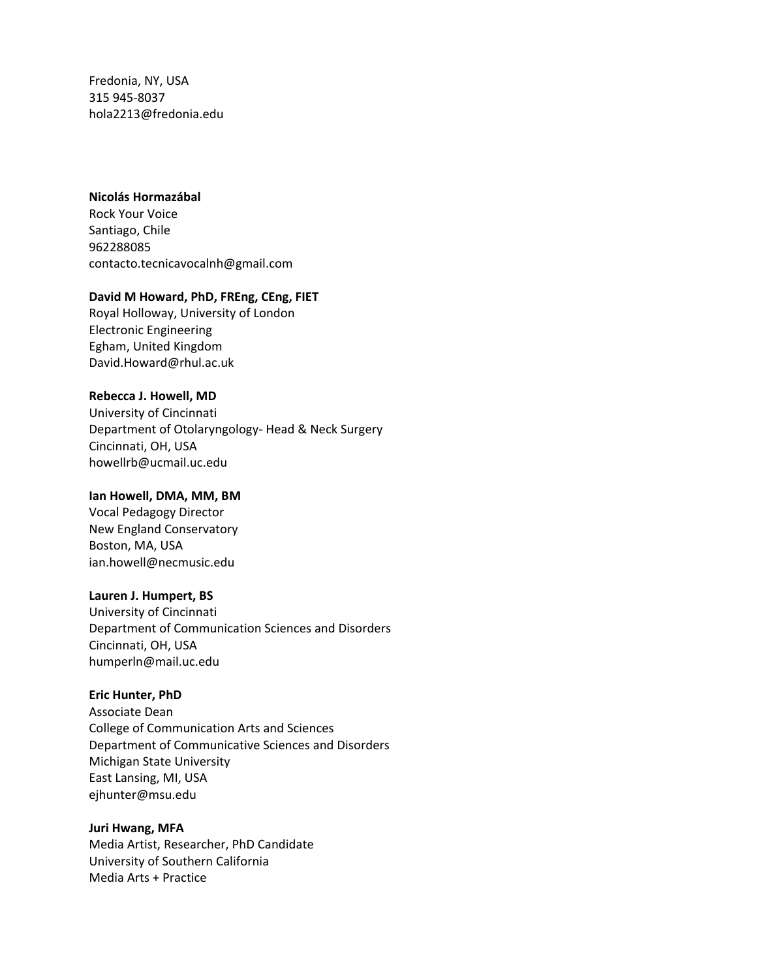Fredonia, NY, USA 315 945-8037 hola2213@fredonia.edu

# **Nicolás Hormazábal**

Rock Your Voice Santiago, Chile 962288085 contacto.tecnicavocalnh@gmail.com

#### **David M Howard, PhD, FREng, CEng, FIET**

Royal Holloway, University of London Electronic Engineering Egham, United Kingdom David.Howard@rhul.ac.uk

#### **Rebecca J. Howell, MD**

University of Cincinnati Department of Otolaryngology- Head & Neck Surgery Cincinnati, OH, USA howellrb@ucmail.uc.edu

### **Ian Howell, DMA, MM, BM**

Vocal Pedagogy Director New England Conservatory Boston, MA, USA ian.howell@necmusic.edu

## **Lauren J. Humpert, BS**

University of Cincinnati Department of Communication Sciences and Disorders Cincinnati, OH, USA humperln@mail.uc.edu

# **Eric Hunter, PhD**

Associate Dean College of Communication Arts and Sciences Department of Communicative Sciences and Disorders Michigan State University East Lansing, MI, USA ejhunter@msu.edu

**Juri Hwang, MFA** Media Artist, Researcher, PhD Candidate University of Southern California Media Arts + Practice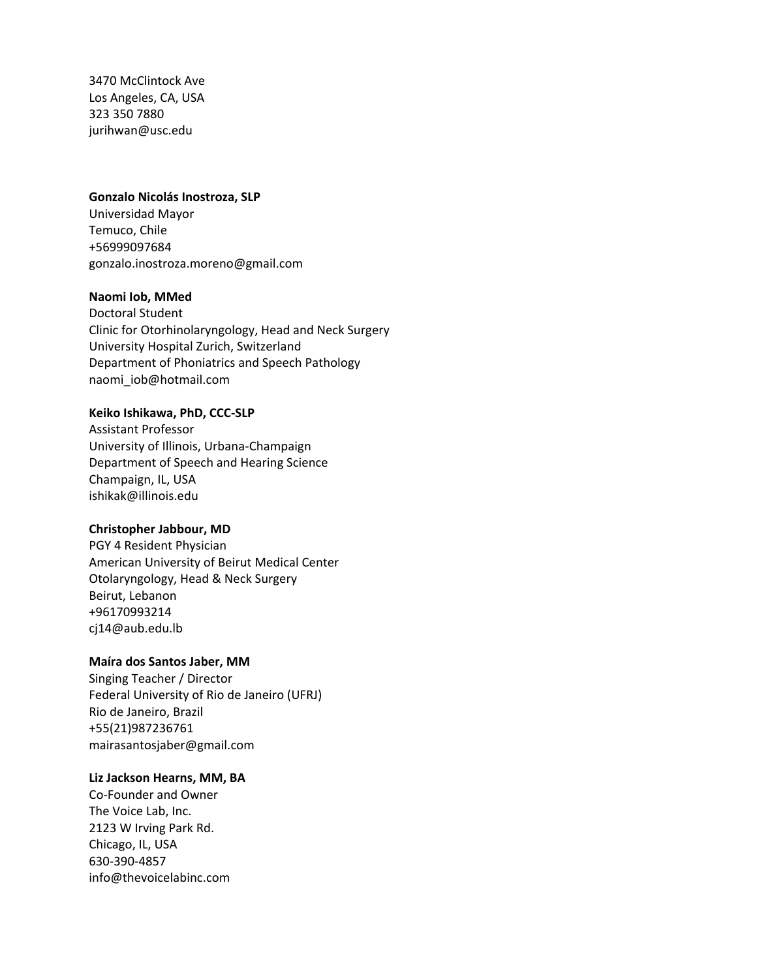3470 McClintock Ave Los Angeles, CA, USA 323 350 7880 jurihwan@usc.edu

#### **Gonzalo Nicolás Inostroza, SLP**

Universidad Mayor Temuco, Chile +56999097684 gonzalo.inostroza.moreno@gmail.com

### **Naomi Iob, MMed**

Doctoral Student Clinic for Otorhinolaryngology, Head and Neck Surgery University Hospital Zurich, Switzerland Department of Phoniatrics and Speech Pathology naomi\_iob@hotmail.com

### **Keiko Ishikawa, PhD, CCC-SLP**

Assistant Professor University of Illinois, Urbana-Champaign Department of Speech and Hearing Science Champaign, IL, USA ishikak@illinois.edu

### **Christopher Jabbour, MD**

PGY 4 Resident Physician American University of Beirut Medical Center Otolaryngology, Head & Neck Surgery Beirut, Lebanon +96170993214 cj14@aub.edu.lb

### **Maíra dos Santos Jaber, MM**

Singing Teacher / Director Federal University of Rio de Janeiro (UFRJ) Rio de Janeiro, Brazil +55(21)987236761 mairasantosjaber@gmail.com

# **Liz Jackson Hearns, MM, BA**

Co-Founder and Owner The Voice Lab, Inc. 2123 W Irving Park Rd. Chicago, IL, USA 630-390-4857 info@thevoicelabinc.com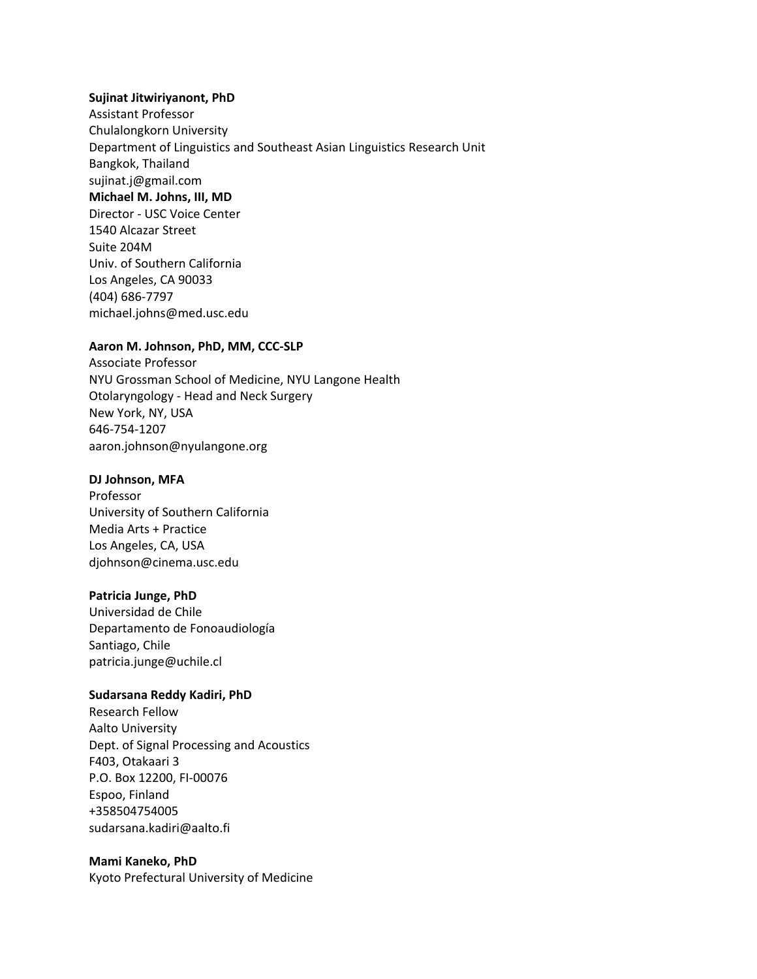#### **Sujinat Jitwiriyanont, PhD**

Assistant Professor Chulalongkorn University Department of Linguistics and Southeast Asian Linguistics Research Unit Bangkok, Thailand sujinat.j@gmail.com **Michael M. Johns, III, MD**  Director - USC Voice Center 1540 Alcazar Street Suite 204M Univ. of Southern California Los Angeles, CA 90033 (404) 686-7797 michael.johns@med.usc.edu

# **Aaron M. Johnson, PhD, MM, CCC-SLP**

Associate Professor NYU Grossman School of Medicine, NYU Langone Health Otolaryngology - Head and Neck Surgery New York, NY, USA 646-754-1207 aaron.johnson@nyulangone.org

# **DJ Johnson, MFA**

Professor University of Southern California Media Arts + Practice Los Angeles, CA, USA djohnson@cinema.usc.edu

#### **Patricia Junge, PhD**

Universidad de Chile Departamento de Fonoaudiología Santiago, Chile patricia.junge@uchile.cl

#### **Sudarsana Reddy Kadiri, PhD**

Research Fellow Aalto University Dept. of Signal Processing and Acoustics F403, Otakaari 3 P.O. Box 12200, FI-00076 Espoo, Finland +358504754005 sudarsana.kadiri@aalto.fi

#### **Mami Kaneko, PhD**

Kyoto Prefectural University of Medicine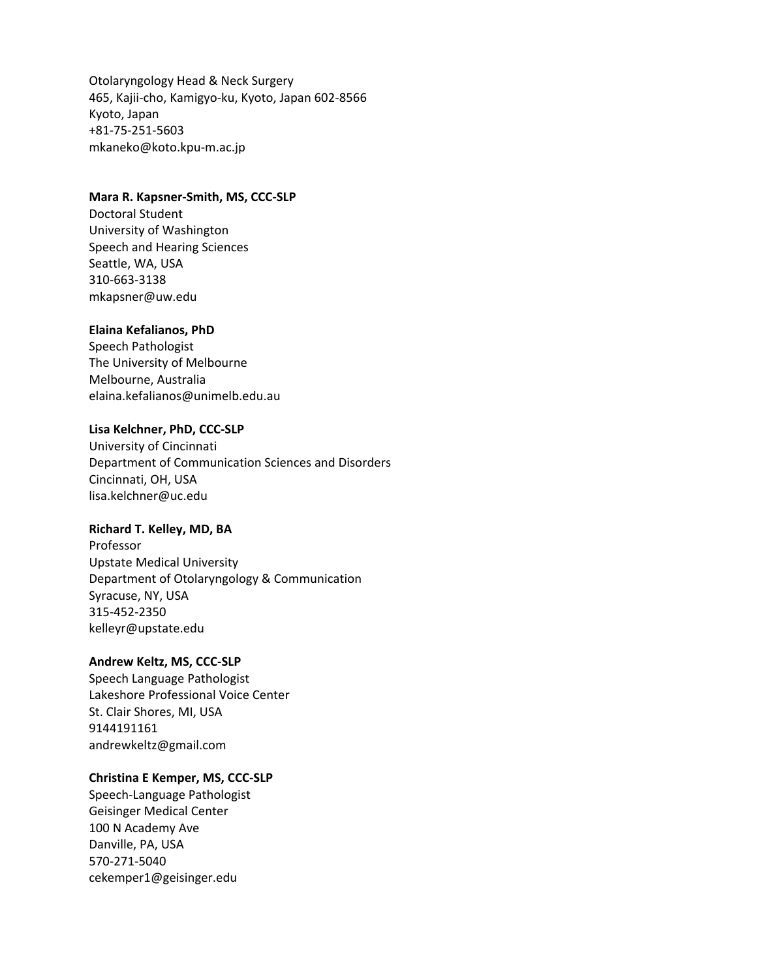Otolaryngology Head & Neck Surgery 465, Kajii-cho, Kamigyo-ku, Kyoto, Japan 602-8566 Kyoto, Japan +81-75-251-5603 mkaneko@koto.kpu-m.ac.jp

# **Mara R. Kapsner-Smith, MS, CCC-SLP**

Doctoral Student University of Washington Speech and Hearing Sciences Seattle, WA, USA 310-663-3138 mkapsner@uw.edu

# **Elaina Kefalianos, PhD**

Speech Pathologist The University of Melbourne Melbourne, Australia elaina.kefalianos@unimelb.edu.au

# **Lisa Kelchner, PhD, CCC-SLP**

University of Cincinnati Department of Communication Sciences and Disorders Cincinnati, OH, USA lisa.kelchner@uc.edu

### **Richard T. Kelley, MD, BA**

Professor Upstate Medical University Department of Otolaryngology & Communication Syracuse, NY, USA 315-452-2350 kelleyr@upstate.edu

# **Andrew Keltz, MS, CCC-SLP**

Speech Language Pathologist Lakeshore Professional Voice Center St. Clair Shores, MI, USA 9144191161 andrewkeltz@gmail.com

# **Christina E Kemper, MS, CCC-SLP**

Speech-Language Pathologist Geisinger Medical Center 100 N Academy Ave Danville, PA, USA 570-271-5040 cekemper1@geisinger.edu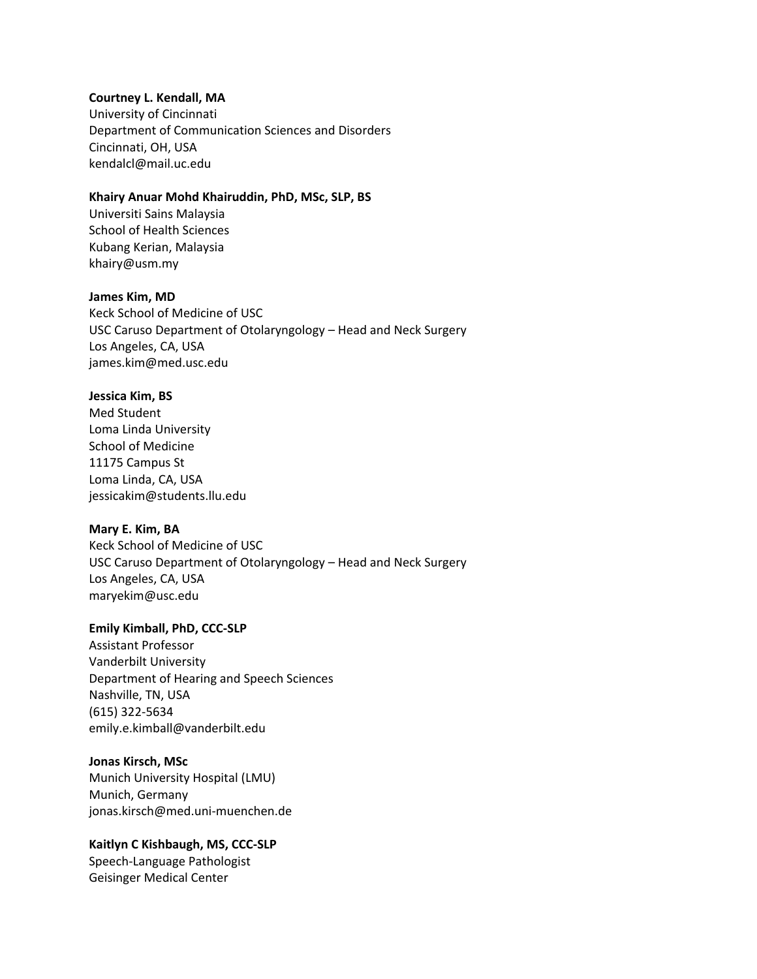#### **Courtney L. Kendall, MA**

University of Cincinnati Department of Communication Sciences and Disorders Cincinnati, OH, USA kendalcl@mail.uc.edu

#### **Khairy Anuar Mohd Khairuddin, PhD, MSc, SLP, BS**

Universiti Sains Malaysia School of Health Sciences Kubang Kerian, Malaysia khairy@usm.my

#### **James Kim, MD**

Keck School of Medicine of USC USC Caruso Department of Otolaryngology – Head and Neck Surgery Los Angeles, CA, USA james.kim@med.usc.edu

#### **Jessica Kim, BS**

Med Student Loma Linda University School of Medicine 11175 Campus St Loma Linda, CA, USA jessicakim@students.llu.edu

### **Mary E. Kim, BA**

Keck School of Medicine of USC USC Caruso Department of Otolaryngology – Head and Neck Surgery Los Angeles, CA, USA maryekim@usc.edu

## **Emily Kimball, PhD, CCC-SLP**

Assistant Professor Vanderbilt University Department of Hearing and Speech Sciences Nashville, TN, USA (615) 322-5634 emily.e.kimball@vanderbilt.edu

#### **Jonas Kirsch, MSc**

Munich University Hospital (LMU) Munich, Germany jonas.kirsch@med.uni-muenchen.de

# **Kaitlyn C Kishbaugh, MS, CCC-SLP** Speech-Language Pathologist Geisinger Medical Center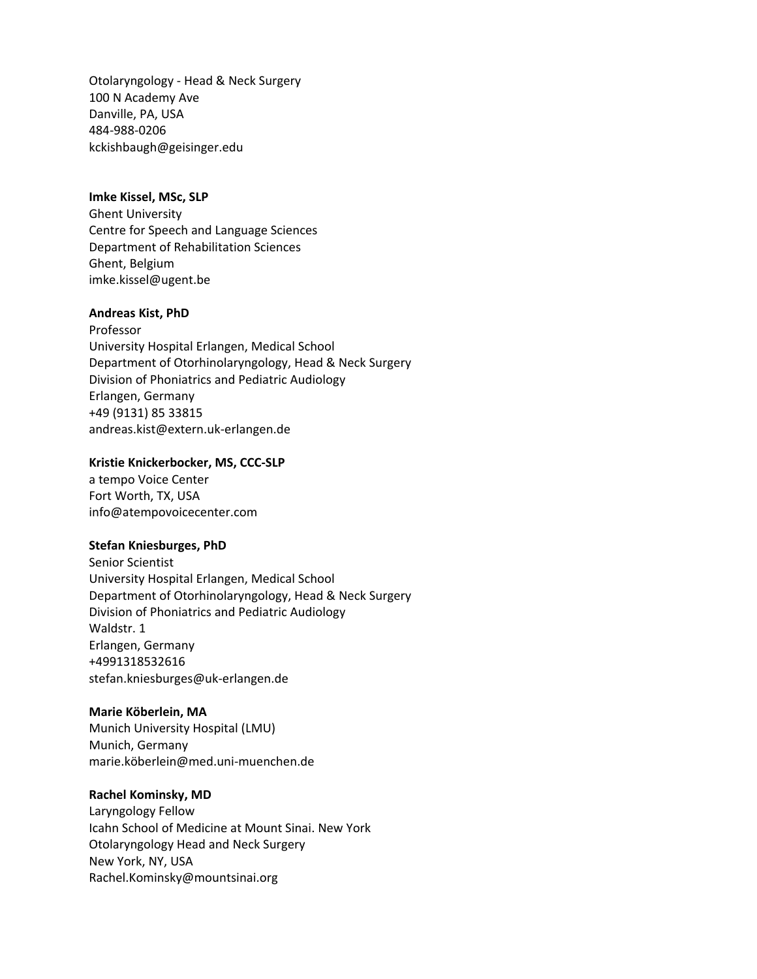Otolaryngology - Head & Neck Surgery 100 N Academy Ave Danville, PA, USA 484-988-0206 kckishbaugh@geisinger.edu

# **Imke Kissel, MSc, SLP**

Ghent University Centre for Speech and Language Sciences Department of Rehabilitation Sciences Ghent, Belgium imke.kissel@ugent.be

### **Andreas Kist, PhD**

Professor University Hospital Erlangen, Medical School Department of Otorhinolaryngology, Head & Neck Surgery Division of Phoniatrics and Pediatric Audiology Erlangen, Germany +49 (9131) 85 33815 andreas.kist@extern.uk-erlangen.de

# **Kristie Knickerbocker, MS, CCC-SLP**

a tempo Voice Center Fort Worth, TX, USA info@atempovoicecenter.com

### **Stefan Kniesburges, PhD**

Senior Scientist University Hospital Erlangen, Medical School Department of Otorhinolaryngology, Head & Neck Surgery Division of Phoniatrics and Pediatric Audiology Waldstr. 1 Erlangen, Germany +4991318532616 stefan.kniesburges@uk-erlangen.de

### **Marie Köberlein, MA**

Munich University Hospital (LMU) Munich, Germany marie.köberlein@med.uni-muenchen.de

# **Rachel Kominsky, MD**

Laryngology Fellow Icahn School of Medicine at Mount Sinai. New York Otolaryngology Head and Neck Surgery New York, NY, USA Rachel.Kominsky@mountsinai.org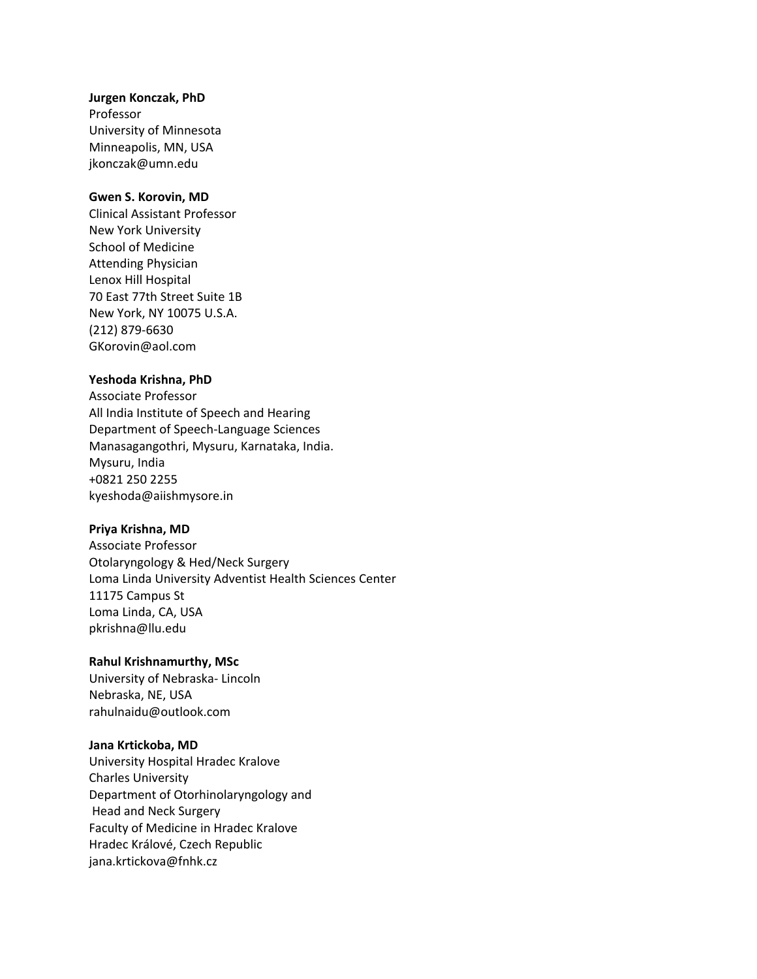#### **Jurgen Konczak, PhD**

Professor University of Minnesota Minneapolis, MN, USA jkonczak@umn.edu

# **Gwen S. Korovin, MD**

Clinical Assistant Professor New York University School of Medicine Attending Physician Lenox Hill Hospital 70 East 77th Street Suite 1B New York, NY 10075 U.S.A. (212) 879-6630 GKorovin@aol.com

#### **Yeshoda Krishna, PhD**

Associate Professor All India Institute of Speech and Hearing Department of Speech-Language Sciences Manasagangothri, Mysuru, Karnataka, India. Mysuru, India +0821 250 2255 kyeshoda@aiishmysore.in

### **Priya Krishna, MD**

Associate Professor Otolaryngology & Hed/Neck Surgery Loma Linda University Adventist Health Sciences Center 11175 Campus St Loma Linda, CA, USA pkrishna@llu.edu

### **Rahul Krishnamurthy, MSc**

University of Nebraska- Lincoln Nebraska, NE, USA rahulnaidu@outlook.com

### **Jana Krtickoba, MD**

University Hospital Hradec Kralove Charles University Department of Otorhinolaryngology and Head and Neck Surgery Faculty of Medicine in Hradec Kralove Hradec Králové, Czech Republic jana.krtickova@fnhk.cz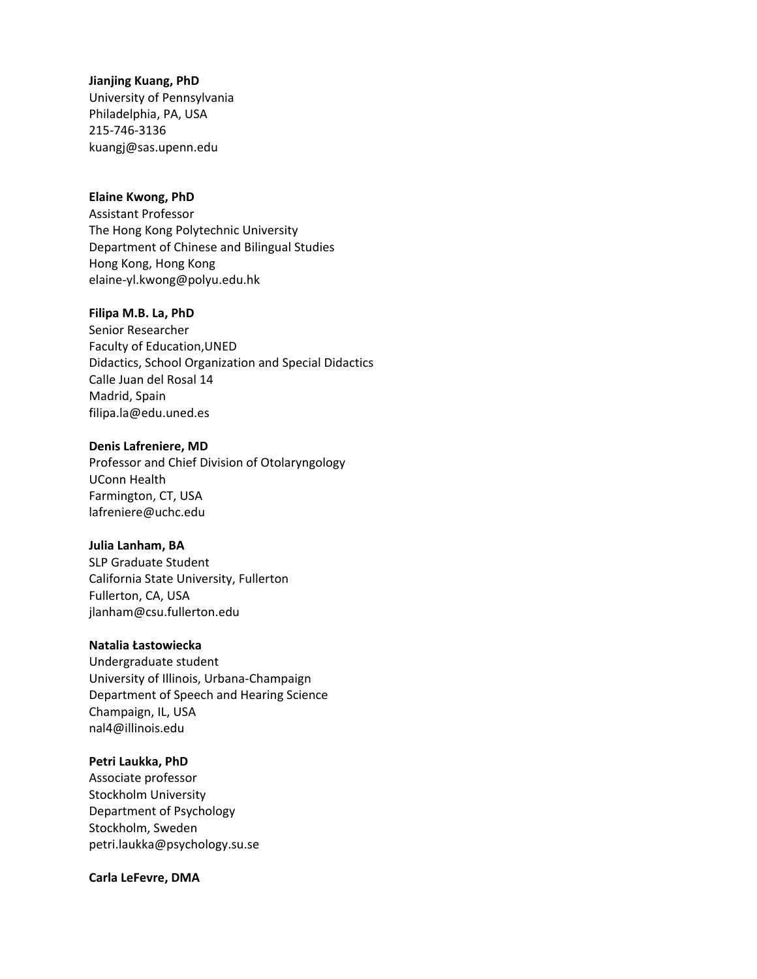# **Jianjing Kuang, PhD**

University of Pennsylvania Philadelphia, PA, USA 215-746-3136 kuangj@sas.upenn.edu

# **Elaine Kwong, PhD**

Assistant Professor The Hong Kong Polytechnic University Department of Chinese and Bilingual Studies Hong Kong, Hong Kong elaine-yl.kwong@polyu.edu.hk

# **Filipa M.B. La, PhD**

Senior Researcher Faculty of Education,UNED Didactics, School Organization and Special Didactics Calle Juan del Rosal 14 Madrid, Spain filipa.la@edu.uned.es

# **Denis Lafreniere, MD**

Professor and Chief Division of Otolaryngology UConn Health Farmington, CT, USA lafreniere@uchc.edu

# **Julia Lanham, BA**

SLP Graduate Student California State University, Fullerton Fullerton, CA, USA jlanham@csu.fullerton.edu

### **Natalia Łastowiecka**

Undergraduate student University of Illinois, Urbana-Champaign Department of Speech and Hearing Science Champaign, IL, USA nal4@illinois.edu

# **Petri Laukka, PhD**

Associate professor Stockholm University Department of Psychology Stockholm, Sweden petri.laukka@psychology.su.se

# **Carla LeFevre, DMA**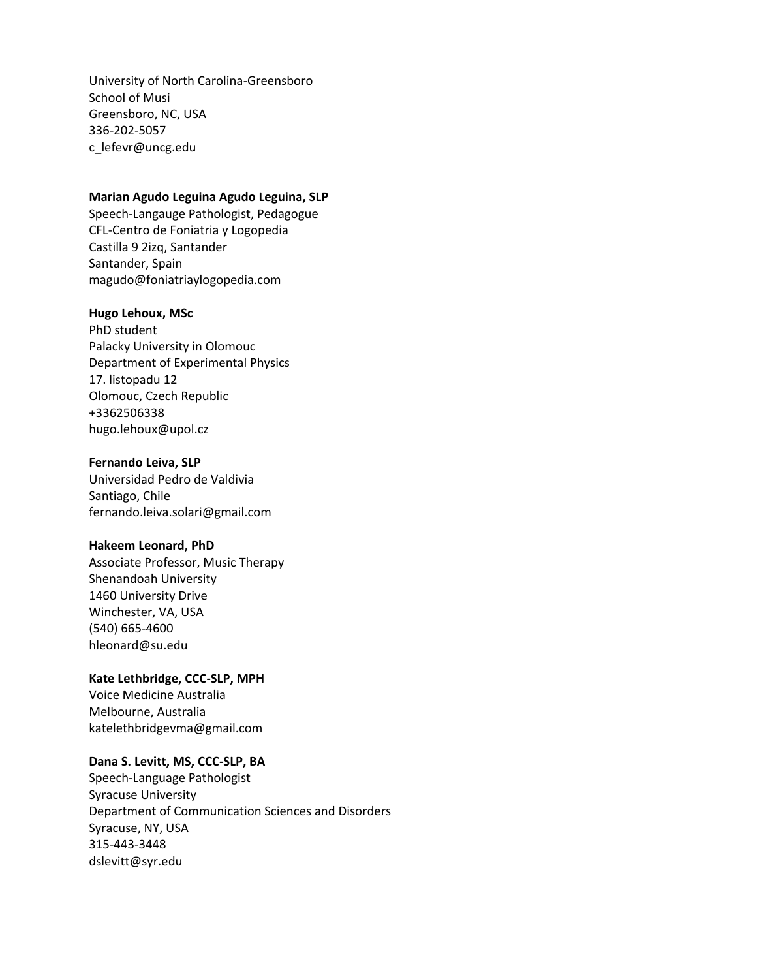University of North Carolina-Greensboro School of Musi Greensboro, NC, USA 336-202-5057 c\_lefevr@uncg.edu

# **Marian Agudo Leguina Agudo Leguina, SLP**

Speech-Langauge Pathologist, Pedagogue CFL-Centro de Foniatria y Logopedia Castilla 9 2izq, Santander Santander, Spain magudo@foniatriaylogopedia.com

## **Hugo Lehoux, MSc**

PhD student Palacky University in Olomouc Department of Experimental Physics 17. listopadu 12 Olomouc, Czech Republic +3362506338 hugo.lehoux@upol.cz

# **Fernando Leiva, SLP**

Universidad Pedro de Valdivia Santiago, Chile fernando.leiva.solari@gmail.com

### **Hakeem Leonard, PhD**

Associate Professor, Music Therapy Shenandoah University 1460 University Drive Winchester, VA, USA (540) 665-4600 hleonard@su.edu

# **Kate Lethbridge, CCC-SLP, MPH**

Voice Medicine Australia Melbourne, Australia katelethbridgevma@gmail.com

# **Dana S. Levitt, MS, CCC-SLP, BA**

Speech-Language Pathologist Syracuse University Department of Communication Sciences and Disorders Syracuse, NY, USA 315-443-3448 dslevitt@syr.edu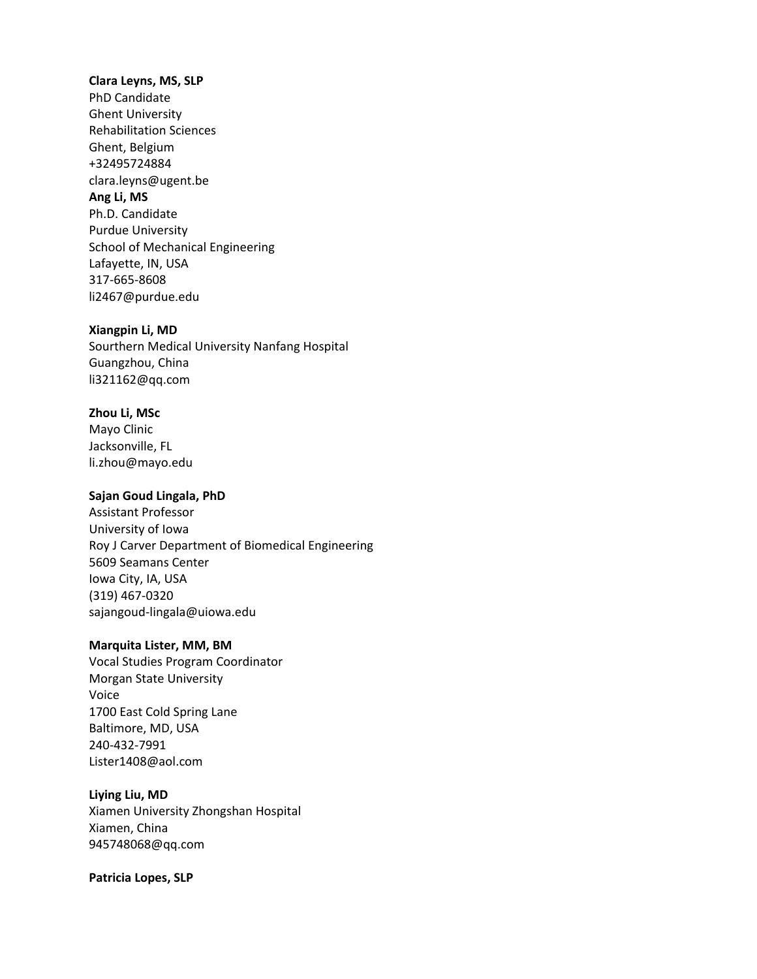#### **Clara Leyns, MS, SLP**

PhD Candidate Ghent University Rehabilitation Sciences Ghent, Belgium +32495724884 clara.leyns@ugent.be **Ang Li, MS** Ph.D. Candidate Purdue University School of Mechanical Engineering Lafayette, IN, USA 317-665-8608 li2467@purdue.edu

### **Xiangpin Li, MD**

Sourthern Medical University Nanfang Hospital Guangzhou, China li321162@qq.com

### **Zhou Li, MSc**

Mayo Clinic Jacksonville, FL li.zhou@mayo.edu

# **Sajan Goud Lingala, PhD**

Assistant Professor University of Iowa Roy J Carver Department of Biomedical Engineering 5609 Seamans Center Iowa City, IA, USA (319) 467-0320 sajangoud-lingala@uiowa.edu

### **Marquita Lister, MM, BM**

Vocal Studies Program Coordinator Morgan State University Voice 1700 East Cold Spring Lane Baltimore, MD, USA 240-432-7991 Lister1408@aol.com

# **Liying Liu, MD**

Xiamen University Zhongshan Hospital Xiamen, China 945748068@qq.com

# **Patricia Lopes, SLP**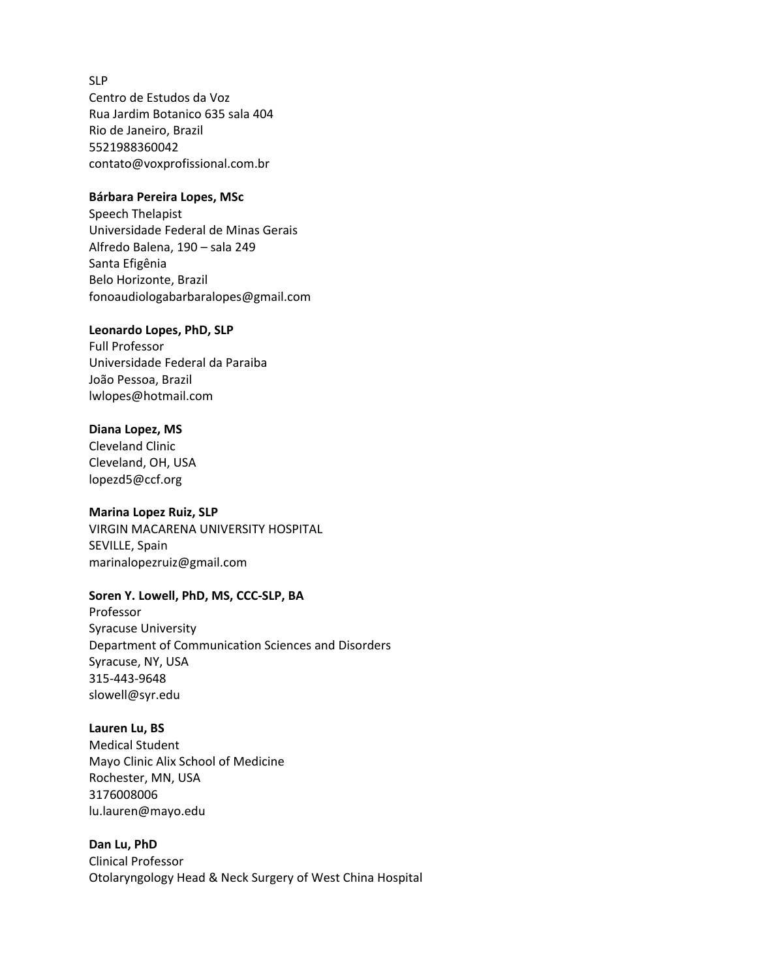# SLP

Centro de Estudos da Voz Rua Jardim Botanico 635 sala 404 Rio de Janeiro, Brazil 5521988360042 contato@voxprofissional.com.br

# **Bárbara Pereira Lopes, MSc**

Speech Thelapist Universidade Federal de Minas Gerais Alfredo Balena, 190 – sala 249 Santa Efigênia Belo Horizonte, Brazil fonoaudiologabarbaralopes@gmail.com

### **Leonardo Lopes, PhD, SLP**

Full Professor Universidade Federal da Paraiba João Pessoa, Brazil lwlopes@hotmail.com

# **Diana Lopez, MS**

Cleveland Clinic Cleveland, OH, USA lopezd5@ccf.org

### **Marina Lopez Ruiz, SLP**

VIRGIN MACARENA UNIVERSITY HOSPITAL SEVILLE, Spain marinalopezruiz@gmail.com

# **Soren Y. Lowell, PhD, MS, CCC-SLP, BA**

Professor Syracuse University Department of Communication Sciences and Disorders Syracuse, NY, USA 315-443-9648 slowell@syr.edu

**Lauren Lu, BS** Medical Student Mayo Clinic Alix School of Medicine Rochester, MN, USA

3176008006 lu.lauren@mayo.edu

**Dan Lu, PhD** Clinical Professor Otolaryngology Head & Neck Surgery of West China Hospital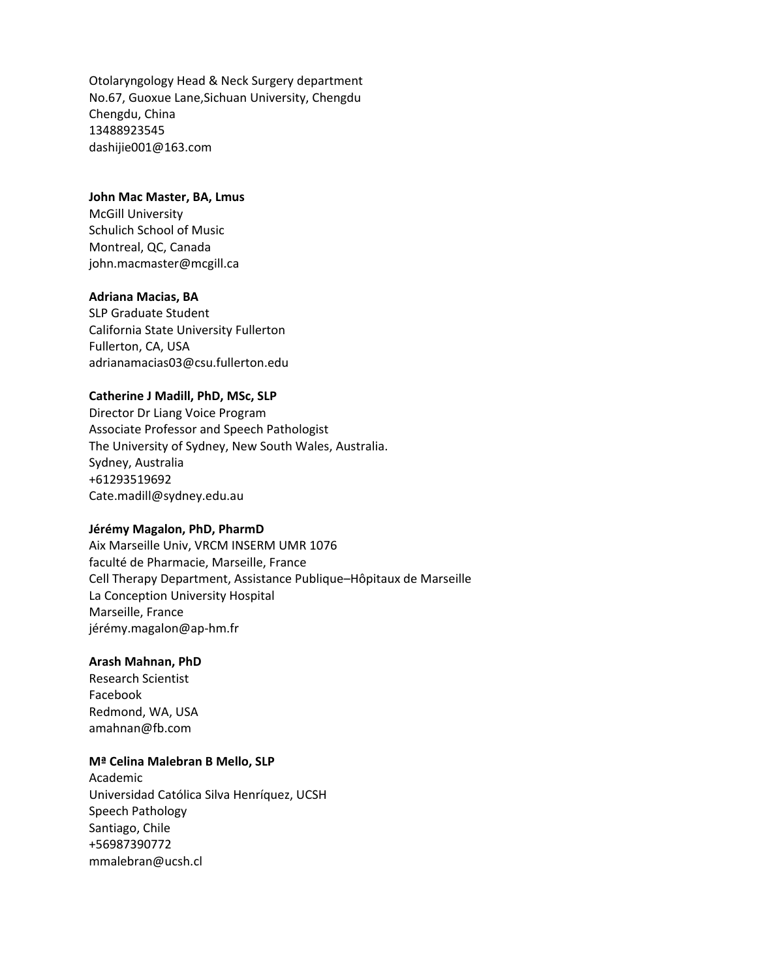Otolaryngology Head & Neck Surgery department No.67, Guoxue Lane,Sichuan University, Chengdu Chengdu, China 13488923545 dashijie001@163.com

### **John Mac Master, BA, Lmus**

McGill University Schulich School of Music Montreal, QC, Canada john.macmaster@mcgill.ca

# **Adriana Macias, BA**

SLP Graduate Student California State University Fullerton Fullerton, CA, USA adrianamacias03@csu.fullerton.edu

# **Catherine J Madill, PhD, MSc, SLP**

Director Dr Liang Voice Program Associate Professor and Speech Pathologist The University of Sydney, New South Wales, Australia. Sydney, Australia +61293519692 Cate.madill@sydney.edu.au

### **Jérémy Magalon, PhD, PharmD**

Aix Marseille Univ, VRCM INSERM UMR 1076 faculté de Pharmacie, Marseille, France Cell Therapy Department, Assistance Publique–Hôpitaux de Marseille La Conception University Hospital Marseille, France jérémy.magalon@ap-hm.fr

### **Arash Mahnan, PhD**

Research Scientist Facebook Redmond, WA, USA amahnan@fb.com

### **Mª Celina Malebran B Mello, SLP**

Academic Universidad Católica Silva Henríquez, UCSH Speech Pathology Santiago, Chile +56987390772 mmalebran@ucsh.cl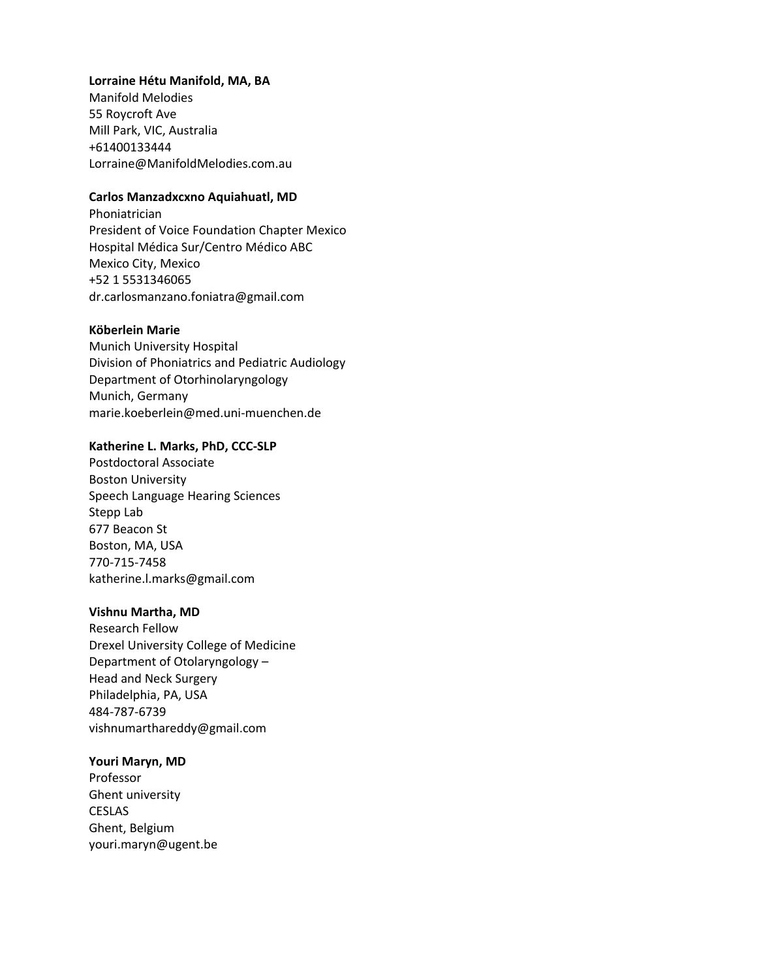# **Lorraine Hétu Manifold, MA, BA**

Manifold Melodies 55 Roycroft Ave Mill Park, VIC, Australia +61400133444 Lorraine@ManifoldMelodies.com.au

# **Carlos Manzadxcxno Aquiahuatl, MD**

Phoniatrician President of Voice Foundation Chapter Mexico Hospital Médica Sur/Centro Médico ABC Mexico City, Mexico +52 1 5531346065 dr.carlosmanzano.foniatra@gmail.com

# **Köberlein Marie**

Munich University Hospital Division of Phoniatrics and Pediatric Audiology Department of Otorhinolaryngology Munich, Germany marie.koeberlein@med.uni-muenchen.de

# **Katherine L. Marks, PhD, CCC-SLP**

Postdoctoral Associate Boston University Speech Language Hearing Sciences Stepp Lab 677 Beacon St Boston, MA, USA 770-715-7458 katherine.l.marks@gmail.com

### **Vishnu Martha, MD**

Research Fellow Drexel University College of Medicine Department of Otolaryngology – Head and Neck Surgery Philadelphia, PA, USA 484-787-6739 vishnumarthareddy@gmail.com

### **Youri Maryn, MD**

Professor Ghent university CESLAS Ghent, Belgium youri.maryn@ugent.be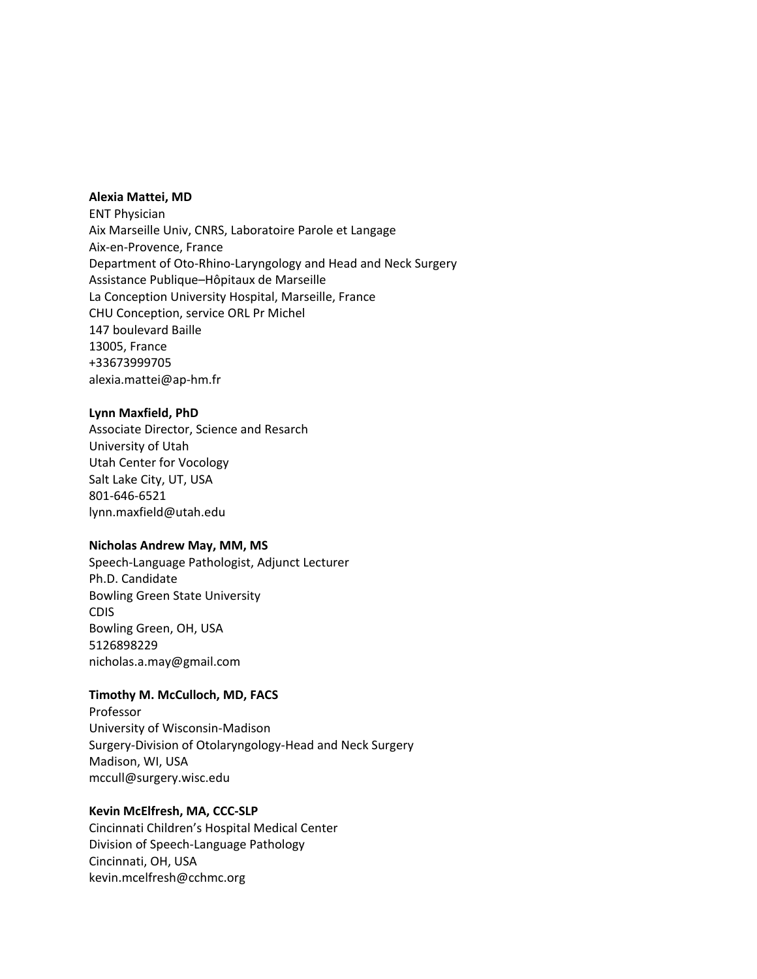# **Alexia Mattei, MD**

ENT Physician Aix Marseille Univ, CNRS, Laboratoire Parole et Langage Aix-en-Provence, France Department of Oto-Rhino-Laryngology and Head and Neck Surgery Assistance Publique–Hôpitaux de Marseille La Conception University Hospital, Marseille, France CHU Conception, service ORL Pr Michel 147 boulevard Baille 13005, France +33673999705 alexia.mattei@ap-hm.fr

#### **Lynn Maxfield, PhD**

Associate Director, Science and Resarch University of Utah Utah Center for Vocology Salt Lake City, UT, USA 801-646-6521 lynn.maxfield@utah.edu

### **Nicholas Andrew May, MM, MS**

Speech-Language Pathologist, Adjunct Lecturer Ph.D. Candidate Bowling Green State University CDIS Bowling Green, OH, USA 5126898229 nicholas.a.may@gmail.com

### **Timothy M. McCulloch, MD, FACS**

Professor University of Wisconsin-Madison Surgery-Division of Otolaryngology-Head and Neck Surgery Madison, WI, USA mccull@surgery.wisc.edu

## **Kevin McElfresh, MA, CCC-SLP**

Cincinnati Children's Hospital Medical Center Division of Speech-Language Pathology Cincinnati, OH, USA kevin.mcelfresh@cchmc.org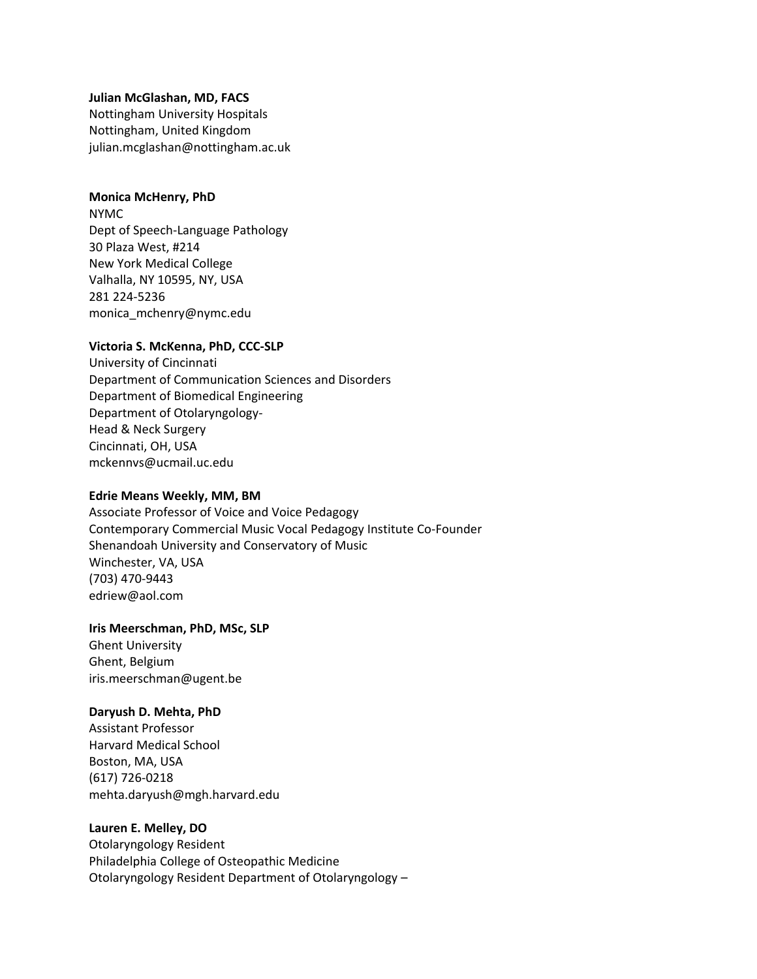### **Julian McGlashan, MD, FACS**

Nottingham University Hospitals Nottingham, United Kingdom julian.mcglashan@nottingham.ac.uk

### **Monica McHenry, PhD**

NYMC Dept of Speech-Language Pathology 30 Plaza West, #214 New York Medical College Valhalla, NY 10595, NY, USA 281 224-5236 monica\_mchenry@nymc.edu

# **Victoria S. McKenna, PhD, CCC-SLP**

University of Cincinnati Department of Communication Sciences and Disorders Department of Biomedical Engineering Department of Otolaryngology-Head & Neck Surgery Cincinnati, OH, USA mckennvs@ucmail.uc.edu

## **Edrie Means Weekly, MM, BM**

Associate Professor of Voice and Voice Pedagogy Contemporary Commercial Music Vocal Pedagogy Institute Co-Founder Shenandoah University and Conservatory of Music Winchester, VA, USA (703) 470-9443 edriew@aol.com

# **Iris Meerschman, PhD, MSc, SLP**

Ghent University Ghent, Belgium iris.meerschman@ugent.be

# **Daryush D. Mehta, PhD**

Assistant Professor Harvard Medical School Boston, MA, USA (617) 726-0218 mehta.daryush@mgh.harvard.edu

# **Lauren E. Melley, DO**

Otolaryngology Resident Philadelphia College of Osteopathic Medicine Otolaryngology Resident Department of Otolaryngology –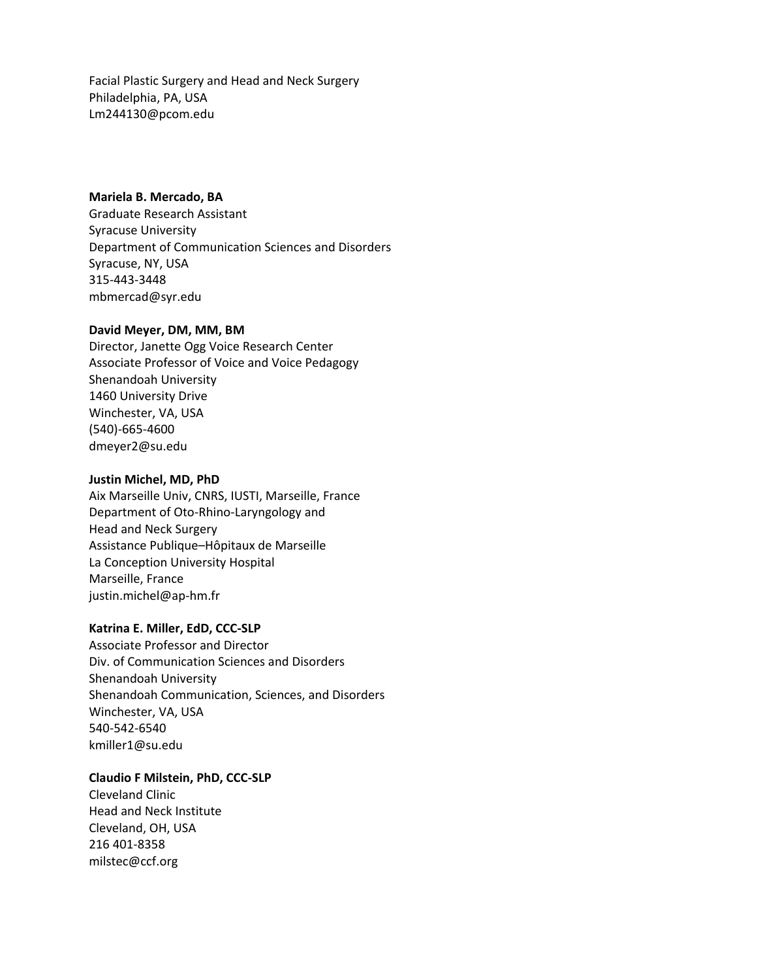Facial Plastic Surgery and Head and Neck Surgery Philadelphia, PA, USA Lm244130@pcom.edu

### **Mariela B. Mercado, BA**

Graduate Research Assistant Syracuse University Department of Communication Sciences and Disorders Syracuse, NY, USA 315-443-3448 mbmercad@syr.edu

#### **David Meyer, DM, MM, BM**

Director, Janette Ogg Voice Research Center Associate Professor of Voice and Voice Pedagogy Shenandoah University 1460 University Drive Winchester, VA, USA (540)-665-4600 dmeyer2@su.edu

#### **Justin Michel, MD, PhD**

Aix Marseille Univ, CNRS, IUSTI, Marseille, France Department of Oto-Rhino-Laryngology and Head and Neck Surgery Assistance Publique–Hôpitaux de Marseille La Conception University Hospital Marseille, France justin.michel@ap-hm.fr

### **Katrina E. Miller, EdD, CCC-SLP**

Associate Professor and Director Div. of Communication Sciences and Disorders Shenandoah University Shenandoah Communication, Sciences, and Disorders Winchester, VA, USA 540-542-6540 kmiller1@su.edu

## **Claudio F Milstein, PhD, CCC-SLP**

Cleveland Clinic Head and Neck Institute Cleveland, OH, USA 216 401-8358 milstec@ccf.org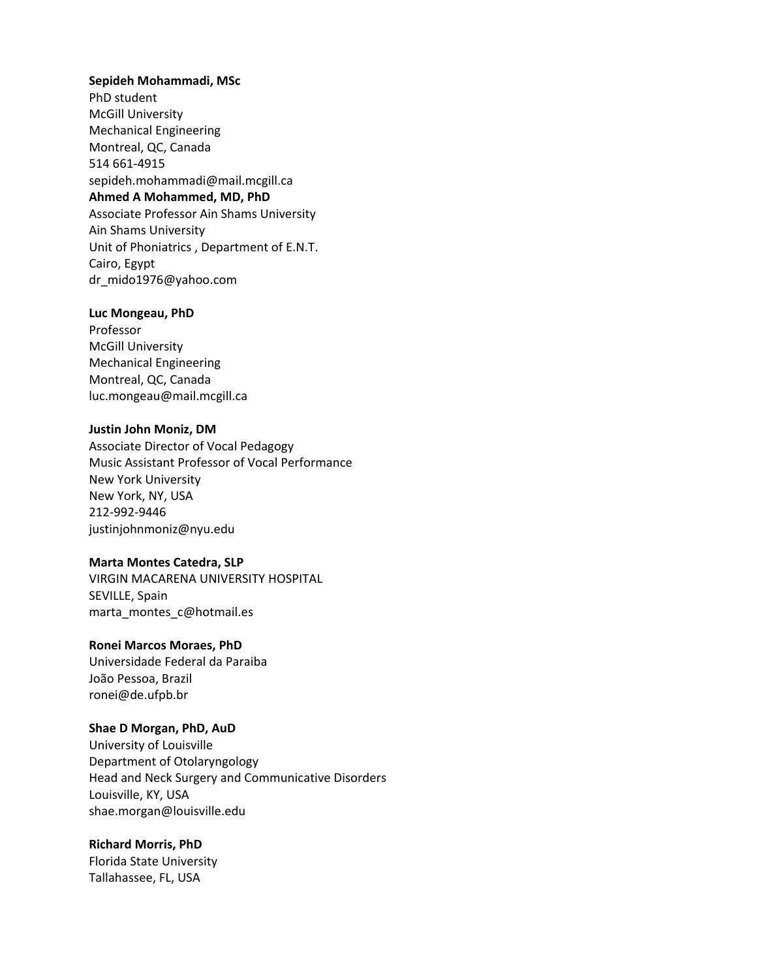#### **Sepideh Mohammadi, MSc**

PhD student McGill University Mechanical Engineering Montreal, QC, Canada 514 661-4915 sepideh.mohammadi@mail.mcgill.ca **Ahmed A Mohammed, MD, PhD** Associate Professor Ain Shams University Ain Shams University Unit of Phoniatrics , Department of E.N.T. Cairo, Egypt dr\_mido1976@yahoo.com

#### **Luc Mongeau, PhD**

Professor McGill University Mechanical Engineering Montreal, QC, Canada luc.mongeau@mail.mcgill.ca

#### **Justin John Moniz, DM**

Associate Director of Vocal Pedagogy Music Assistant Professor of Vocal Performance New York University New York, NY, USA 212-992-9446 justinjohnmoniz@nyu.edu

#### **Marta Montes Catedra, SLP**

VIRGIN MACARENA UNIVERSITY HOSPITAL SEVILLE, Spain marta\_montes\_c@hotmail.es

#### **Ronei Marcos Moraes, PhD**

Universidade Federal da Paraiba João Pessoa, Brazil ronei@de.ufpb.br

### **Shae D Morgan, PhD, AuD**

University of Louisville Department of Otolaryngology Head and Neck Surgery and Communicative Disorders Louisville, KY, USA shae.morgan@louisville.edu

#### **Richard Morris, PhD**

Florida State University Tallahassee, FL, USA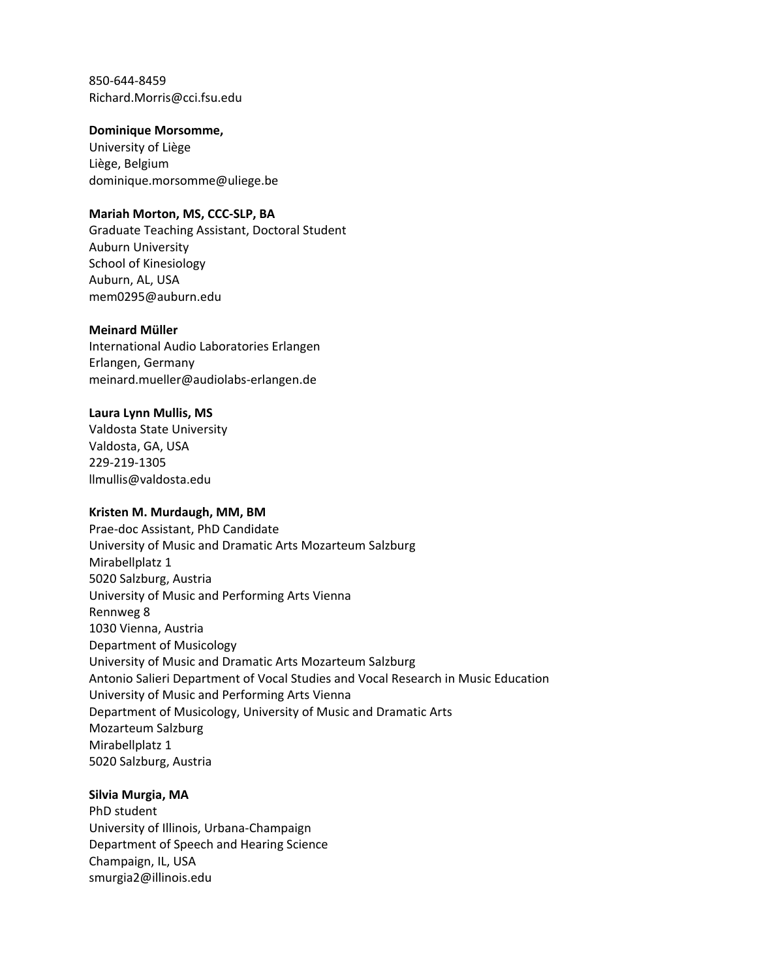850-644-8459 Richard.Morris@cci.fsu.edu

## **Dominique Morsomme,**

University of Liège Liège, Belgium dominique.morsomme@uliege.be

# **Mariah Morton, MS, CCC-SLP, BA**

Graduate Teaching Assistant, Doctoral Student Auburn University School of Kinesiology Auburn, AL, USA mem0295@auburn.edu

### **Meinard Müller**

International Audio Laboratories Erlangen Erlangen, Germany meinard.mueller@audiolabs-erlangen.de

# **Laura Lynn Mullis, MS**

Valdosta State University Valdosta, GA, USA 229-219-1305 llmullis@valdosta.edu

### **Kristen M. Murdaugh, MM, BM**

Prae-doc Assistant, PhD Candidate University of Music and Dramatic Arts Mozarteum Salzburg Mirabellplatz 1 5020 Salzburg, Austria University of Music and Performing Arts Vienna Rennweg 8 1030 Vienna, Austria Department of Musicology University of Music and Dramatic Arts Mozarteum Salzburg Antonio Salieri Department of Vocal Studies and Vocal Research in Music Education University of Music and Performing Arts Vienna Department of Musicology, University of Music and Dramatic Arts Mozarteum Salzburg Mirabellplatz 1 5020 Salzburg, Austria

# **Silvia Murgia, MA**

PhD student University of Illinois, Urbana-Champaign Department of Speech and Hearing Science Champaign, IL, USA smurgia2@illinois.edu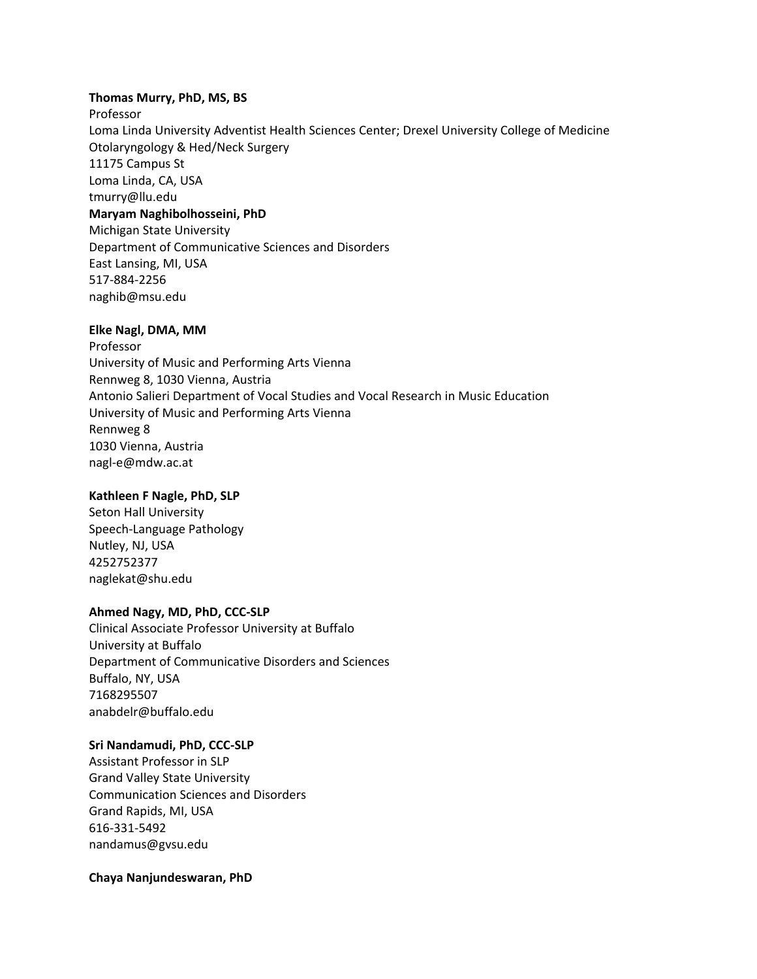# **Thomas Murry, PhD, MS, BS**

Professor

Loma Linda University Adventist Health Sciences Center; Drexel University College of Medicine Otolaryngology & Hed/Neck Surgery 11175 Campus St Loma Linda, CA, USA tmurry@llu.edu **Maryam Naghibolhosseini, PhD** Michigan State University Department of Communicative Sciences and Disorders East Lansing, MI, USA 517-884-2256

# **Elke Nagl, DMA, MM**

naghib@msu.edu

Professor University of Music and Performing Arts Vienna Rennweg 8, 1030 Vienna, Austria Antonio Salieri Department of Vocal Studies and Vocal Research in Music Education University of Music and Performing Arts Vienna Rennweg 8 1030 Vienna, Austria nagl-e@mdw.ac.at

# **Kathleen F Nagle, PhD, SLP**

Seton Hall University Speech-Language Pathology Nutley, NJ, USA 4252752377 naglekat@shu.edu

# **Ahmed Nagy, MD, PhD, CCC-SLP**

Clinical Associate Professor University at Buffalo University at Buffalo Department of Communicative Disorders and Sciences Buffalo, NY, USA 7168295507 anabdelr@buffalo.edu

# **Sri Nandamudi, PhD, CCC-SLP**

Assistant Professor in SLP Grand Valley State University Communication Sciences and Disorders Grand Rapids, MI, USA 616-331-5492 nandamus@gvsu.edu

# **Chaya Nanjundeswaran, PhD**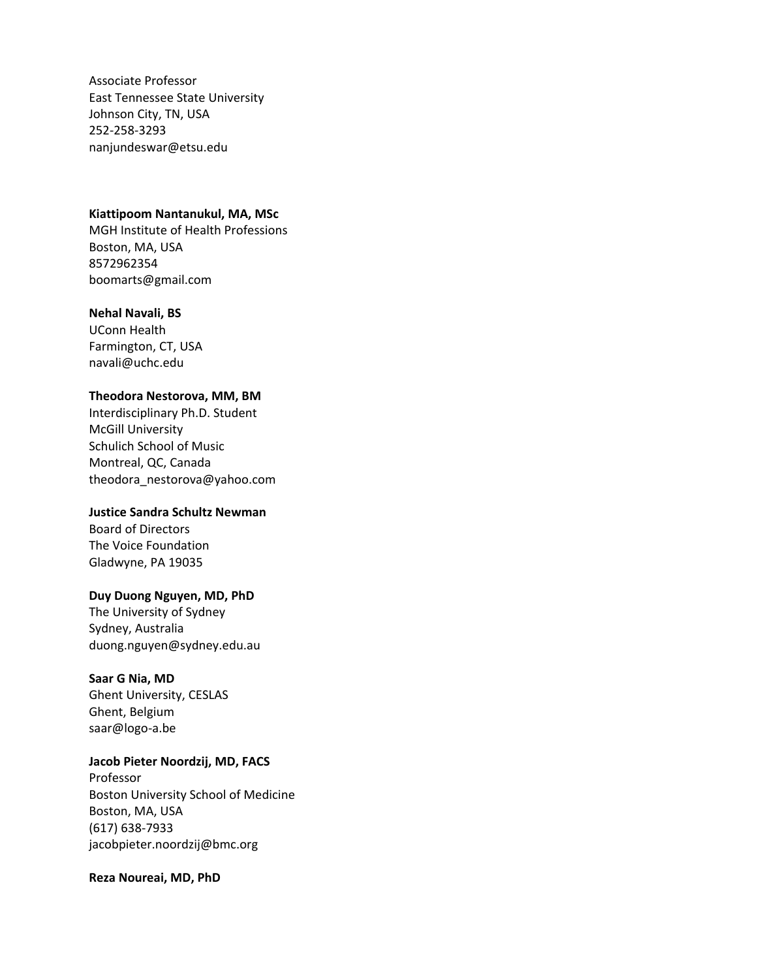Associate Professor East Tennessee State University Johnson City, TN, USA 252-258-3293 nanjundeswar@etsu.edu

### **Kiattipoom Nantanukul, MA, MSc**

MGH Institute of Health Professions Boston, MA, USA 8572962354 boomarts@gmail.com

#### **Nehal Navali, BS**

UConn Health Farmington, CT, USA navali@uchc.edu

#### **Theodora Nestorova, MM, BM**

Interdisciplinary Ph.D. Student McGill University Schulich School of Music Montreal, QC, Canada theodora\_nestorova@yahoo.com

# **Justice Sandra Schultz Newman**

Board of Directors The Voice Foundation Gladwyne, PA 19035

## **Duy Duong Nguyen, MD, PhD**

The University of Sydney Sydney, Australia duong.nguyen@sydney.edu.au

### **Saar G Nia, MD**

Ghent University, CESLAS Ghent, Belgium saar@logo-a.be

# **Jacob Pieter Noordzij, MD, FACS**

Professor Boston University School of Medicine Boston, MA, USA (617) 638-7933 jacobpieter.noordzij@bmc.org

### **Reza Noureai, MD, PhD**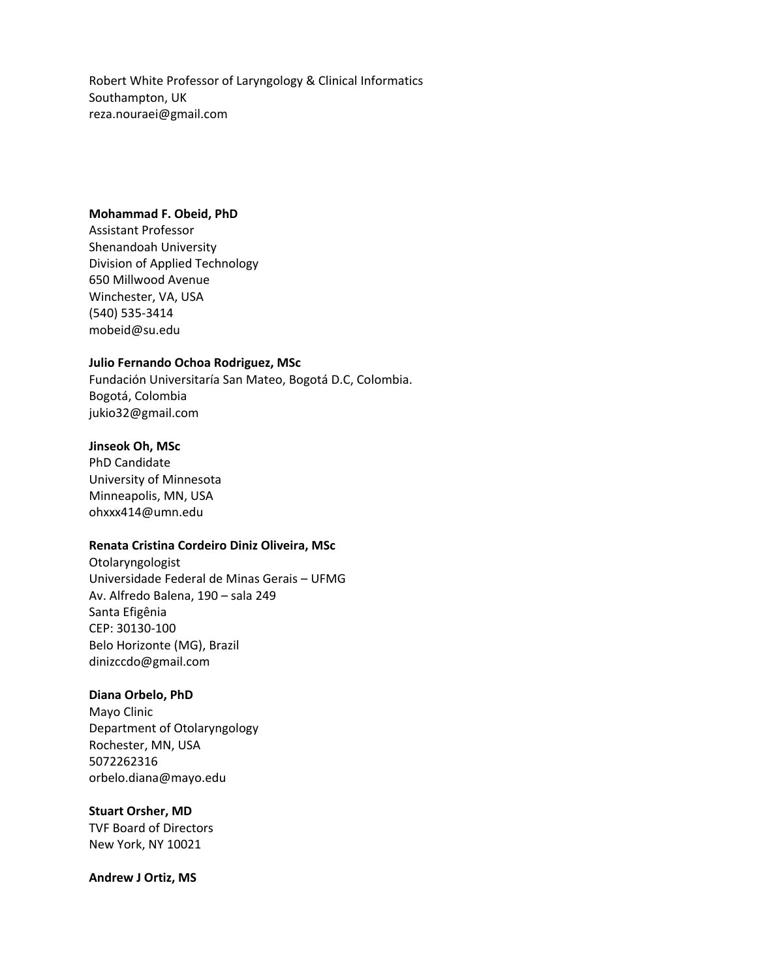Robert White Professor of Laryngology & Clinical Informatics Southampton, UK reza.nouraei@gmail.com

#### **Mohammad F. Obeid, PhD**

Assistant Professor Shenandoah University Division of Applied Technology 650 Millwood Avenue Winchester, VA, USA (540) 535-3414 mobeid@su.edu

### **Julio Fernando Ochoa Rodriguez, MSc**

Fundación Universitaría San Mateo, Bogotá D.C, Colombia. Bogotá, Colombia jukio32@gmail.com

# **Jinseok Oh, MSc**

PhD Candidate University of Minnesota Minneapolis, MN, USA ohxxx414@umn.edu

#### **Renata Cristina Cordeiro Diniz Oliveira, MSc**

Otolaryngologist Universidade Federal de Minas Gerais – UFMG Av. Alfredo Balena, 190 – sala 249 Santa Efigênia CEP: 30130-100 Belo Horizonte (MG), Brazil dinizccdo@gmail.com

#### **Diana Orbelo, PhD**

Mayo Clinic Department of Otolaryngology Rochester, MN, USA 5072262316 orbelo.diana@mayo.edu

# **Stuart Orsher, MD**

TVF Board of Directors New York, NY 10021

**Andrew J Ortiz, MS**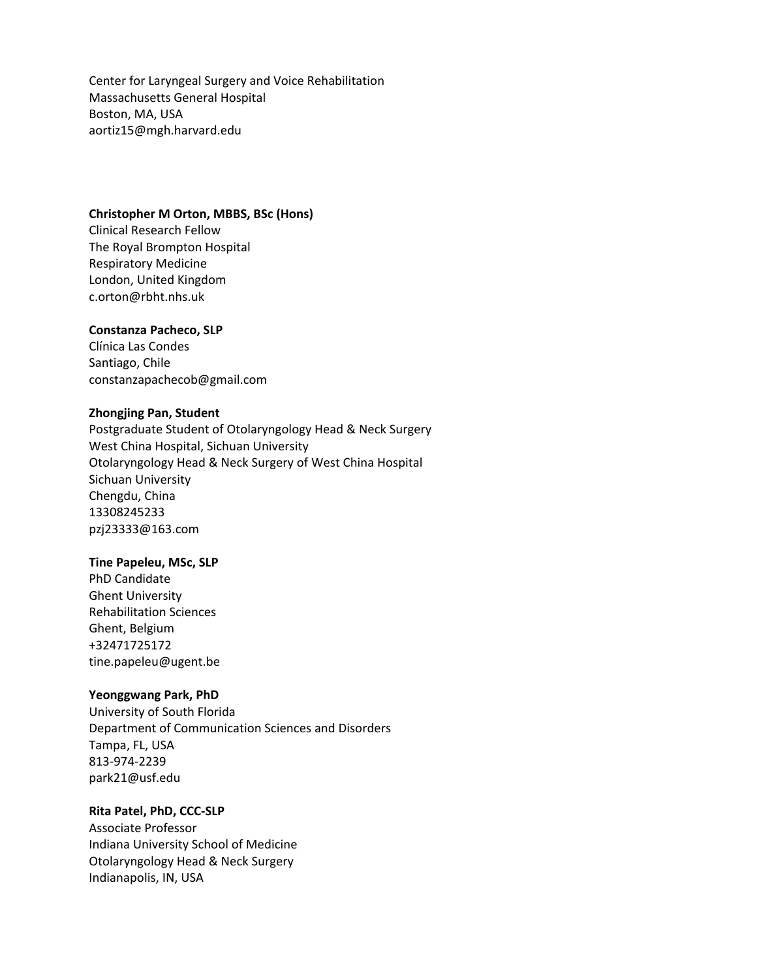Center for Laryngeal Surgery and Voice Rehabilitation Massachusetts General Hospital Boston, MA, USA aortiz15@mgh.harvard.edu

### **Christopher M Orton, MBBS, BSc (Hons)**

Clinical Research Fellow The Royal Brompton Hospital Respiratory Medicine London, United Kingdom c.orton@rbht.nhs.uk

# **Constanza Pacheco, SLP**

Clínica Las Condes Santiago, Chile constanzapachecob@gmail.com

# **Zhongjing Pan, Student**

Postgraduate Student of Otolaryngology Head & Neck Surgery West China Hospital, Sichuan University Otolaryngology Head & Neck Surgery of West China Hospital Sichuan University Chengdu, China 13308245233 pzj23333@163.com

# **Tine Papeleu, MSc, SLP**

PhD Candidate Ghent University Rehabilitation Sciences Ghent, Belgium +32471725172 tine.papeleu@ugent.be

### **Yeonggwang Park, PhD**

University of South Florida Department of Communication Sciences and Disorders Tampa, FL, USA 813-974-2239 park21@usf.edu

# **Rita Patel, PhD, CCC-SLP**

Associate Professor Indiana University School of Medicine Otolaryngology Head & Neck Surgery Indianapolis, IN, USA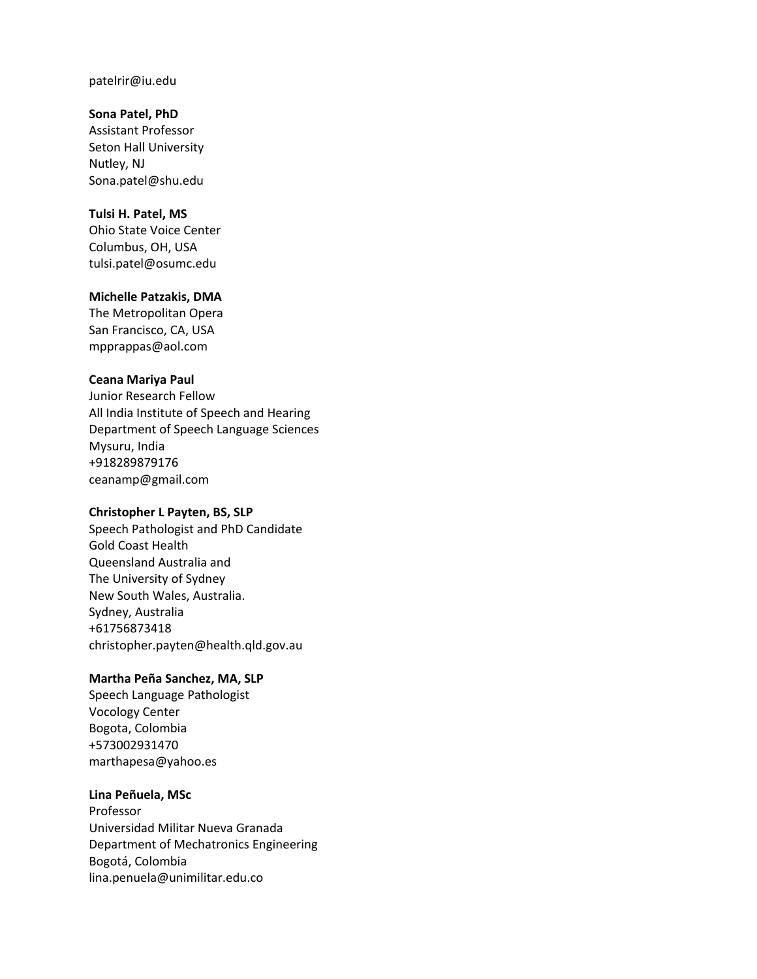patelrir@iu.edu

#### **Sona Patel, PhD**

Assistant Professor Seton Hall University Nutley, NJ Sona.patel@shu.edu

# **Tulsi H. Patel, MS**

Ohio State Voice Center Columbus, OH, USA tulsi.patel@osumc.edu

#### **Michelle Patzakis, DMA**

The Metropolitan Opera San Francisco, CA, USA mpprappas@aol.com

### **Ceana Mariya Paul**

Junior Research Fellow All India Institute of Speech and Hearing Department of Speech Language Sciences Mysuru, India +918289879176 ceanamp@gmail.com

#### **Christopher L Payten, BS, SLP**

Speech Pathologist and PhD Candidate Gold Coast Health Queensland Australia and The University of Sydney New South Wales, Australia. Sydney, Australia +61756873418 christopher.payten@health.qld.gov.au

### **Martha Peña Sanchez, MA, SLP**

Speech Language Pathologist Vocology Center Bogota, Colombia +573002931470 marthapesa@yahoo.es

# **Lina Peñuela, MSc**

Professor Universidad Militar Nueva Granada Department of Mechatronics Engineering Bogotá, Colombia lina.penuela@unimilitar.edu.co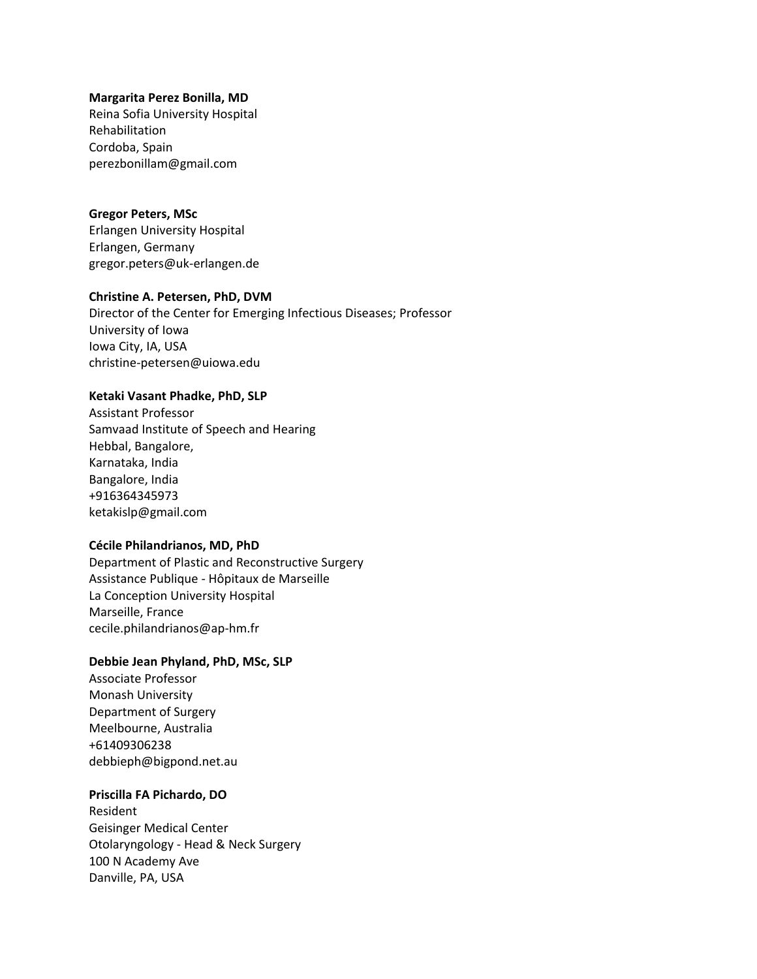#### **Margarita Perez Bonilla, MD**

Reina Sofia University Hospital Rehabilitation Cordoba, Spain perezbonillam@gmail.com

# **Gregor Peters, MSc**

Erlangen University Hospital Erlangen, Germany gregor.peters@uk-erlangen.de

#### **Christine A. Petersen, PhD, DVM**

Director of the Center for Emerging Infectious Diseases; Professor University of Iowa Iowa City, IA, USA christine-petersen@uiowa.edu

#### **Ketaki Vasant Phadke, PhD, SLP**

Assistant Professor Samvaad Institute of Speech and Hearing Hebbal, Bangalore, Karnataka, India Bangalore, India +916364345973 ketakislp@gmail.com

# **Cécile Philandrianos, MD, PhD**

Department of Plastic and Reconstructive Surgery Assistance Publique - Hôpitaux de Marseille La Conception University Hospital Marseille, France cecile.philandrianos@ap-hm.fr

### **Debbie Jean Phyland, PhD, MSc, SLP**

Associate Professor Monash University Department of Surgery Meelbourne, Australia +61409306238 debbieph@bigpond.net.au

## **Priscilla FA Pichardo, DO**

Resident Geisinger Medical Center Otolaryngology - Head & Neck Surgery 100 N Academy Ave Danville, PA, USA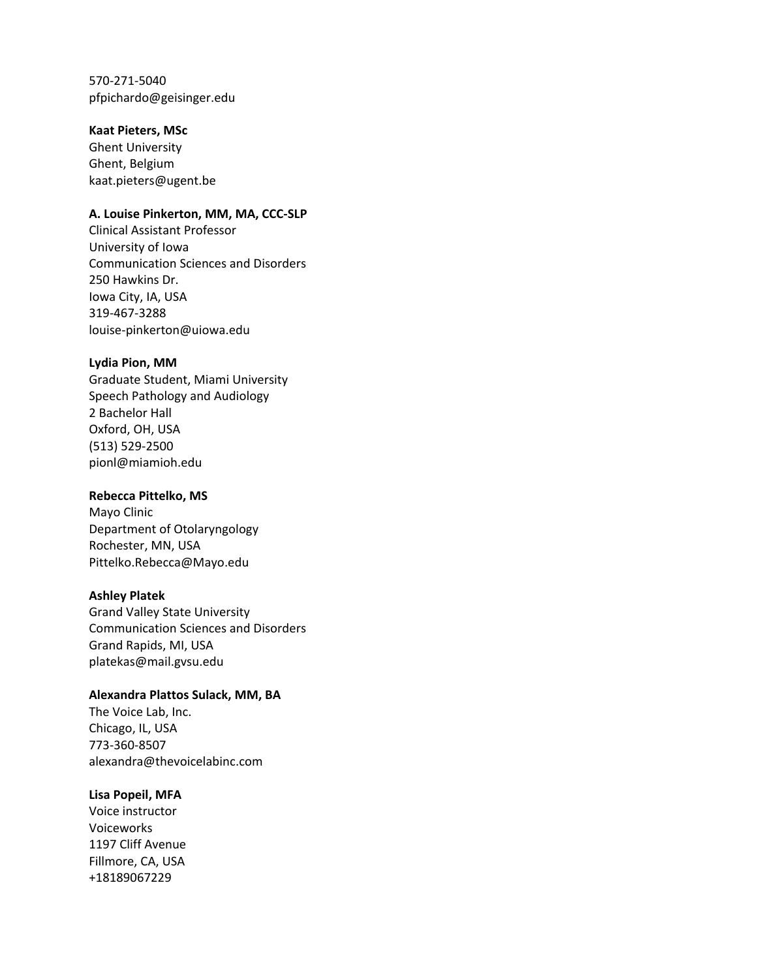570-271-5040 pfpichardo@geisinger.edu

#### **Kaat Pieters, MSc**

Ghent University Ghent, Belgium kaat.pieters@ugent.be

### **A. Louise Pinkerton, MM, MA, CCC-SLP**

Clinical Assistant Professor University of Iowa Communication Sciences and Disorders 250 Hawkins Dr. Iowa City, IA, USA 319-467-3288 louise-pinkerton@uiowa.edu

# **Lydia Pion, MM**

Graduate Student, Miami University Speech Pathology and Audiology 2 Bachelor Hall Oxford, OH, USA (513) 529-2500 pionl@miamioh.edu

#### **Rebecca Pittelko, MS**

Mayo Clinic Department of Otolaryngology Rochester, MN, USA Pittelko.Rebecca@Mayo.edu

#### **Ashley Platek**

Grand Valley State University Communication Sciences and Disorders Grand Rapids, MI, USA platekas@mail.gvsu.edu

#### **Alexandra Plattos Sulack, MM, BA**

The Voice Lab, Inc. Chicago, IL, USA 773-360-8507 alexandra@thevoicelabinc.com

# **Lisa Popeil, MFA**

Voice instructor Voiceworks 1197 Cliff Avenue Fillmore, CA, USA +18189067229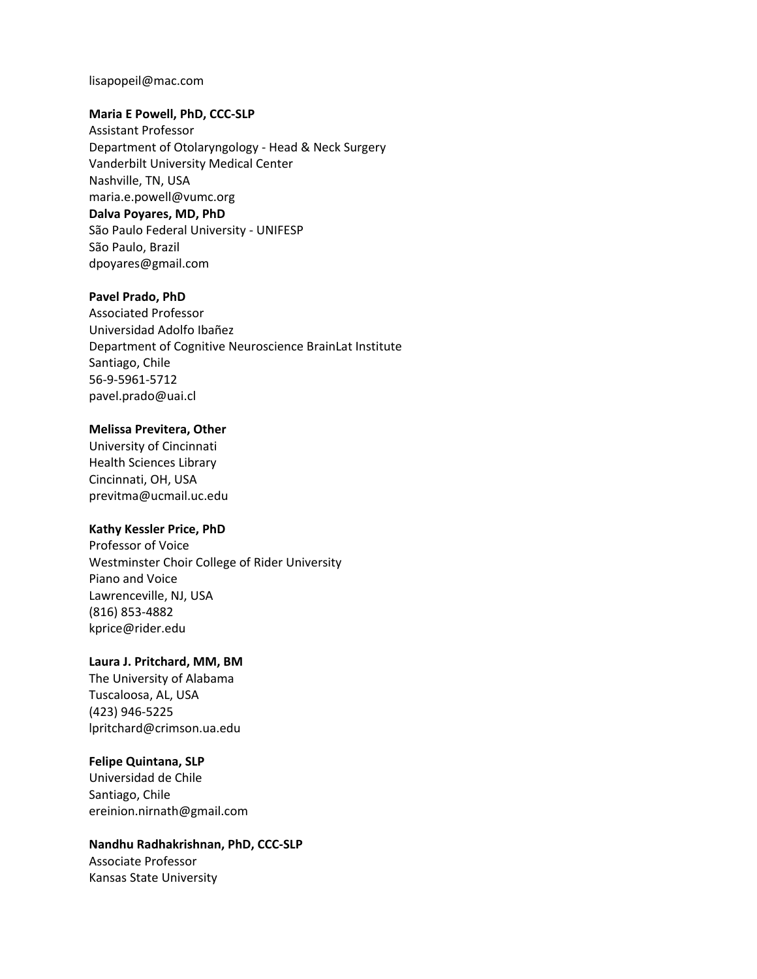lisapopeil@mac.com

# **Maria E Powell, PhD, CCC-SLP**

Assistant Professor Department of Otolaryngology - Head & Neck Surgery Vanderbilt University Medical Center Nashville, TN, USA maria.e.powell@vumc.org **Dalva Poyares, MD, PhD** São Paulo Federal University - UNIFESP São Paulo, Brazil dpoyares@gmail.com

# **Pavel Prado, PhD**

Associated Professor Universidad Adolfo Ibañez Department of Cognitive Neuroscience BrainLat Institute Santiago, Chile 56-9-5961-5712 pavel.prado@uai.cl

# **Melissa Previtera, Other**

University of Cincinnati Health Sciences Library Cincinnati, OH, USA previtma@ucmail.uc.edu

### **Kathy Kessler Price, PhD**

Professor of Voice Westminster Choir College of Rider University Piano and Voice Lawrenceville, NJ, USA (816) 853-4882 kprice@rider.edu

# **Laura J. Pritchard, MM, BM** The University of Alabama Tuscaloosa, AL, USA (423) 946-5225

lpritchard@crimson.ua.edu

# **Felipe Quintana, SLP**

Universidad de Chile Santiago, Chile ereinion.nirnath@gmail.com

# **Nandhu Radhakrishnan, PhD, CCC-SLP** Associate Professor Kansas State University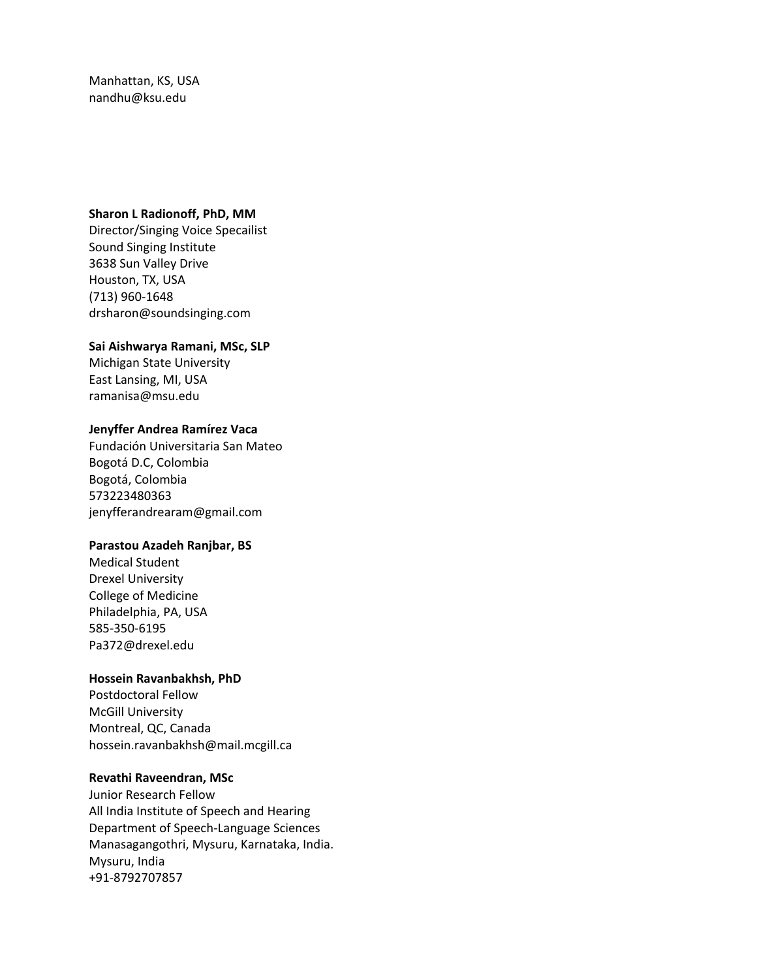Manhattan, KS, USA nandhu@ksu.edu

### **Sharon L Radionoff, PhD, MM**

Director/Singing Voice Specailist Sound Singing Institute 3638 Sun Valley Drive Houston, TX, USA (713) 960-1648 drsharon@soundsinging.com

### **Sai Aishwarya Ramani, MSc, SLP**

Michigan State University East Lansing, MI, USA ramanisa@msu.edu

# **Jenyffer Andrea Ramírez Vaca**

Fundación Universitaria San Mateo Bogotá D.C, Colombia Bogotá, Colombia 573223480363 jenyfferandrearam@gmail.com

### **Parastou Azadeh Ranjbar, BS**

Medical Student Drexel University College of Medicine Philadelphia, PA, USA 585-350-6195 Pa372@drexel.edu

### **Hossein Ravanbakhsh, PhD**

Postdoctoral Fellow McGill University Montreal, QC, Canada hossein.ravanbakhsh@mail.mcgill.ca

#### **Revathi Raveendran, MSc**

Junior Research Fellow All India Institute of Speech and Hearing Department of Speech-Language Sciences Manasagangothri, Mysuru, Karnataka, India. Mysuru, India +91-8792707857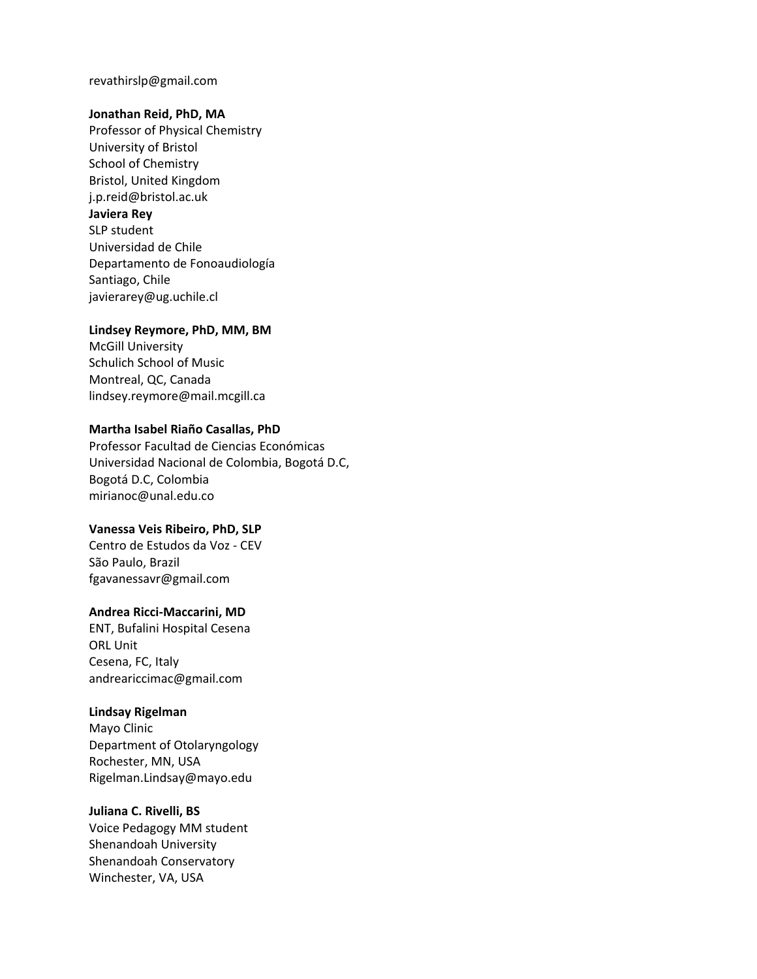#### revathirslp@gmail.com

### **Jonathan Reid, PhD, MA**

Professor of Physical Chemistry University of Bristol School of Chemistry Bristol, United Kingdom j.p.reid@bristol.ac.uk **Javiera Rey** SLP student Universidad de Chile Departamento de Fonoaudiología Santiago, Chile javierarey@ug.uchile.cl

#### **Lindsey Reymore, PhD, MM, BM**

McGill University Schulich School of Music Montreal, QC, Canada lindsey.reymore@mail.mcgill.ca

# **Martha Isabel Riaño Casallas, PhD**

Professor Facultad de Ciencias Económicas Universidad Nacional de Colombia, Bogotá D.C, Bogotá D.C, Colombia mirianoc@unal.edu.co

# **Vanessa Veis Ribeiro, PhD, SLP**

Centro de Estudos da Voz - CEV São Paulo, Brazil fgavanessavr@gmail.com

## **Andrea Ricci-Maccarini, MD**

ENT, Bufalini Hospital Cesena ORL Unit Cesena, FC, Italy andreariccimac@gmail.com

#### **Lindsay Rigelman**

Mayo Clinic Department of Otolaryngology Rochester, MN, USA Rigelman.Lindsay@mayo.edu

#### **Juliana C. Rivelli, BS**

Voice Pedagogy MM student Shenandoah University Shenandoah Conservatory Winchester, VA, USA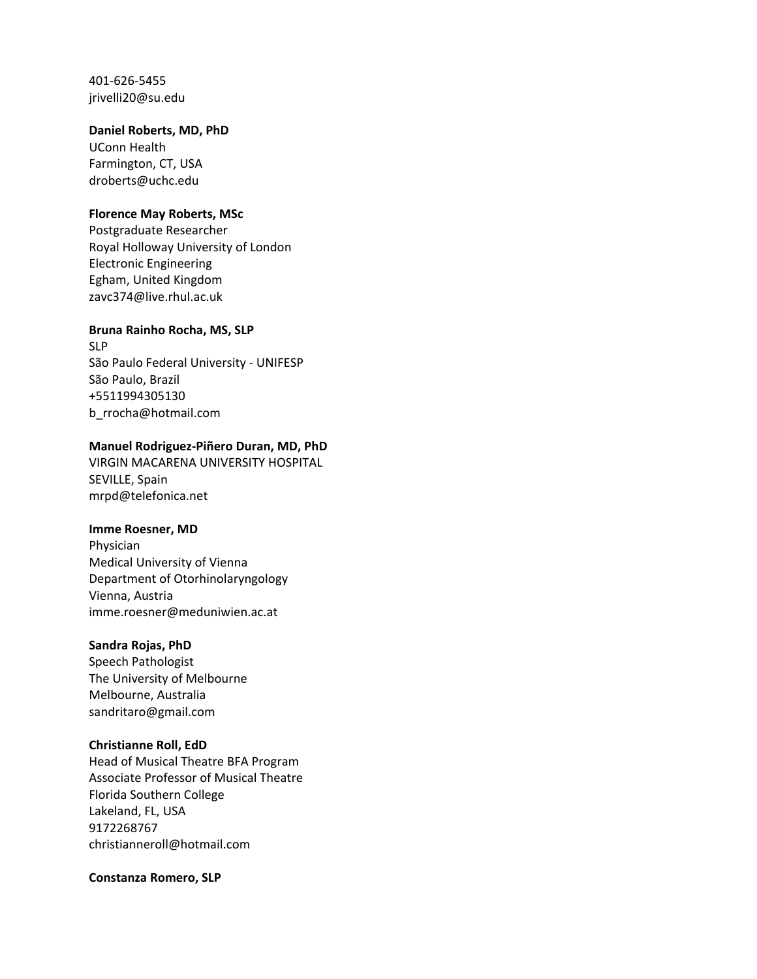401-626-5455 jrivelli20@su.edu

#### **Daniel Roberts, MD, PhD**

UConn Health Farmington, CT, USA droberts@uchc.edu

# **Florence May Roberts, MSc**

Postgraduate Researcher Royal Holloway University of London Electronic Engineering Egham, United Kingdom zavc374@live.rhul.ac.uk

## **Bruna Rainho Rocha, MS, SLP**

SLP São Paulo Federal University - UNIFESP São Paulo, Brazil +5511994305130 b\_rrocha@hotmail.com

### **Manuel Rodriguez-Piñero Duran, MD, PhD**

VIRGIN MACARENA UNIVERSITY HOSPITAL SEVILLE, Spain mrpd@telefonica.net

#### **Imme Roesner, MD**

Physician Medical University of Vienna Department of Otorhinolaryngology Vienna, Austria imme.roesner@meduniwien.ac.at

### **Sandra Rojas, PhD**

Speech Pathologist The University of Melbourne Melbourne, Australia sandritaro@gmail.com

#### **Christianne Roll, EdD**

Head of Musical Theatre BFA Program Associate Professor of Musical Theatre Florida Southern College Lakeland, FL, USA 9172268767 christianneroll@hotmail.com

### **Constanza Romero, SLP**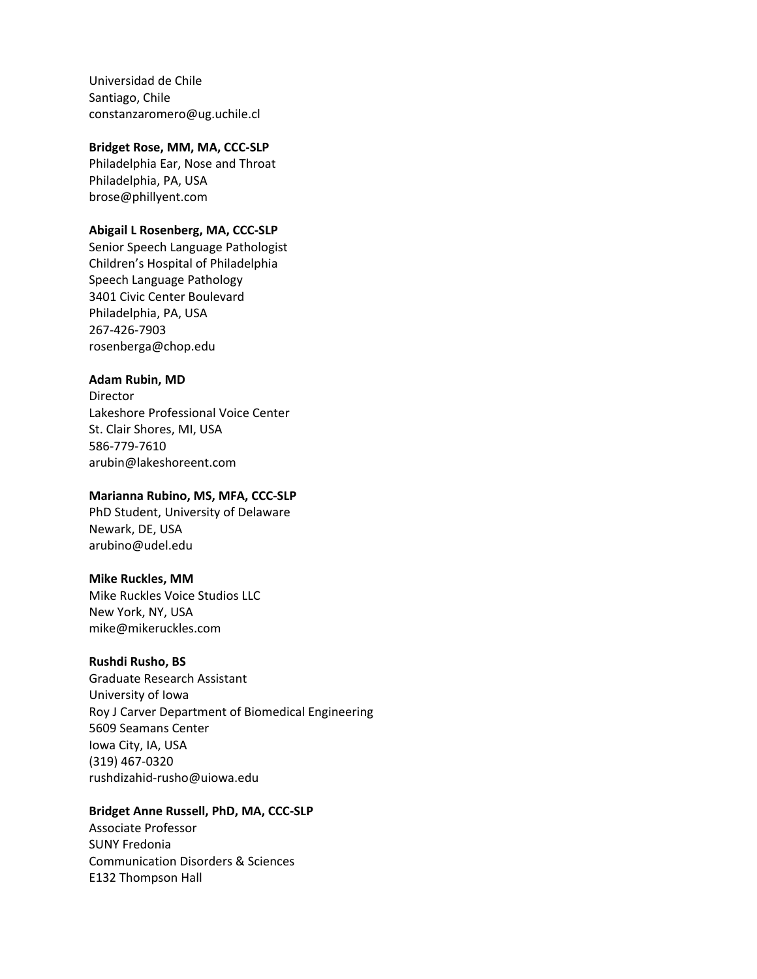Universidad de Chile Santiago, Chile constanzaromero@ug.uchile.cl

#### **Bridget Rose, MM, MA, CCC-SLP**

Philadelphia Ear, Nose and Throat Philadelphia, PA, USA brose@phillyent.com

## **Abigail L Rosenberg, MA, CCC-SLP**

Senior Speech Language Pathologist Children's Hospital of Philadelphia Speech Language Pathology 3401 Civic Center Boulevard Philadelphia, PA, USA 267-426-7903 rosenberga@chop.edu

# **Adam Rubin, MD**

Director Lakeshore Professional Voice Center St. Clair Shores, MI, USA 586-779-7610 arubin@lakeshoreent.com

# **Marianna Rubino, MS, MFA, CCC-SLP**

PhD Student, University of Delaware Newark, DE, USA arubino@udel.edu

### **Mike Ruckles, MM**

Mike Ruckles Voice Studios LLC New York, NY, USA mike@mikeruckles.com

# **Rushdi Rusho, BS**

Graduate Research Assistant University of Iowa Roy J Carver Department of Biomedical Engineering 5609 Seamans Center Iowa City, IA, USA (319) 467-0320 rushdizahid-rusho@uiowa.edu

# **Bridget Anne Russell, PhD, MA, CCC-SLP**

Associate Professor SUNY Fredonia Communication Disorders & Sciences E132 Thompson Hall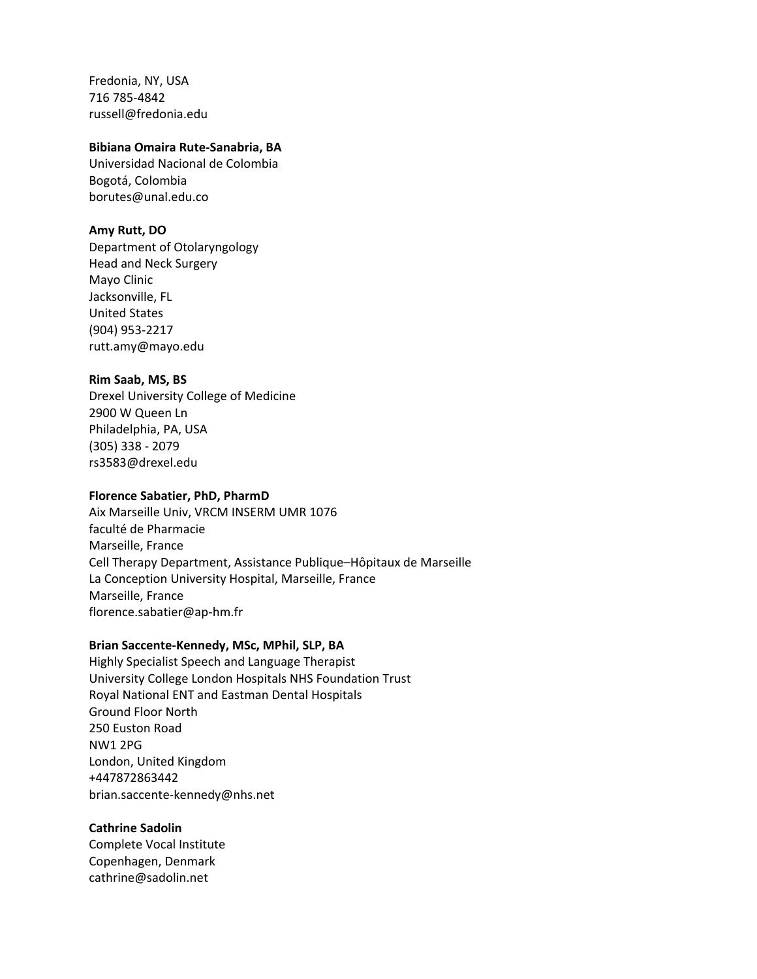Fredonia, NY, USA 716 785-4842 russell@fredonia.edu

### **Bibiana Omaira Rute-Sanabria, BA**

Universidad Nacional de Colombia Bogotá, Colombia borutes@unal.edu.co

#### **Amy Rutt, DO**

Department of Otolaryngology Head and Neck Surgery Mayo Clinic Jacksonville, FL United States (904) 953-2217 rutt.amy@mayo.edu

### **Rim Saab, MS, BS**

Drexel University College of Medicine 2900 W Queen Ln Philadelphia, PA, USA (305) 338 - 2079 rs3583@drexel.edu

### **Florence Sabatier, PhD, PharmD**

Aix Marseille Univ, VRCM INSERM UMR 1076 faculté de Pharmacie Marseille, France Cell Therapy Department, Assistance Publique–Hôpitaux de Marseille La Conception University Hospital, Marseille, France Marseille, France florence.sabatier@ap-hm.fr

### **Brian Saccente-Kennedy, MSc, MPhil, SLP, BA**

Highly Specialist Speech and Language Therapist University College London Hospitals NHS Foundation Trust Royal National ENT and Eastman Dental Hospitals Ground Floor North 250 Euston Road NW1 2PG London, United Kingdom +447872863442 brian.saccente-kennedy@nhs.net

#### **Cathrine Sadolin**

Complete Vocal Institute Copenhagen, Denmark cathrine@sadolin.net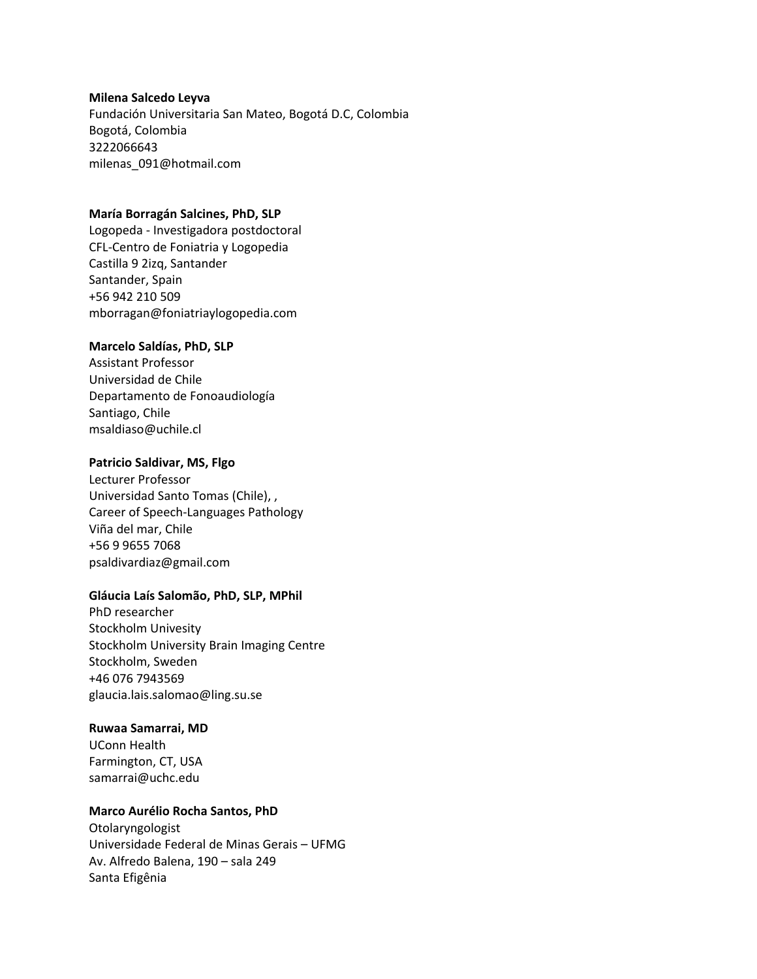#### **Milena Salcedo Leyva**

Fundación Universitaria San Mateo, Bogotá D.C, Colombia Bogotá, Colombia 3222066643 milenas\_091@hotmail.com

## **María Borragán Salcines, PhD, SLP**

Logopeda - Investigadora postdoctoral CFL-Centro de Foniatria y Logopedia Castilla 9 2izq, Santander Santander, Spain +56 942 210 509 mborragan@foniatriaylogopedia.com

## **Marcelo Saldías, PhD, SLP**

Assistant Professor Universidad de Chile Departamento de Fonoaudiología Santiago, Chile msaldiaso@uchile.cl

## **Patricio Saldivar, MS, Flgo**

Lecturer Professor Universidad Santo Tomas (Chile), , Career of Speech-Languages Pathology Viña del mar, Chile +56 9 9655 7068 psaldivardiaz@gmail.com

#### **Gláucia Laís Salomão, PhD, SLP, MPhil**

PhD researcher Stockholm Univesity Stockholm University Brain Imaging Centre Stockholm, Sweden +46 076 7943569 glaucia.lais.salomao@ling.su.se

## **Ruwaa Samarrai, MD**

UConn Health Farmington, CT, USA samarrai@uchc.edu

#### **Marco Aurélio Rocha Santos, PhD**

Otolaryngologist Universidade Federal de Minas Gerais – UFMG Av. Alfredo Balena, 190 – sala 249 Santa Efigênia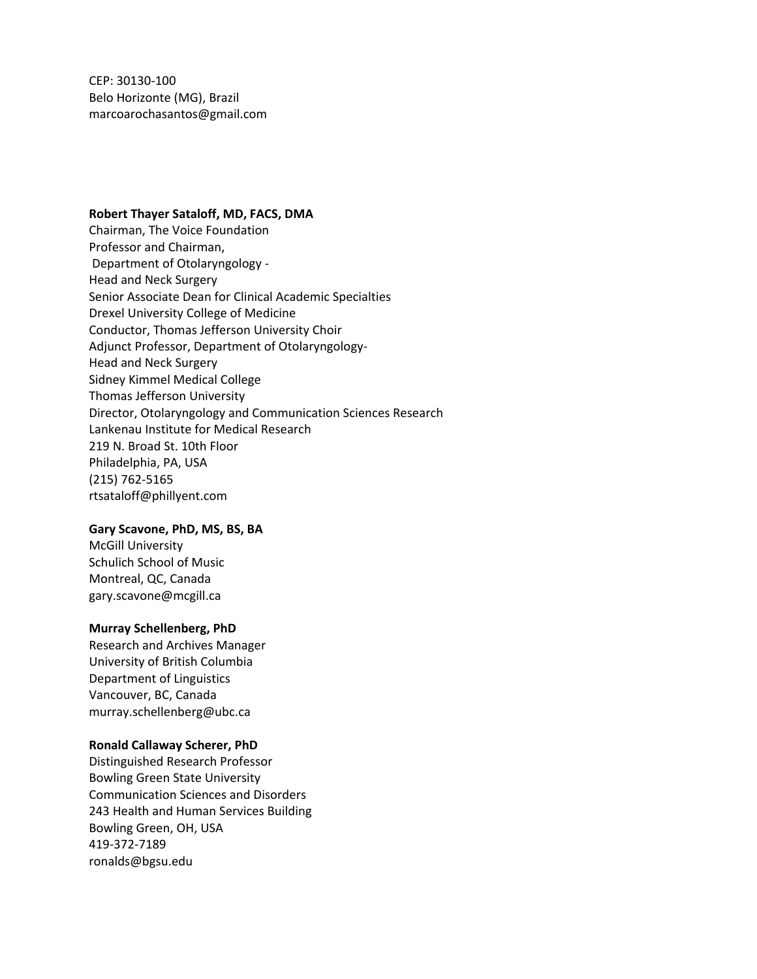CEP: 30130-100 Belo Horizonte (MG), Brazil marcoarochasantos@gmail.com

#### **Robert Thayer Sataloff, MD, FACS, DMA**

Chairman, The Voice Foundation Professor and Chairman, Department of Otolaryngology - Head and Neck Surgery Senior Associate Dean for Clinical Academic Specialties Drexel University College of Medicine Conductor, Thomas Jefferson University Choir Adjunct Professor, Department of Otolaryngology-Head and Neck Surgery Sidney Kimmel Medical College Thomas Jefferson University Director, Otolaryngology and Communication Sciences Research Lankenau Institute for Medical Research 219 N. Broad St. 10th Floor Philadelphia, PA, USA (215) 762-5165 rtsataloff@phillyent.com

## **Gary Scavone, PhD, MS, BS, BA**

McGill University Schulich School of Music Montreal, QC, Canada gary.scavone@mcgill.ca

## **Murray Schellenberg, PhD**

Research and Archives Manager University of British Columbia Department of Linguistics Vancouver, BC, Canada murray.schellenberg@ubc.ca

## **Ronald Callaway Scherer, PhD**

Distinguished Research Professor Bowling Green State University Communication Sciences and Disorders 243 Health and Human Services Building Bowling Green, OH, USA 419-372-7189 ronalds@bgsu.edu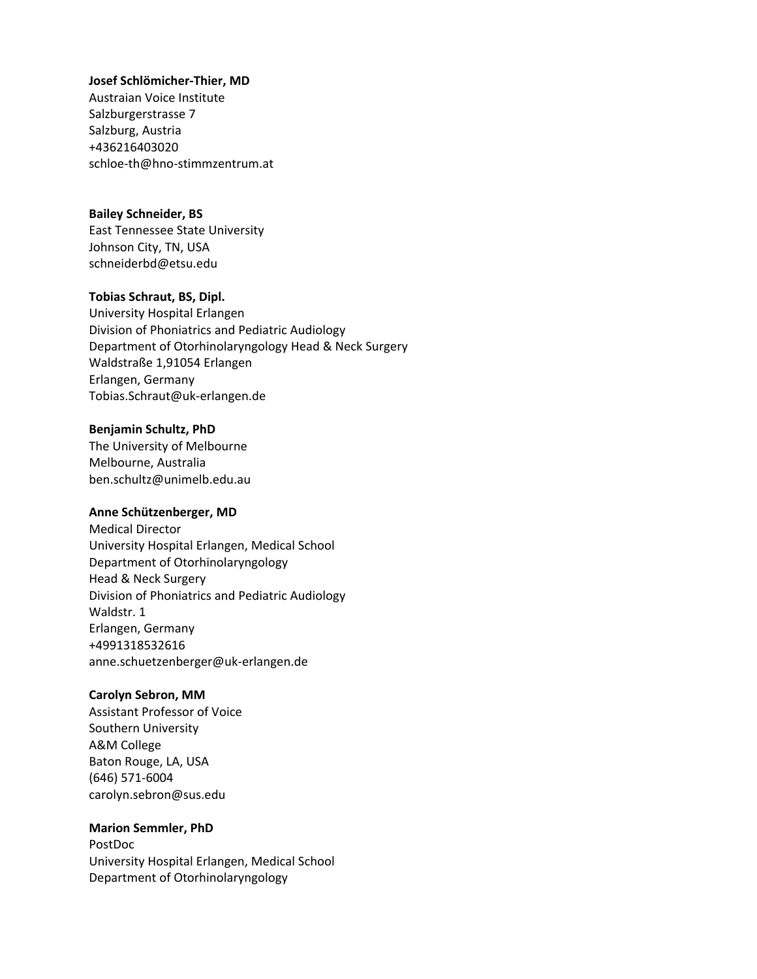## **Josef Schlömicher-Thier, MD**

Austraian Voice Institute Salzburgerstrasse 7 Salzburg, Austria +436216403020 schloe-th@hno-stimmzentrum.at

## **Bailey Schneider, BS**

East Tennessee State University Johnson City, TN, USA schneiderbd@etsu.edu

## **Tobias Schraut, BS, Dipl.**

University Hospital Erlangen Division of Phoniatrics and Pediatric Audiology Department of Otorhinolaryngology Head & Neck Surgery Waldstraße 1,91054 Erlangen Erlangen, Germany Tobias.Schraut@uk-erlangen.de

## **Benjamin Schultz, PhD**

The University of Melbourne Melbourne, Australia ben.schultz@unimelb.edu.au

## **Anne Schützenberger, MD**

Medical Director University Hospital Erlangen, Medical School Department of Otorhinolaryngology Head & Neck Surgery Division of Phoniatrics and Pediatric Audiology Waldstr. 1 Erlangen, Germany +4991318532616 anne.schuetzenberger@uk-erlangen.de

## **Carolyn Sebron, MM**

Assistant Professor of Voice Southern University A&M College Baton Rouge, LA, USA (646) 571-6004 carolyn.sebron@sus.edu

## **Marion Semmler, PhD**

PostDoc University Hospital Erlangen, Medical School Department of Otorhinolaryngology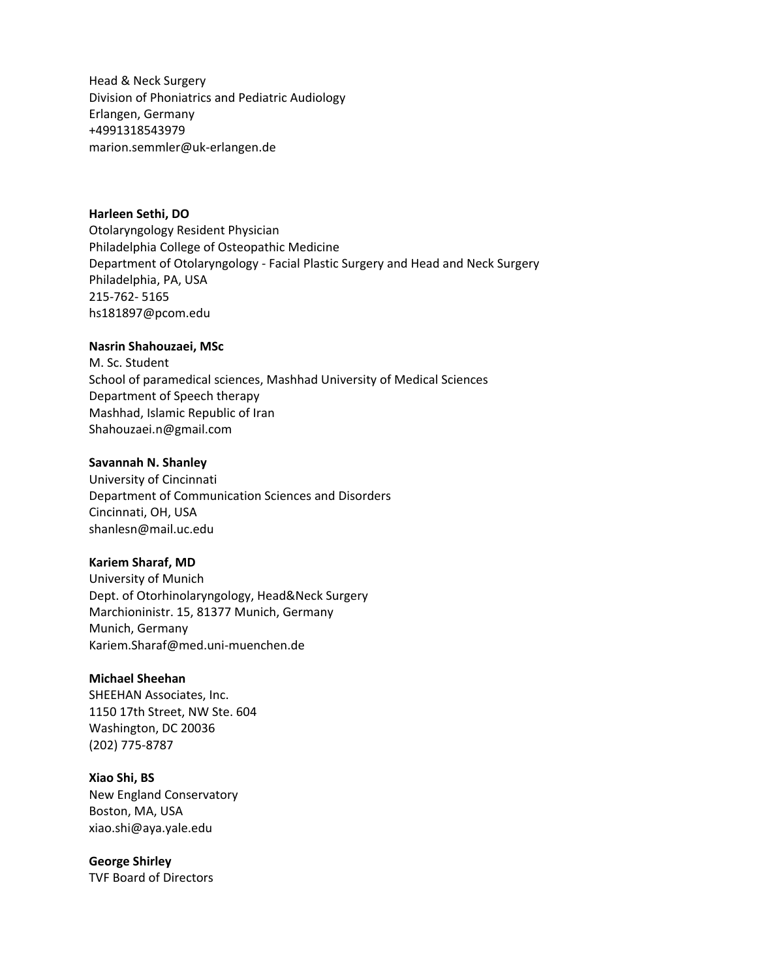Head & Neck Surgery Division of Phoniatrics and Pediatric Audiology Erlangen, Germany +4991318543979 marion.semmler@uk-erlangen.de

## **Harleen Sethi, DO**

Otolaryngology Resident Physician Philadelphia College of Osteopathic Medicine Department of Otolaryngology - Facial Plastic Surgery and Head and Neck Surgery Philadelphia, PA, USA 215-762- 5165 hs181897@pcom.edu

## **Nasrin Shahouzaei, MSc**

M. Sc. Student School of paramedical sciences, Mashhad University of Medical Sciences Department of Speech therapy Mashhad, Islamic Republic of Iran Shahouzaei.n@gmail.com

## **Savannah N. Shanley**

University of Cincinnati Department of Communication Sciences and Disorders Cincinnati, OH, USA shanlesn@mail.uc.edu

## **Kariem Sharaf, MD**

University of Munich Dept. of Otorhinolaryngology, Head&Neck Surgery Marchioninistr. 15, 81377 Munich, Germany Munich, Germany Kariem.Sharaf@med.uni-muenchen.de

## **Michael Sheehan**

SHEEHAN Associates, Inc. 1150 17th Street, NW Ste. 604 Washington, DC 20036 (202) 775-8787

**Xiao Shi, BS** New England Conservatory Boston, MA, USA xiao.shi@aya.yale.edu

**George Shirley**  TVF Board of Directors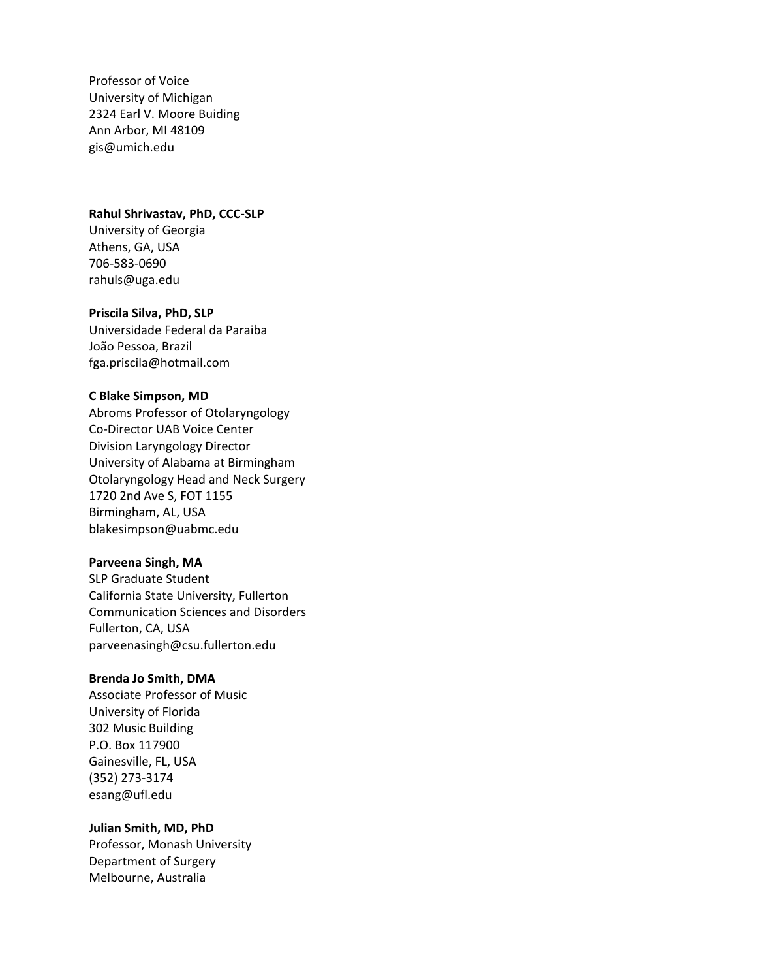Professor of Voice University of Michigan 2324 Earl V. Moore Buiding Ann Arbor, MI 48109 gis@umich.edu

#### **Rahul Shrivastav, PhD, CCC-SLP**

University of Georgia Athens, GA, USA 706-583-0690 rahuls@uga.edu

#### **Priscila Silva, PhD, SLP**

Universidade Federal da Paraiba João Pessoa, Brazil fga.priscila@hotmail.com

#### **C Blake Simpson, MD**

Abroms Professor of Otolaryngology Co-Director UAB Voice Center Division Laryngology Director University of Alabama at Birmingham Otolaryngology Head and Neck Surgery 1720 2nd Ave S, FOT 1155 Birmingham, AL, USA blakesimpson@uabmc.edu

#### **Parveena Singh, MA**

SLP Graduate Student California State University, Fullerton Communication Sciences and Disorders Fullerton, CA, USA parveenasingh@csu.fullerton.edu

#### **Brenda Jo Smith, DMA**

Associate Professor of Music University of Florida 302 Music Building P.O. Box 117900 Gainesville, FL, USA (352) 273-3174 esang@ufl.edu

#### **Julian Smith, MD, PhD**

Professor, Monash University Department of Surgery Melbourne, Australia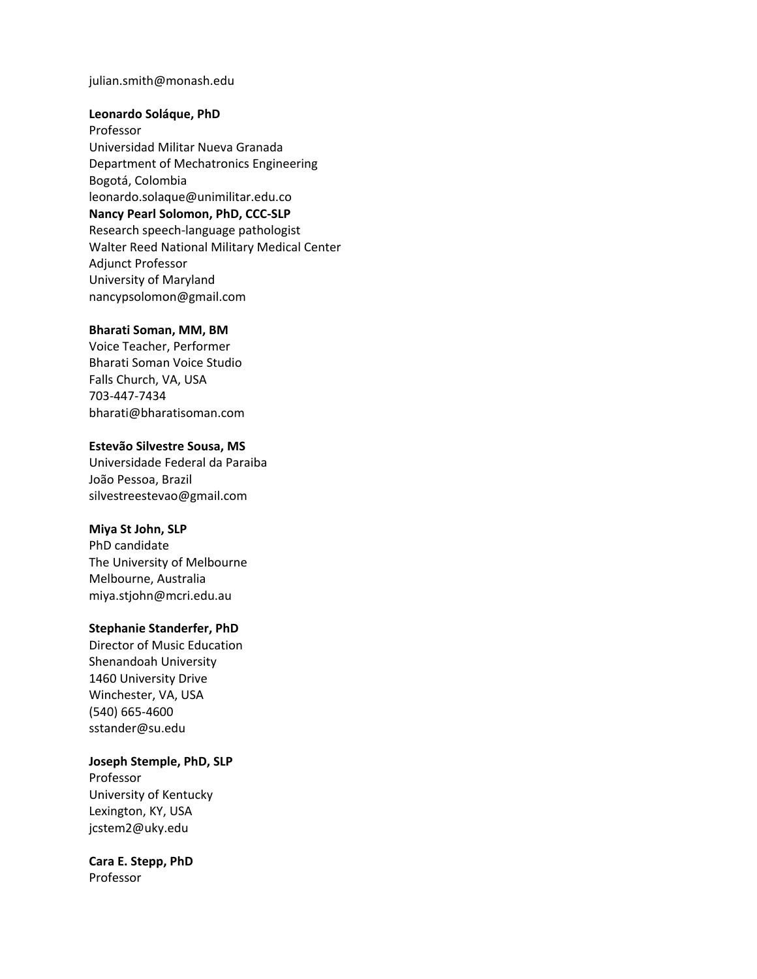## julian.smith@monash.edu

#### **Leonardo Soláque, PhD**

Professor Universidad Militar Nueva Granada Department of Mechatronics Engineering Bogotá, Colombia leonardo.solaque@unimilitar.edu.co **Nancy Pearl Solomon, PhD, CCC-SLP** Research speech-language pathologist Walter Reed National Military Medical Center Adjunct Professor University of Maryland nancypsolomon@gmail.com

## **Bharati Soman, MM, BM**

Voice Teacher, Performer Bharati Soman Voice Studio Falls Church, VA, USA 703-447-7434 bharati@bharatisoman.com

#### **Estevão Silvestre Sousa, MS**

Universidade Federal da Paraiba João Pessoa, Brazil silvestreestevao@gmail.com

## **Miya St John, SLP**

PhD candidate The University of Melbourne Melbourne, Australia miya.stjohn@mcri.edu.au

## **Stephanie Standerfer, PhD**

Director of Music Education Shenandoah University 1460 University Drive Winchester, VA, USA (540) 665-4600 sstander@su.edu

## **Joseph Stemple, PhD, SLP**

Professor University of Kentucky Lexington, KY, USA jcstem2@uky.edu

**Cara E. Stepp, PhD** Professor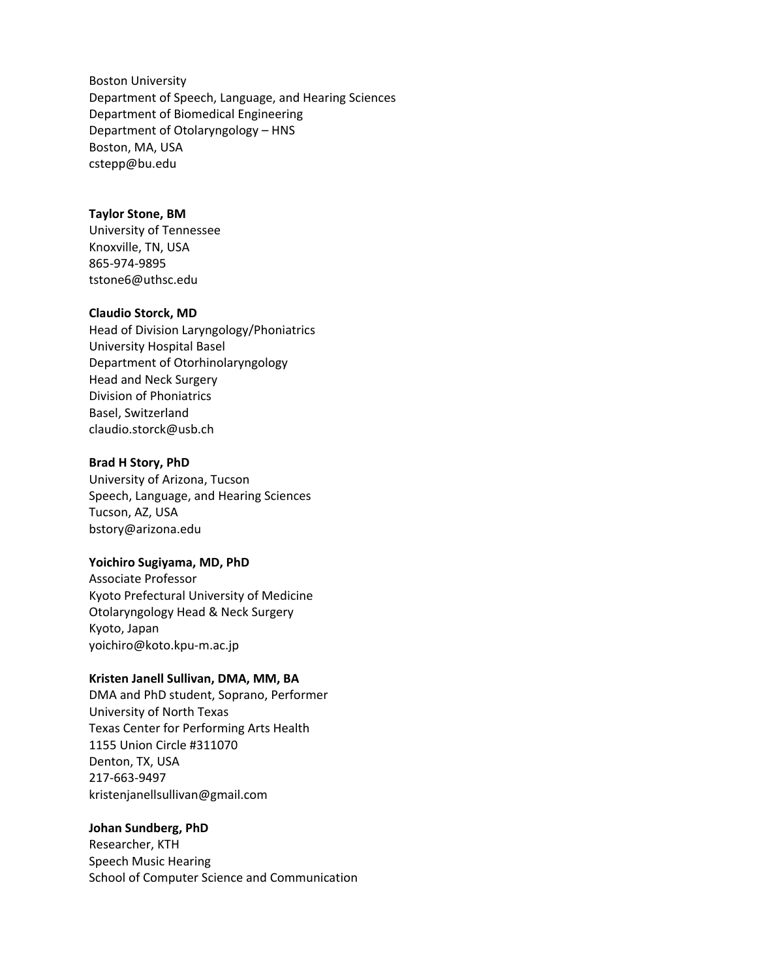Boston University Department of Speech, Language, and Hearing Sciences Department of Biomedical Engineering Department of Otolaryngology – HNS Boston, MA, USA cstepp@bu.edu

## **Taylor Stone, BM**

University of Tennessee Knoxville, TN, USA 865-974-9895 tstone6@uthsc.edu

## **Claudio Storck, MD**

Head of Division Laryngology/Phoniatrics University Hospital Basel Department of Otorhinolaryngology Head and Neck Surgery Division of Phoniatrics Basel, Switzerland claudio.storck@usb.ch

## **Brad H Story, PhD**

University of Arizona, Tucson Speech, Language, and Hearing Sciences Tucson, AZ, USA bstory@arizona.edu

## **Yoichiro Sugiyama, MD, PhD**

Associate Professor Kyoto Prefectural University of Medicine Otolaryngology Head & Neck Surgery Kyoto, Japan yoichiro@koto.kpu-m.ac.jp

## **Kristen Janell Sullivan, DMA, MM, BA**

DMA and PhD student, Soprano, Performer University of North Texas Texas Center for Performing Arts Health 1155 Union Circle #311070 Denton, TX, USA 217-663-9497 kristenjanellsullivan@gmail.com

## **Johan Sundberg, PhD**

Researcher, KTH Speech Music Hearing School of Computer Science and Communication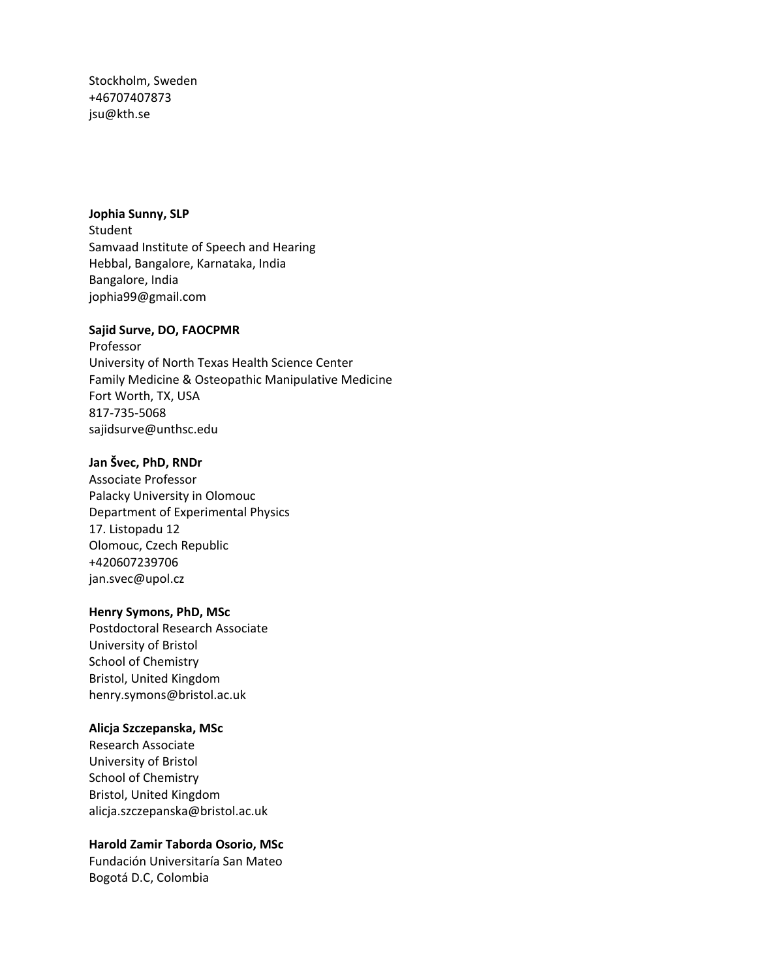Stockholm, Sweden +46707407873 jsu@kth.se

#### **Jophia Sunny, SLP**

Student Samvaad Institute of Speech and Hearing Hebbal, Bangalore, Karnataka, India Bangalore, India jophia99@gmail.com

## **Sajid Surve, DO, FAOCPMR**

Professor University of North Texas Health Science Center Family Medicine & Osteopathic Manipulative Medicine Fort Worth, TX, USA 817-735-5068 sajidsurve@unthsc.edu

## **Jan Švec, PhD, RNDr**

Associate Professor Palacky University in Olomouc Department of Experimental Physics 17. Listopadu 12 Olomouc, Czech Republic +420607239706 jan.svec@upol.cz

## **Henry Symons, PhD, MSc**

Postdoctoral Research Associate University of Bristol School of Chemistry Bristol, United Kingdom henry.symons@bristol.ac.uk

## **Alicja Szczepanska, MSc**

Research Associate University of Bristol School of Chemistry Bristol, United Kingdom alicja.szczepanska@bristol.ac.uk

## **Harold Zamir Taborda Osorio, MSc**

Fundación Universitaría San Mateo Bogotá D.C, Colombia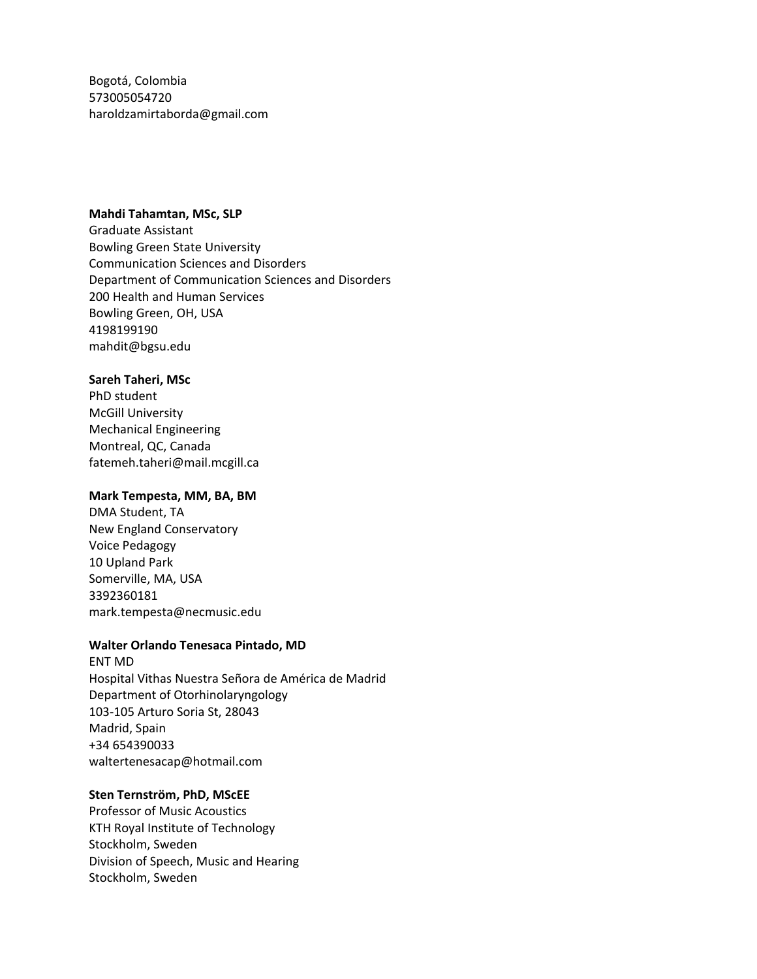Bogotá, Colombia 573005054720 haroldzamirtaborda@gmail.com

## **Mahdi Tahamtan, MSc, SLP**

Graduate Assistant Bowling Green State University Communication Sciences and Disorders Department of Communication Sciences and Disorders 200 Health and Human Services Bowling Green, OH, USA 4198199190 mahdit@bgsu.edu

#### **Sareh Taheri, MSc**

PhD student McGill University Mechanical Engineering Montreal, QC, Canada fatemeh.taheri@mail.mcgill.ca

## **Mark Tempesta, MM, BA, BM**

DMA Student, TA New England Conservatory Voice Pedagogy 10 Upland Park Somerville, MA, USA 3392360181 mark.tempesta@necmusic.edu

#### **Walter Orlando Tenesaca Pintado, MD**

ENT MD Hospital Vithas Nuestra Señora de América de Madrid Department of Otorhinolaryngology 103-105 Arturo Soria St, 28043 Madrid, Spain +34 654390033 waltertenesacap@hotmail.com

## **Sten Ternström, PhD, MScEE**

Professor of Music Acoustics KTH Royal Institute of Technology Stockholm, Sweden Division of Speech, Music and Hearing Stockholm, Sweden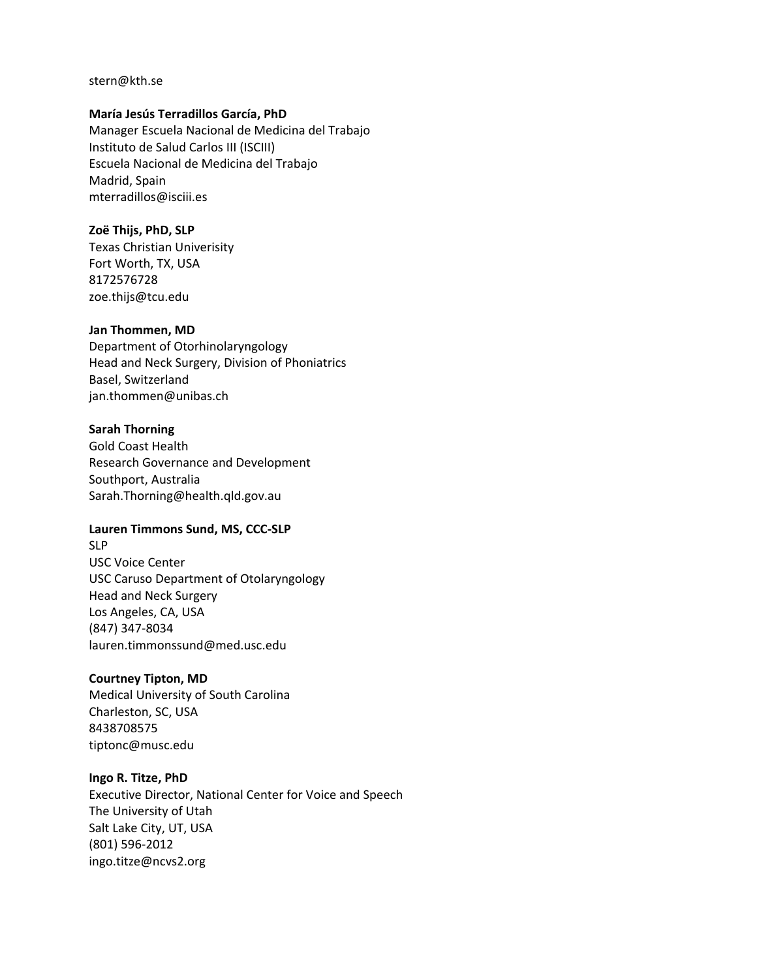## stern@kth.se

## **María Jesús Terradillos García, PhD**

Manager Escuela Nacional de Medicina del Trabajo Instituto de Salud Carlos III (ISCIII) Escuela Nacional de Medicina del Trabajo Madrid, Spain mterradillos@isciii.es

## **Zoë Thijs, PhD, SLP**

Texas Christian Univerisity Fort Worth, TX, USA 8172576728 zoe.thijs@tcu.edu

## **Jan Thommen, MD**

Department of Otorhinolaryngology Head and Neck Surgery, Division of Phoniatrics Basel, Switzerland jan.thommen@unibas.ch

## **Sarah Thorning**

Gold Coast Health Research Governance and Development Southport, Australia Sarah.Thorning@health.qld.gov.au

## **Lauren Timmons Sund, MS, CCC-SLP**

SLP USC Voice Center USC Caruso Department of Otolaryngology Head and Neck Surgery Los Angeles, CA, USA (847) 347-8034 lauren.timmonssund@med.usc.edu

## **Courtney Tipton, MD**

Medical University of South Carolina Charleston, SC, USA 8438708575 tiptonc@musc.edu

## **Ingo R. Titze, PhD**

Executive Director, National Center for Voice and Speech The University of Utah Salt Lake City, UT, USA (801) 596-2012 ingo.titze@ncvs2.org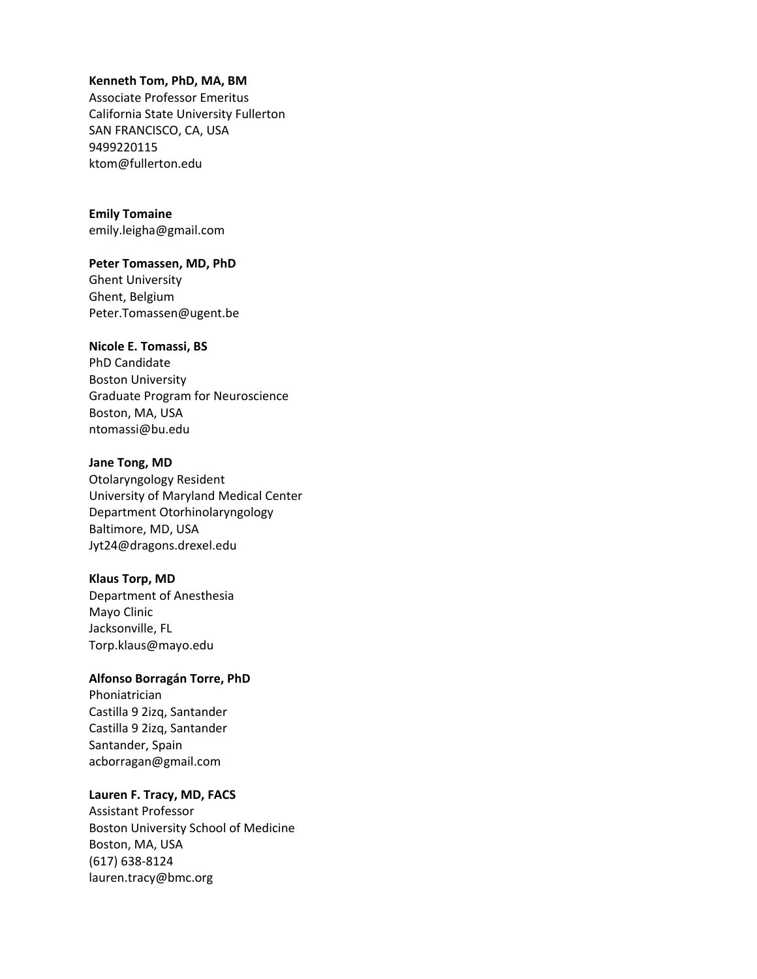## **Kenneth Tom, PhD, MA, BM**

Associate Professor Emeritus California State University Fullerton SAN FRANCISCO, CA, USA 9499220115 ktom@fullerton.edu

# **Emily Tomaine**

emily.leigha@gmail.com

## **Peter Tomassen, MD, PhD**

Ghent University Ghent, Belgium Peter.Tomassen@ugent.be

# **Nicole E. Tomassi, BS**

PhD Candidate Boston University Graduate Program for Neuroscience Boston, MA, USA ntomassi@bu.edu

## **Jane Tong, MD**

Otolaryngology Resident University of Maryland Medical Center Department Otorhinolaryngology Baltimore, MD, USA Jyt24@dragons.drexel.edu

## **Klaus Torp, MD**

Department of Anesthesia Mayo Clinic Jacksonville, FL Torp.klaus@mayo.edu

## **Alfonso Borragán Torre, PhD**

Phoniatrician Castilla 9 2izq, Santander Castilla 9 2izq, Santander Santander, Spain acborragan@gmail.com

# **Lauren F. Tracy, MD, FACS**

Assistant Professor Boston University School of Medicine Boston, MA, USA (617) 638-8124 lauren.tracy@bmc.org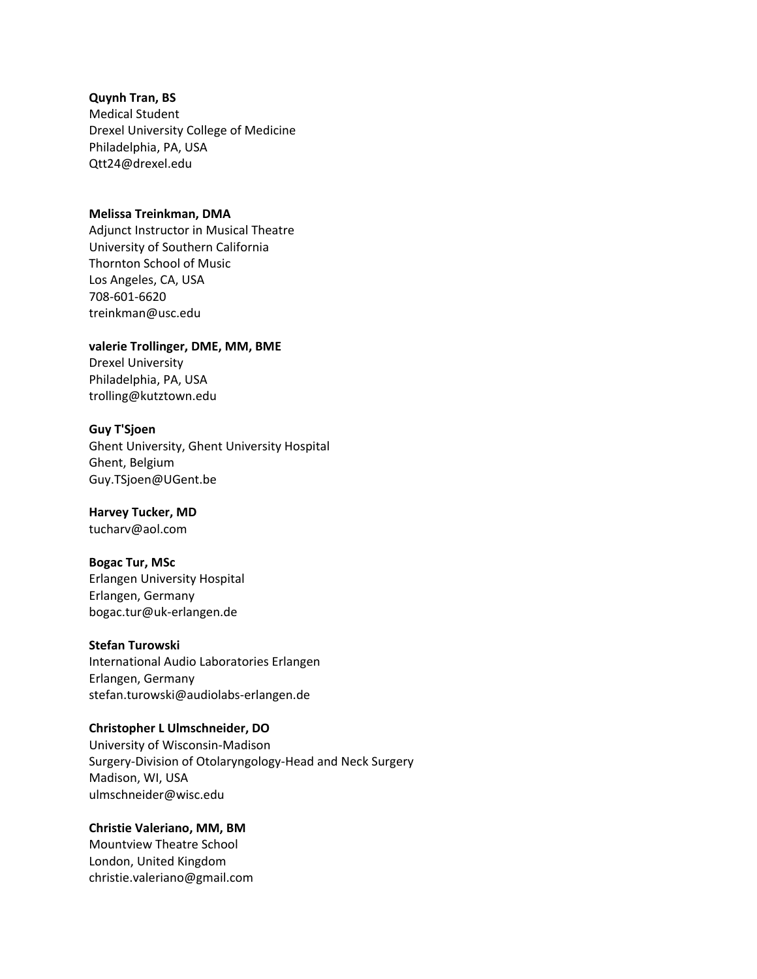## **Quynh Tran, BS**

Medical Student Drexel University College of Medicine Philadelphia, PA, USA Qtt24@drexel.edu

## **Melissa Treinkman, DMA**

Adjunct Instructor in Musical Theatre University of Southern California Thornton School of Music Los Angeles, CA, USA 708-601-6620 treinkman@usc.edu

**valerie Trollinger, DME, MM, BME** Drexel University Philadelphia, PA, USA trolling@kutztown.edu

## **Guy T'Sjoen**

Ghent University, Ghent University Hospital Ghent, Belgium Guy.TSjoen@UGent.be

# **Harvey Tucker, MD**

tucharv@aol.com

## **Bogac Tur, MSc**

Erlangen University Hospital Erlangen, Germany bogac.tur@uk-erlangen.de

## **Stefan Turowski**

International Audio Laboratories Erlangen Erlangen, Germany stefan.turowski@audiolabs-erlangen.de

# **Christopher L Ulmschneider, DO**

University of Wisconsin-Madison Surgery-Division of Otolaryngology-Head and Neck Surgery Madison, WI, USA ulmschneider@wisc.edu

## **Christie Valeriano, MM, BM**

Mountview Theatre School London, United Kingdom christie.valeriano@gmail.com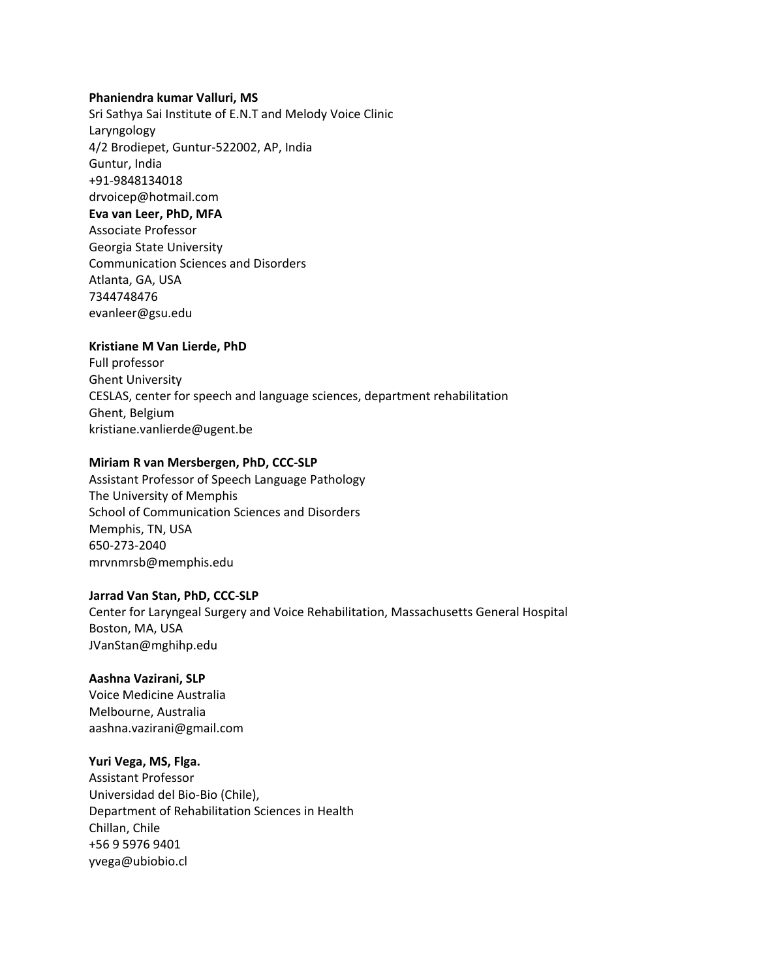## **Phaniendra kumar Valluri, MS**

Sri Sathya Sai Institute of E.N.T and Melody Voice Clinic Laryngology 4/2 Brodiepet, Guntur-522002, AP, India Guntur, India +91-9848134018 drvoicep@hotmail.com **Eva van Leer, PhD, MFA**

Associate Professor Georgia State University Communication Sciences and Disorders Atlanta, GA, USA 7344748476 evanleer@gsu.edu

## **Kristiane M Van Lierde, PhD**

Full professor Ghent University CESLAS, center for speech and language sciences, department rehabilitation Ghent, Belgium kristiane.vanlierde@ugent.be

## **Miriam R van Mersbergen, PhD, CCC-SLP**

Assistant Professor of Speech Language Pathology The University of Memphis School of Communication Sciences and Disorders Memphis, TN, USA 650-273-2040 mrvnmrsb@memphis.edu

#### **Jarrad Van Stan, PhD, CCC-SLP**

Center for Laryngeal Surgery and Voice Rehabilitation, Massachusetts General Hospital Boston, MA, USA JVanStan@mghihp.edu

#### **Aashna Vazirani, SLP**

Voice Medicine Australia Melbourne, Australia aashna.vazirani@gmail.com

## **Yuri Vega, MS, Flga.**

Assistant Professor Universidad del Bio-Bio (Chile), Department of Rehabilitation Sciences in Health Chillan, Chile +56 9 5976 9401 yvega@ubiobio.cl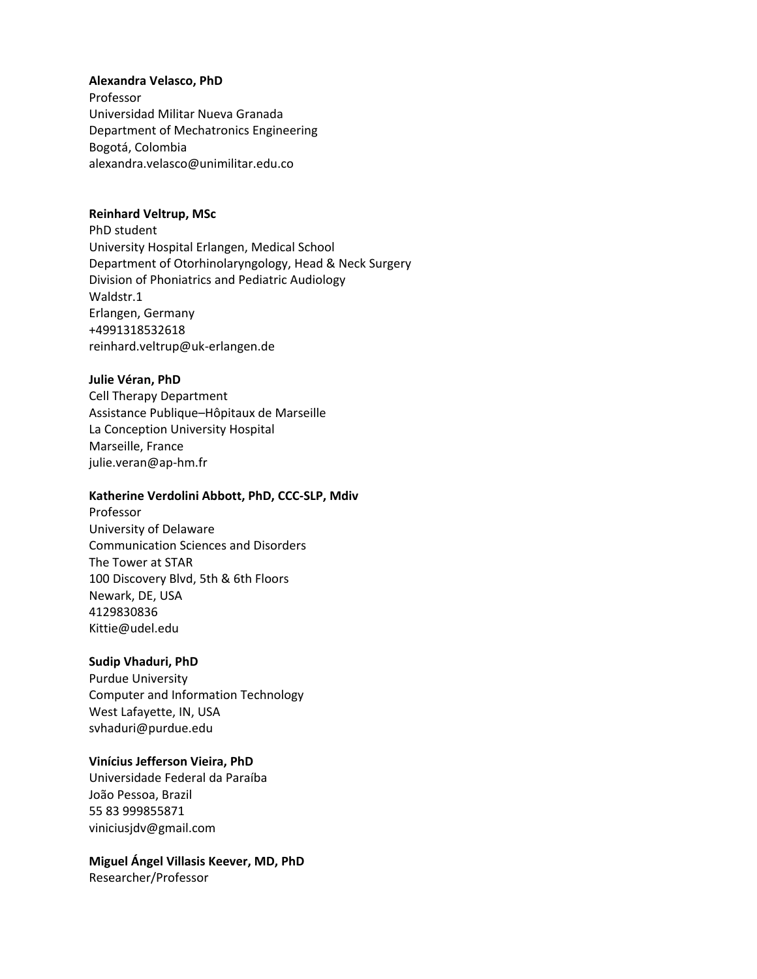## **Alexandra Velasco, PhD**

Professor Universidad Militar Nueva Granada Department of Mechatronics Engineering Bogotá, Colombia alexandra.velasco@unimilitar.edu.co

## **Reinhard Veltrup, MSc**

PhD student University Hospital Erlangen, Medical School Department of Otorhinolaryngology, Head & Neck Surgery Division of Phoniatrics and Pediatric Audiology Waldstr.1 Erlangen, Germany +4991318532618 reinhard.veltrup@uk-erlangen.de

## **Julie Véran, PhD**

Cell Therapy Department Assistance Publique–Hôpitaux de Marseille La Conception University Hospital Marseille, France julie.veran@ap-hm.fr

## **Katherine Verdolini Abbott, PhD, CCC-SLP, Mdiv**

Professor University of Delaware Communication Sciences and Disorders The Tower at STAR 100 Discovery Blvd, 5th & 6th Floors Newark, DE, USA 4129830836 Kittie@udel.edu

## **Sudip Vhaduri, PhD**

Purdue University Computer and Information Technology West Lafayette, IN, USA svhaduri@purdue.edu

## **Vinícius Jefferson Vieira, PhD**

Universidade Federal da Paraíba João Pessoa, Brazil 55 83 999855871 viniciusjdv@gmail.com

# **Miguel Ángel Villasis Keever, MD, PhD**

Researcher/Professor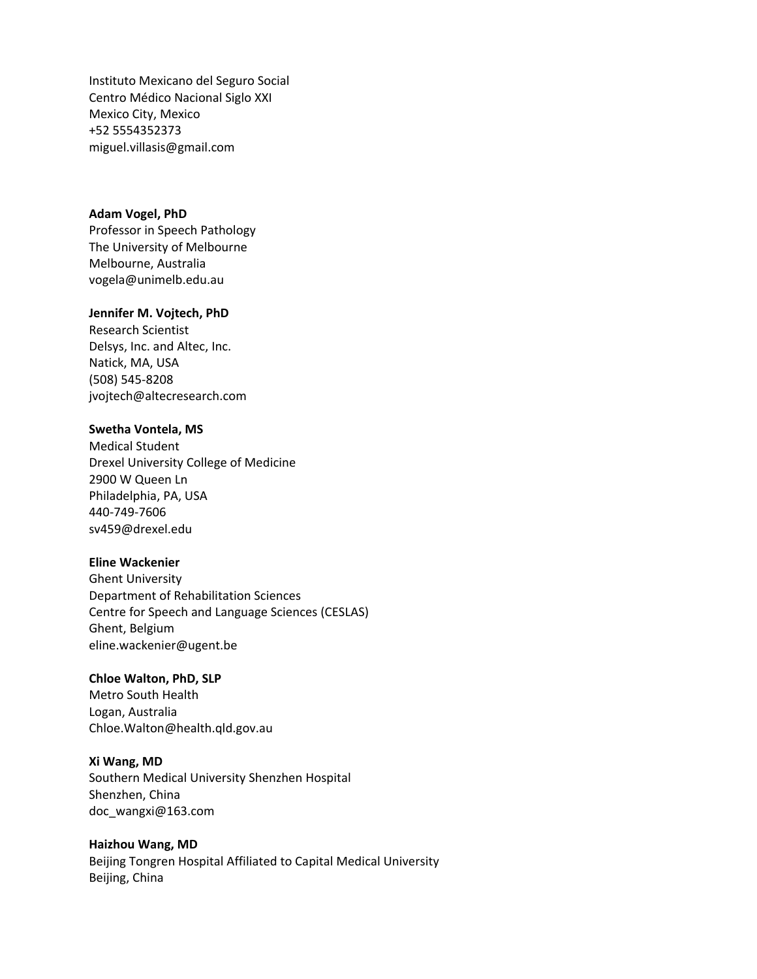Instituto Mexicano del Seguro Social Centro Médico Nacional Siglo XXI Mexico City, Mexico +52 5554352373 miguel.villasis@gmail.com

## **Adam Vogel, PhD**

Professor in Speech Pathology The University of Melbourne Melbourne, Australia vogela@unimelb.edu.au

#### **Jennifer M. Vojtech, PhD**

Research Scientist Delsys, Inc. and Altec, Inc. Natick, MA, USA (508) 545-8208 jvojtech@altecresearch.com

## **Swetha Vontela, MS**

Medical Student Drexel University College of Medicine 2900 W Queen Ln Philadelphia, PA, USA 440-749-7606 sv459@drexel.edu

#### **Eline Wackenier**

Ghent University Department of Rehabilitation Sciences Centre for Speech and Language Sciences (CESLAS) Ghent, Belgium eline.wackenier@ugent.be

## **Chloe Walton, PhD, SLP**

Metro South Health Logan, Australia Chloe.Walton@health.qld.gov.au

## **Xi Wang, MD**

Southern Medical University Shenzhen Hospital Shenzhen, China doc\_wangxi@163.com

#### **Haizhou Wang, MD**

Beijing Tongren Hospital Affiliated to Capital Medical University Beijing, China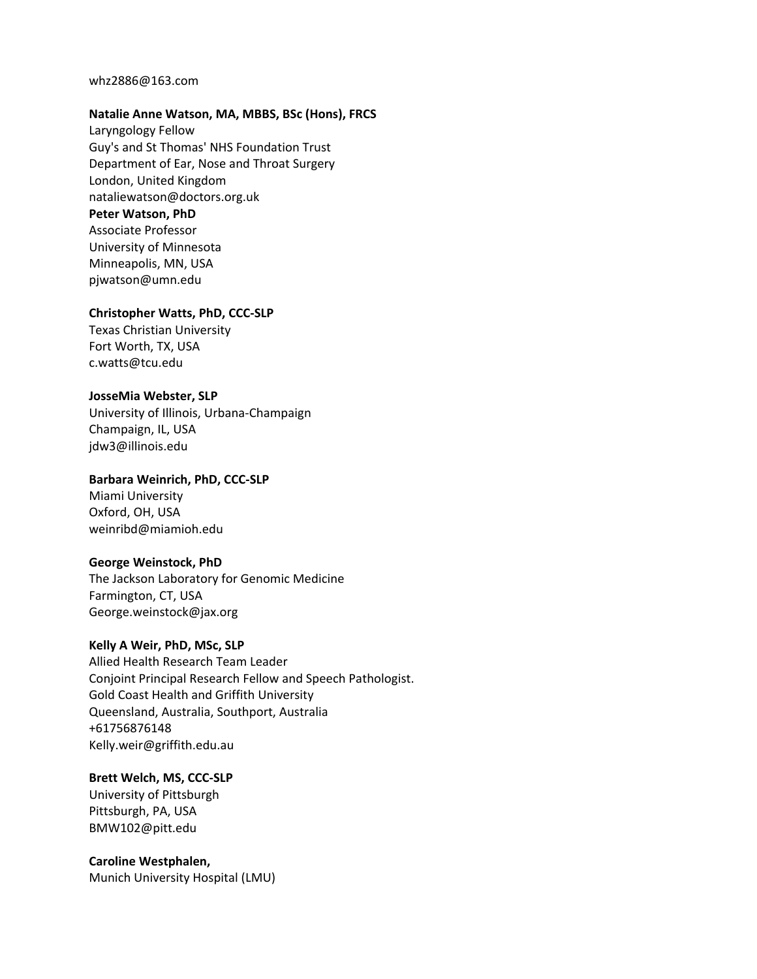#### whz2886@163.com

#### **Natalie Anne Watson, MA, MBBS, BSc (Hons), FRCS**

Laryngology Fellow Guy's and St Thomas' NHS Foundation Trust Department of Ear, Nose and Throat Surgery London, United Kingdom nataliewatson@doctors.org.uk **Peter Watson, PhD**

Associate Professor University of Minnesota Minneapolis, MN, USA pjwatson@umn.edu

#### **Christopher Watts, PhD, CCC-SLP**

Texas Christian University Fort Worth, TX, USA c.watts@tcu.edu

#### **JosseMia Webster, SLP**

University of Illinois, Urbana-Champaign Champaign, IL, USA jdw3@illinois.edu

#### **Barbara Weinrich, PhD, CCC-SLP**

Miami University Oxford, OH, USA weinribd@miamioh.edu

#### **George Weinstock, PhD**

The Jackson Laboratory for Genomic Medicine Farmington, CT, USA George.weinstock@jax.org

## **Kelly A Weir, PhD, MSc, SLP**

Allied Health Research Team Leader Conjoint Principal Research Fellow and Speech Pathologist. Gold Coast Health and Griffith University Queensland, Australia, Southport, Australia +61756876148 Kelly.weir@griffith.edu.au

## **Brett Welch, MS, CCC-SLP**

University of Pittsburgh Pittsburgh, PA, USA BMW102@pitt.edu

#### **Caroline Westphalen,**

Munich University Hospital (LMU)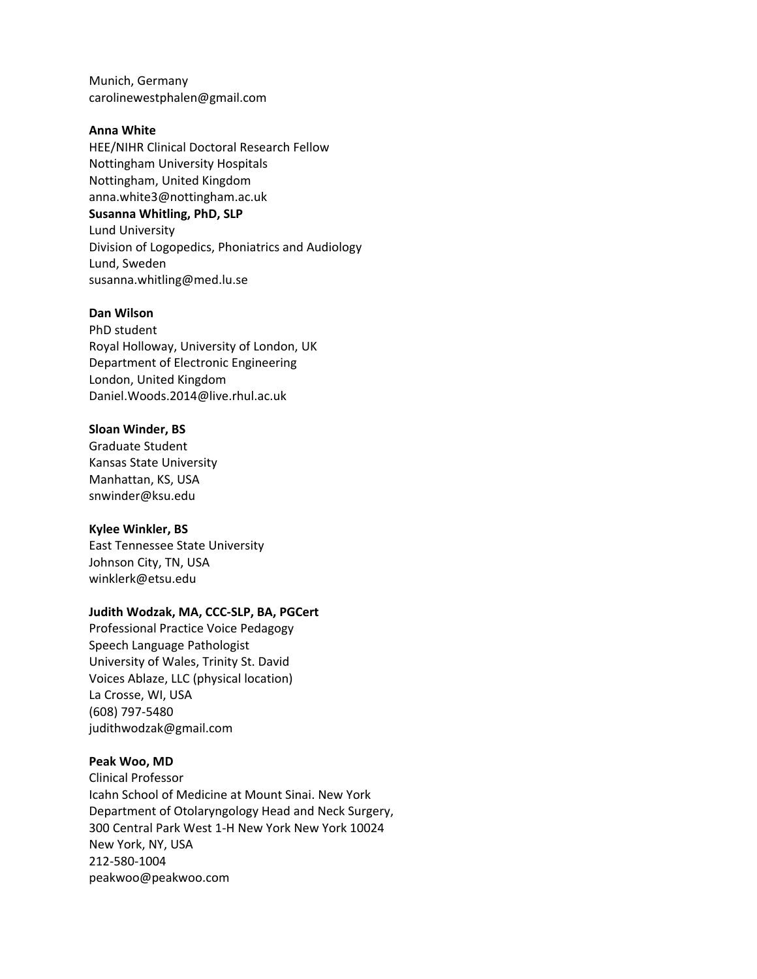Munich, Germany carolinewestphalen@gmail.com

## **Anna White**

HEE/NIHR Clinical Doctoral Research Fellow Nottingham University Hospitals Nottingham, United Kingdom anna.white3@nottingham.ac.uk **Susanna Whitling, PhD, SLP**

Lund University Division of Logopedics, Phoniatrics and Audiology Lund, Sweden susanna.whitling@med.lu.se

## **Dan Wilson**

PhD student Royal Holloway, University of London, UK Department of Electronic Engineering London, United Kingdom Daniel.Woods.2014@live.rhul.ac.uk

## **Sloan Winder, BS**

Graduate Student Kansas State University Manhattan, KS, USA snwinder@ksu.edu

## **Kylee Winkler, BS**

East Tennessee State University Johnson City, TN, USA winklerk@etsu.edu

## **Judith Wodzak, MA, CCC-SLP, BA, PGCert**

Professional Practice Voice Pedagogy Speech Language Pathologist University of Wales, Trinity St. David Voices Ablaze, LLC (physical location) La Crosse, WI, USA (608) 797-5480 judithwodzak@gmail.com

## **Peak Woo, MD**

Clinical Professor Icahn School of Medicine at Mount Sinai. New York Department of Otolaryngology Head and Neck Surgery, 300 Central Park West 1-H New York New York 10024 New York, NY, USA 212-580-1004 peakwoo@peakwoo.com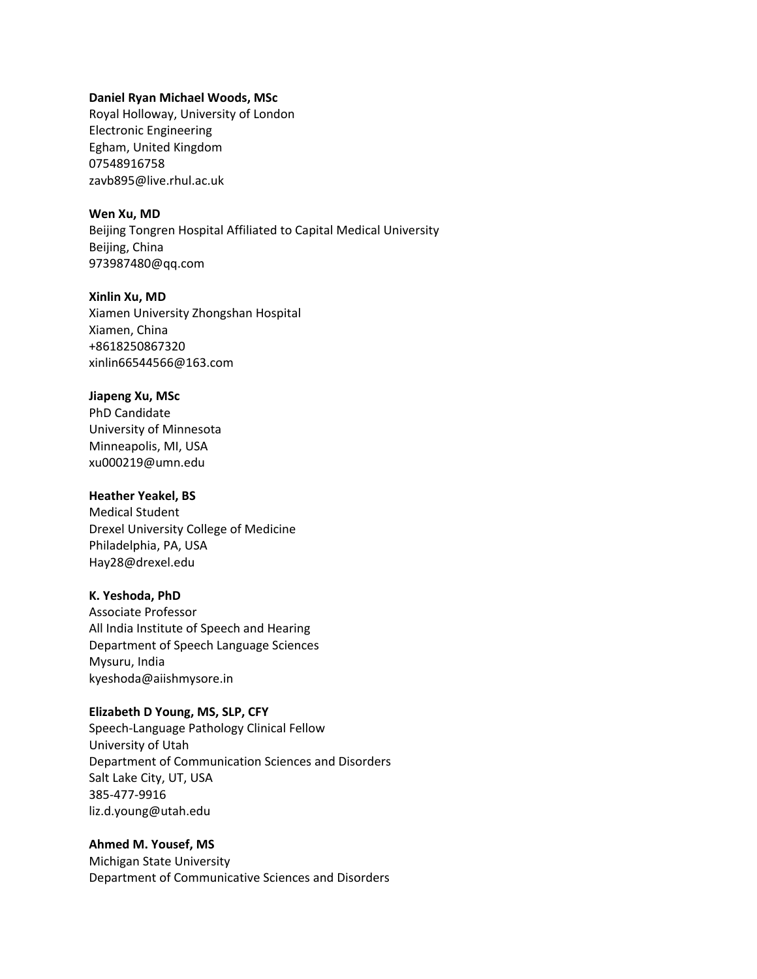#### **Daniel Ryan Michael Woods, MSc**

Royal Holloway, University of London Electronic Engineering Egham, United Kingdom 07548916758 zavb895@live.rhul.ac.uk

## **Wen Xu, MD**

Beijing Tongren Hospital Affiliated to Capital Medical University Beijing, China 973987480@qq.com

#### **Xinlin Xu, MD**

Xiamen University Zhongshan Hospital Xiamen, China +8618250867320 xinlin66544566@163.com

## **Jiapeng Xu, MSc**

PhD Candidate University of Minnesota Minneapolis, MI, USA xu000219@umn.edu

## **Heather Yeakel, BS**

Medical Student Drexel University College of Medicine Philadelphia, PA, USA Hay28@drexel.edu

## **K. Yeshoda, PhD**

Associate Professor All India Institute of Speech and Hearing Department of Speech Language Sciences Mysuru, India kyeshoda@aiishmysore.in

#### **Elizabeth D Young, MS, SLP, CFY**

Speech-Language Pathology Clinical Fellow University of Utah Department of Communication Sciences and Disorders Salt Lake City, UT, USA 385-477-9916 liz.d.young@utah.edu

## **Ahmed M. Yousef, MS**

Michigan State University Department of Communicative Sciences and Disorders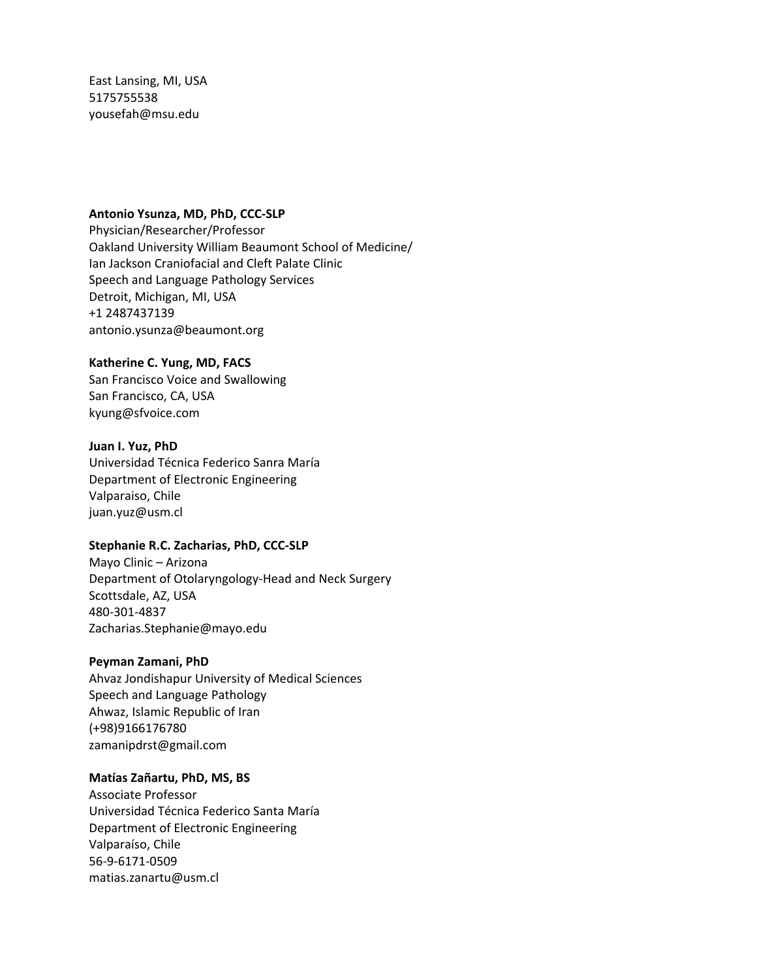East Lansing, MI, USA 5175755538 yousefah@msu.edu

## **Antonio Ysunza, MD, PhD, CCC-SLP**

Physician/Researcher/Professor Oakland University William Beaumont School of Medicine/ Ian Jackson Craniofacial and Cleft Palate Clinic Speech and Language Pathology Services Detroit, Michigan, MI, USA +1 2487437139 antonio.ysunza@beaumont.org

## **Katherine C. Yung, MD, FACS**

San Francisco Voice and Swallowing San Francisco, CA, USA kyung@sfvoice.com

#### **Juan I. Yuz, PhD**

Universidad Técnica Federico Sanra María Department of Electronic Engineering Valparaiso, Chile juan.yuz@usm.cl

#### **Stephanie R.C. Zacharias, PhD, CCC-SLP**

Mayo Clinic – Arizona Department of Otolaryngology-Head and Neck Surgery Scottsdale, AZ, USA 480-301-4837 Zacharias.Stephanie@mayo.edu

## **Peyman Zamani, PhD**

Ahvaz Jondishapur University of Medical Sciences Speech and Language Pathology Ahwaz, Islamic Republic of Iran (+98)9166176780 zamanipdrst@gmail.com

## **Matías Zañartu, PhD, MS, BS**

Associate Professor Universidad Técnica Federico Santa María Department of Electronic Engineering Valparaíso, Chile 56-9-6171-0509 matias.zanartu@usm.cl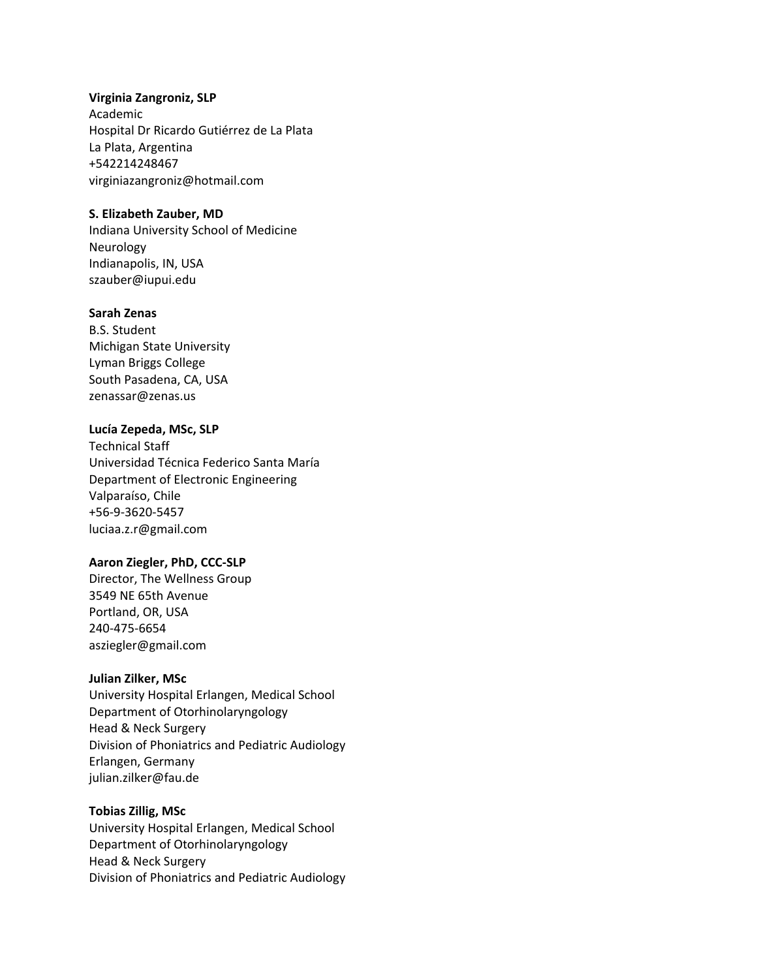## **Virginia Zangroniz, SLP**

Academic Hospital Dr Ricardo Gutiérrez de La Plata La Plata, Argentina +542214248467 virginiazangroniz@hotmail.com

## **S. Elizabeth Zauber, MD**

Indiana University School of Medicine Neurology Indianapolis, IN, USA szauber@iupui.edu

## **Sarah Zenas**

B.S. Student Michigan State University Lyman Briggs College South Pasadena, CA, USA zenassar@zenas.us

## **Lucía Zepeda, MSc, SLP**

Technical Staff Universidad Técnica Federico Santa María Department of Electronic Engineering Valparaíso, Chile +56-9-3620-5457 luciaa.z.r@gmail.com

## **Aaron Ziegler, PhD, CCC-SLP**

Director, The Wellness Group 3549 NE 65th Avenue Portland, OR, USA 240-475-6654 asziegler@gmail.com

## **Julian Zilker, MSc**

University Hospital Erlangen, Medical School Department of Otorhinolaryngology Head & Neck Surgery Division of Phoniatrics and Pediatric Audiology Erlangen, Germany julian.zilker@fau.de

## **Tobias Zillig, MSc**

University Hospital Erlangen, Medical School Department of Otorhinolaryngology Head & Neck Surgery Division of Phoniatrics and Pediatric Audiology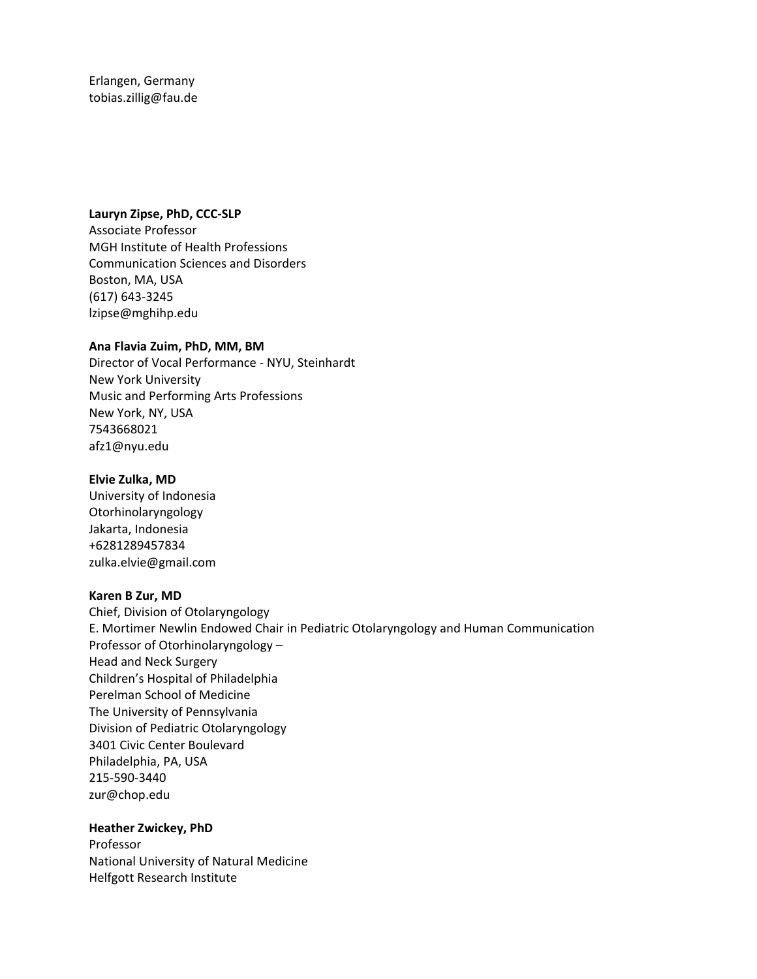Erlangen, Germany tobias.zillig@fau.de

#### **Lauryn Zipse, PhD, CCC-SLP**

Associate Professor MGH Institute of Health Professions Communication Sciences and Disorders Boston, MA, USA (617) 643-3245 lzipse@mghihp.edu

## **Ana Flavia Zuim, PhD, MM, BM**

Director of Vocal Performance - NYU, Steinhardt New York University Music and Performing Arts Professions New York, NY, USA 7543668021 afz1@nyu.edu

#### **Elvie Zulka, MD**

University of Indonesia Otorhinolaryngology Jakarta, Indonesia +6281289457834 zulka.elvie@gmail.com

#### **Karen B Zur, MD**

Chief, Division of Otolaryngology E. Mortimer Newlin Endowed Chair in Pediatric Otolaryngology and Human Communication Professor of Otorhinolaryngology – Head and Neck Surgery Children's Hospital of Philadelphia Perelman School of Medicine The University of Pennsylvania Division of Pediatric Otolaryngology 3401 Civic Center Boulevard Philadelphia, PA, USA 215-590-3440 zur@chop.edu

## **Heather Zwickey, PhD** Professor National University of Natural Medicine Helfgott Research Institute